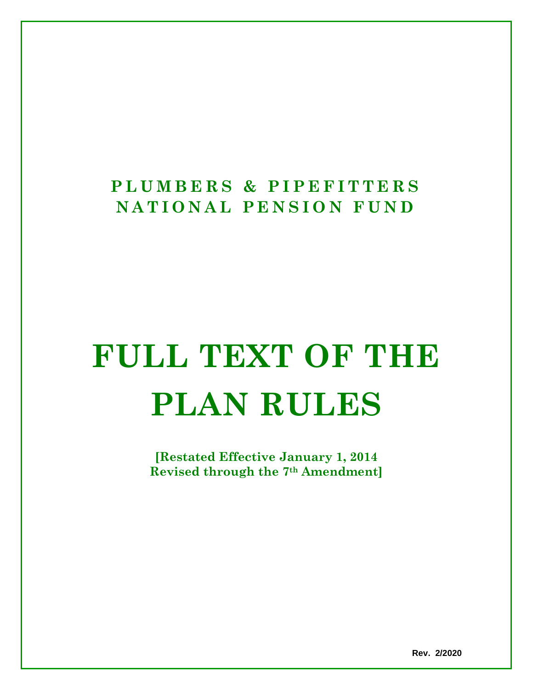# **PLUMBERS & PIPEFITTE RS NATIONAL PENSION FUN D**

# **FULL TEXT OF THE PLAN RULES**

**[Restated Effective January 1, 2014 Revised through the 7th Amendment]**

**Rev. 2/2020**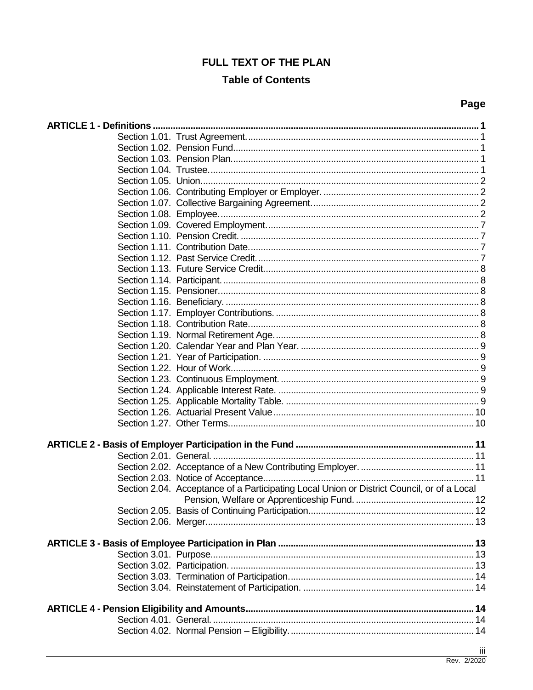## **FULL TEXT OF THE PLAN**

## **Table of Contents**

| -<br>٠<br>×<br>۰.<br>۰, |
|-------------------------|
|-------------------------|

| Section 2.04. Acceptance of a Participating Local Union or District Council, or of a Local |     |
|--------------------------------------------------------------------------------------------|-----|
|                                                                                            |     |
|                                                                                            |     |
|                                                                                            |     |
|                                                                                            |     |
|                                                                                            |     |
|                                                                                            |     |
|                                                                                            |     |
|                                                                                            |     |
|                                                                                            |     |
|                                                                                            |     |
|                                                                                            |     |
|                                                                                            |     |
|                                                                                            |     |
|                                                                                            |     |
|                                                                                            | iii |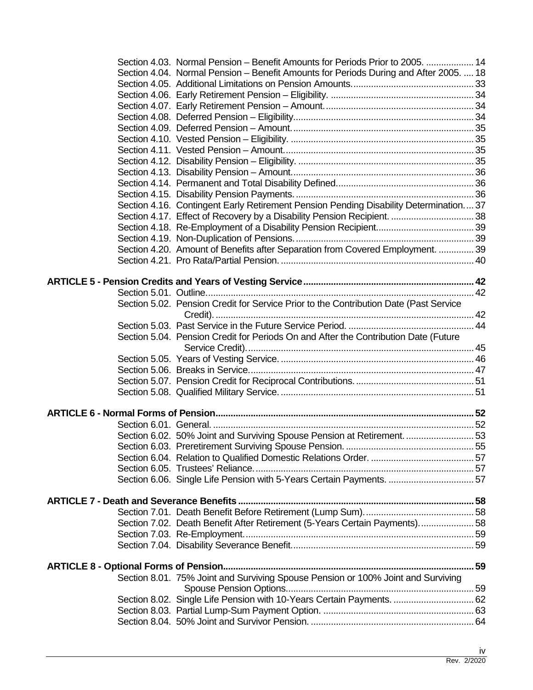| Section 4.03. Normal Pension – Benefit Amounts for Periods Prior to 2005.  14         |  |
|---------------------------------------------------------------------------------------|--|
| Section 4.04. Normal Pension – Benefit Amounts for Periods During and After 2005.  18 |  |
|                                                                                       |  |
|                                                                                       |  |
|                                                                                       |  |
|                                                                                       |  |
|                                                                                       |  |
|                                                                                       |  |
|                                                                                       |  |
|                                                                                       |  |
|                                                                                       |  |
|                                                                                       |  |
|                                                                                       |  |
| Section 4.16. Contingent Early Retirement Pension Pending Disability Determination37  |  |
| Section 4.17. Effect of Recovery by a Disability Pension Recipient.  38               |  |
|                                                                                       |  |
|                                                                                       |  |
| Section 4.20. Amount of Benefits after Separation from Covered Employment.  39        |  |
|                                                                                       |  |
|                                                                                       |  |
|                                                                                       |  |
|                                                                                       |  |
| Section 5.02. Pension Credit for Service Prior to the Contribution Date (Past Service |  |
|                                                                                       |  |
| Section 5.04. Pension Credit for Periods On and After the Contribution Date (Future   |  |
|                                                                                       |  |
|                                                                                       |  |
|                                                                                       |  |
|                                                                                       |  |
|                                                                                       |  |
|                                                                                       |  |
|                                                                                       |  |
|                                                                                       |  |
| Section 6.02. 50% Joint and Surviving Spouse Pension at Retirement.  53               |  |
|                                                                                       |  |
|                                                                                       |  |
|                                                                                       |  |
| Section 6.06. Single Life Pension with 5-Years Certain Payments.  57                  |  |
|                                                                                       |  |
|                                                                                       |  |
| Section 7.02. Death Benefit After Retirement (5-Years Certain Payments) 58            |  |
|                                                                                       |  |
|                                                                                       |  |
|                                                                                       |  |
|                                                                                       |  |
| Section 8.01. 75% Joint and Surviving Spouse Pension or 100% Joint and Surviving      |  |
|                                                                                       |  |
| Section 8.02. Single Life Pension with 10-Years Certain Payments.  62                 |  |
|                                                                                       |  |
|                                                                                       |  |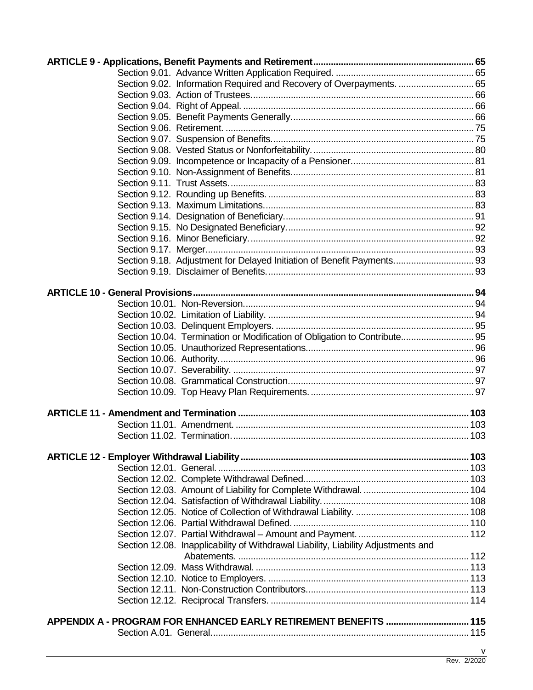| Section 9.02. Information Required and Recovery of Overpayments.  65              |   |
|-----------------------------------------------------------------------------------|---|
|                                                                                   |   |
|                                                                                   |   |
|                                                                                   |   |
|                                                                                   |   |
|                                                                                   |   |
|                                                                                   |   |
|                                                                                   |   |
|                                                                                   |   |
|                                                                                   |   |
|                                                                                   |   |
|                                                                                   |   |
|                                                                                   |   |
|                                                                                   |   |
|                                                                                   |   |
|                                                                                   |   |
| Section 9.18. Adjustment for Delayed Initiation of Benefit Payments 93            |   |
|                                                                                   |   |
|                                                                                   |   |
|                                                                                   |   |
|                                                                                   |   |
|                                                                                   |   |
|                                                                                   |   |
| Section 10.04. Termination or Modification of Obligation to Contribute 95         |   |
|                                                                                   |   |
|                                                                                   |   |
|                                                                                   |   |
|                                                                                   |   |
|                                                                                   |   |
|                                                                                   |   |
|                                                                                   |   |
|                                                                                   |   |
|                                                                                   |   |
|                                                                                   |   |
|                                                                                   |   |
|                                                                                   |   |
|                                                                                   |   |
|                                                                                   |   |
|                                                                                   |   |
|                                                                                   |   |
|                                                                                   |   |
|                                                                                   |   |
| Section 12.08. Inapplicability of Withdrawal Liability, Liability Adjustments and |   |
|                                                                                   |   |
|                                                                                   |   |
|                                                                                   |   |
|                                                                                   |   |
|                                                                                   |   |
|                                                                                   |   |
| APPENDIX A - PROGRAM FOR ENHANCED EARLY RETIREMENT BENEFITS  115                  |   |
|                                                                                   |   |
|                                                                                   | ۷ |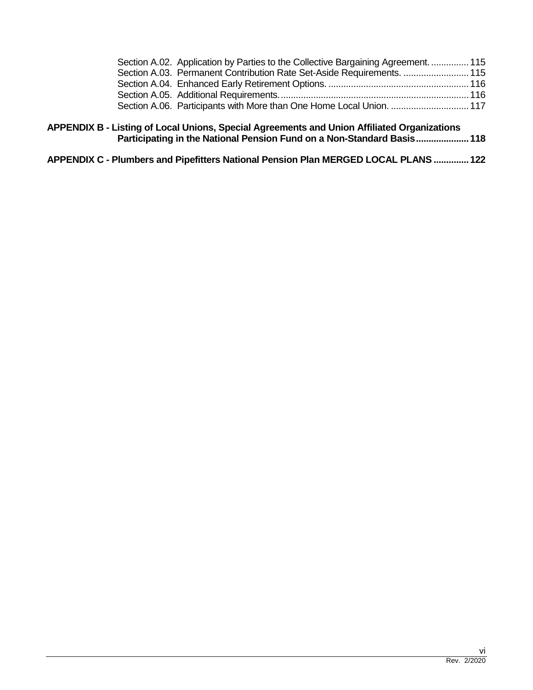| Section A.02. Application by Parties to the Collective Bargaining Agreement.  115<br>Section A.03. Permanent Contribution Rate Set-Aside Requirements.  115 |
|-------------------------------------------------------------------------------------------------------------------------------------------------------------|

- **APPENDIX B - Listing of Local Unions, Special Agreements and Union Affiliated Organizations Participating in the National Pension Fund on a Non-Standard Basis.....................118**
- **APPENDIX C - Plumbers and Pipefitters National Pension Plan MERGED LOCAL PLANS ..............122**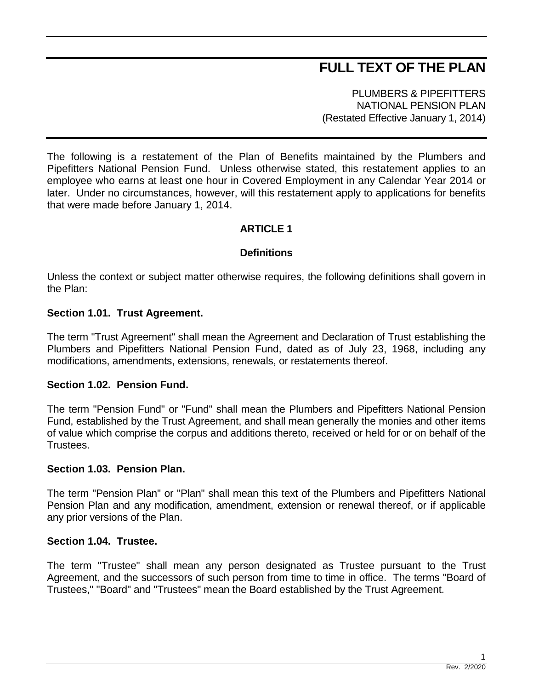## **FULL TEXT OF THE PLAN**

PLUMBERS & PIPEFITTERS NATIONAL PENSION PLAN (Restated Effective January 1, 2014)

The following is a restatement of the Plan of Benefits maintained by the Plumbers and Pipefitters National Pension Fund. Unless otherwise stated, this restatement applies to an employee who earns at least one hour in Covered Employment in any Calendar Year 2014 or later. Under no circumstances, however, will this restatement apply to applications for benefits that were made before January 1, 2014.

## **ARTICLE 1**

## **Definitions**

Unless the context or subject matter otherwise requires, the following definitions shall govern in the Plan:

## **Section 1.01. Trust Agreement.**

The term "Trust Agreement" shall mean the Agreement and Declaration of Trust establishing the Plumbers and Pipefitters National Pension Fund, dated as of July 23, 1968, including any modifications, amendments, extensions, renewals, or restatements thereof.

#### **Section 1.02. Pension Fund.**

The term "Pension Fund" or "Fund" shall mean the Plumbers and Pipefitters National Pension Fund, established by the Trust Agreement, and shall mean generally the monies and other items of value which comprise the corpus and additions thereto, received or held for or on behalf of the Trustees.

#### **Section 1.03. Pension Plan.**

The term "Pension Plan" or "Plan" shall mean this text of the Plumbers and Pipefitters National Pension Plan and any modification, amendment, extension or renewal thereof, or if applicable any prior versions of the Plan.

## **Section 1.04. Trustee.**

The term "Trustee" shall mean any person designated as Trustee pursuant to the Trust Agreement, and the successors of such person from time to time in office. The terms "Board of Trustees," "Board" and "Trustees" mean the Board established by the Trust Agreement.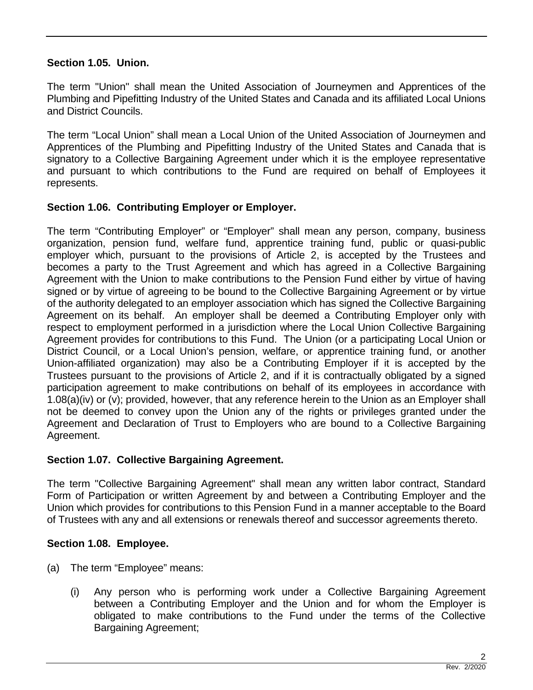## **Section 1.05. Union.**

The term "Union" shall mean the United Association of Journeymen and Apprentices of the Plumbing and Pipefitting Industry of the United States and Canada and its affiliated Local Unions and District Councils.

The term "Local Union" shall mean a Local Union of the United Association of Journeymen and Apprentices of the Plumbing and Pipefitting Industry of the United States and Canada that is signatory to a Collective Bargaining Agreement under which it is the employee representative and pursuant to which contributions to the Fund are required on behalf of Employees it represents.

## **Section 1.06. Contributing Employer or Employer.**

The term "Contributing Employer" or "Employer" shall mean any person, company, business organization, pension fund, welfare fund, apprentice training fund, public or quasi-public employer which, pursuant to the provisions of Article 2, is accepted by the Trustees and becomes a party to the Trust Agreement and which has agreed in a Collective Bargaining Agreement with the Union to make contributions to the Pension Fund either by virtue of having signed or by virtue of agreeing to be bound to the Collective Bargaining Agreement or by virtue of the authority delegated to an employer association which has signed the Collective Bargaining Agreement on its behalf. An employer shall be deemed a Contributing Employer only with respect to employment performed in a jurisdiction where the Local Union Collective Bargaining Agreement provides for contributions to this Fund. The Union (or a participating Local Union or District Council, or a Local Union's pension, welfare, or apprentice training fund, or another Union-affiliated organization) may also be a Contributing Employer if it is accepted by the Trustees pursuant to the provisions of Article 2, and if it is contractually obligated by a signed participation agreement to make contributions on behalf of its employees in accordance with 1.08(a)(iv) or (v); provided, however, that any reference herein to the Union as an Employer shall not be deemed to convey upon the Union any of the rights or privileges granted under the Agreement and Declaration of Trust to Employers who are bound to a Collective Bargaining Agreement.

## **Section 1.07. Collective Bargaining Agreement.**

The term "Collective Bargaining Agreement" shall mean any written labor contract, Standard Form of Participation or written Agreement by and between a Contributing Employer and the Union which provides for contributions to this Pension Fund in a manner acceptable to the Board of Trustees with any and all extensions or renewals thereof and successor agreements thereto.

## **Section 1.08. Employee.**

- (a) The term "Employee" means:
	- (i) Any person who is performing work under a Collective Bargaining Agreement between a Contributing Employer and the Union and for whom the Employer is obligated to make contributions to the Fund under the terms of the Collective Bargaining Agreement;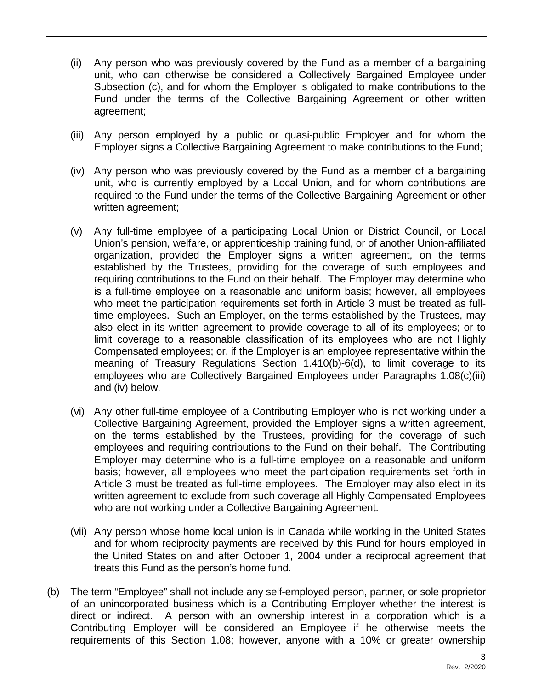- (ii) Any person who was previously covered by the Fund as a member of a bargaining unit, who can otherwise be considered a Collectively Bargained Employee under Subsection (c), and for whom the Employer is obligated to make contributions to the Fund under the terms of the Collective Bargaining Agreement or other written agreement;
- (iii) Any person employed by a public or quasi-public Employer and for whom the Employer signs a Collective Bargaining Agreement to make contributions to the Fund;
- (iv) Any person who was previously covered by the Fund as a member of a bargaining unit, who is currently employed by a Local Union, and for whom contributions are required to the Fund under the terms of the Collective Bargaining Agreement or other written agreement;
- (v) Any full-time employee of a participating Local Union or District Council, or Local Union's pension, welfare, or apprenticeship training fund, or of another Union-affiliated organization, provided the Employer signs a written agreement, on the terms established by the Trustees, providing for the coverage of such employees and requiring contributions to the Fund on their behalf. The Employer may determine who is a full-time employee on a reasonable and uniform basis; however, all employees who meet the participation requirements set forth in Article 3 must be treated as fulltime employees. Such an Employer, on the terms established by the Trustees, may also elect in its written agreement to provide coverage to all of its employees; or to limit coverage to a reasonable classification of its employees who are not Highly Compensated employees; or, if the Employer is an employee representative within the meaning of Treasury Regulations Section 1.410(b)-6(d), to limit coverage to its employees who are Collectively Bargained Employees under Paragraphs 1.08(c)(iii) and (iv) below.
- (vi) Any other full-time employee of a Contributing Employer who is not working under a Collective Bargaining Agreement, provided the Employer signs a written agreement, on the terms established by the Trustees, providing for the coverage of such employees and requiring contributions to the Fund on their behalf. The Contributing Employer may determine who is a full-time employee on a reasonable and uniform basis; however, all employees who meet the participation requirements set forth in Article 3 must be treated as full-time employees. The Employer may also elect in its written agreement to exclude from such coverage all Highly Compensated Employees who are not working under a Collective Bargaining Agreement.
- (vii) Any person whose home local union is in Canada while working in the United States and for whom reciprocity payments are received by this Fund for hours employed in the United States on and after October 1, 2004 under a reciprocal agreement that treats this Fund as the person's home fund.
- (b) The term "Employee" shall not include any self-employed person, partner, or sole proprietor of an unincorporated business which is a Contributing Employer whether the interest is direct or indirect. A person with an ownership interest in a corporation which is a Contributing Employer will be considered an Employee if he otherwise meets the requirements of this Section 1.08; however, anyone with a 10% or greater ownership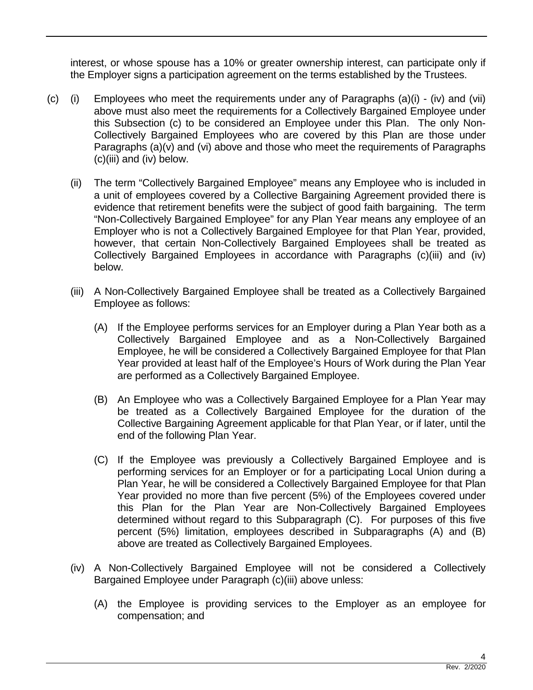interest, or whose spouse has a 10% or greater ownership interest, can participate only if the Employer signs a participation agreement on the terms established by the Trustees.

- (c) (i) Employees who meet the requirements under any of Paragraphs (a)(i) (iv) and (vii) above must also meet the requirements for a Collectively Bargained Employee under this Subsection (c) to be considered an Employee under this Plan. The only Non-Collectively Bargained Employees who are covered by this Plan are those under Paragraphs (a)(v) and (vi) above and those who meet the requirements of Paragraphs (c)(iii) and (iv) below.
	- (ii) The term "Collectively Bargained Employee" means any Employee who is included in a unit of employees covered by a Collective Bargaining Agreement provided there is evidence that retirement benefits were the subject of good faith bargaining. The term "Non-Collectively Bargained Employee" for any Plan Year means any employee of an Employer who is not a Collectively Bargained Employee for that Plan Year, provided, however, that certain Non-Collectively Bargained Employees shall be treated as Collectively Bargained Employees in accordance with Paragraphs (c)(iii) and (iv) below.
	- (iii) A Non-Collectively Bargained Employee shall be treated as a Collectively Bargained Employee as follows:
		- (A) If the Employee performs services for an Employer during a Plan Year both as a Collectively Bargained Employee and as a Non-Collectively Bargained Employee, he will be considered a Collectively Bargained Employee for that Plan Year provided at least half of the Employee's Hours of Work during the Plan Year are performed as a Collectively Bargained Employee.
		- (B) An Employee who was a Collectively Bargained Employee for a Plan Year may be treated as a Collectively Bargained Employee for the duration of the Collective Bargaining Agreement applicable for that Plan Year, or if later, until the end of the following Plan Year.
		- (C) If the Employee was previously a Collectively Bargained Employee and is performing services for an Employer or for a participating Local Union during a Plan Year, he will be considered a Collectively Bargained Employee for that Plan Year provided no more than five percent (5%) of the Employees covered under this Plan for the Plan Year are Non-Collectively Bargained Employees determined without regard to this Subparagraph (C). For purposes of this five percent (5%) limitation, employees described in Subparagraphs (A) and (B) above are treated as Collectively Bargained Employees.
	- (iv) A Non-Collectively Bargained Employee will not be considered a Collectively Bargained Employee under Paragraph (c)(iii) above unless:
		- (A) the Employee is providing services to the Employer as an employee for compensation; and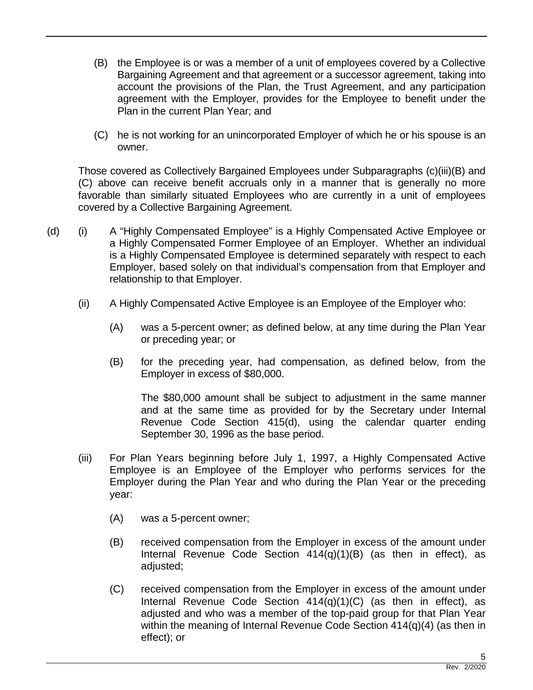- (B) the Employee is or was a member of a unit of employees covered by a Collective Bargaining Agreement and that agreement or a successor agreement, taking into account the provisions of the Plan, the Trust Agreement, and any participation agreement with the Employer, provides for the Employee to benefit under the Plan in the current Plan Year; and
- (C) he is not working for an unincorporated Employer of which he or his spouse is an owner.

Those covered as Collectively Bargained Employees under Subparagraphs (c)(iii)(B) and (C) above can receive benefit accruals only in a manner that is generally no more favorable than similarly situated Employees who are currently in a unit of employees covered by a Collective Bargaining Agreement.

- (d) (i) A "Highly Compensated Employee" is a Highly Compensated Active Employee or a Highly Compensated Former Employee of an Employer. Whether an individual is a Highly Compensated Employee is determined separately with respect to each Employer, based solely on that individual's compensation from that Employer and relationship to that Employer.
	- (ii) A Highly Compensated Active Employee is an Employee of the Employer who:
		- (A) was a 5-percent owner; as defined below, at any time during the Plan Year or preceding year; or
		- (B) for the preceding year, had compensation, as defined below, from the Employer in excess of \$80,000.

The \$80,000 amount shall be subject to adjustment in the same manner and at the same time as provided for by the Secretary under Internal Revenue Code Section 415(d), using the calendar quarter ending September 30, 1996 as the base period.

- (iii) For Plan Years beginning before July 1, 1997, a Highly Compensated Active Employee is an Employee of the Employer who performs services for the Employer during the Plan Year and who during the Plan Year or the preceding year:
	- (A) was a 5-percent owner;
	- (B) received compensation from the Employer in excess of the amount under Internal Revenue Code Section 414(q)(1)(B) (as then in effect), as adjusted;
	- (C) received compensation from the Employer in excess of the amount under Internal Revenue Code Section  $414(q)(1)(C)$  (as then in effect), as adjusted and who was a member of the top-paid group for that Plan Year within the meaning of Internal Revenue Code Section 414(q)(4) (as then in effect); or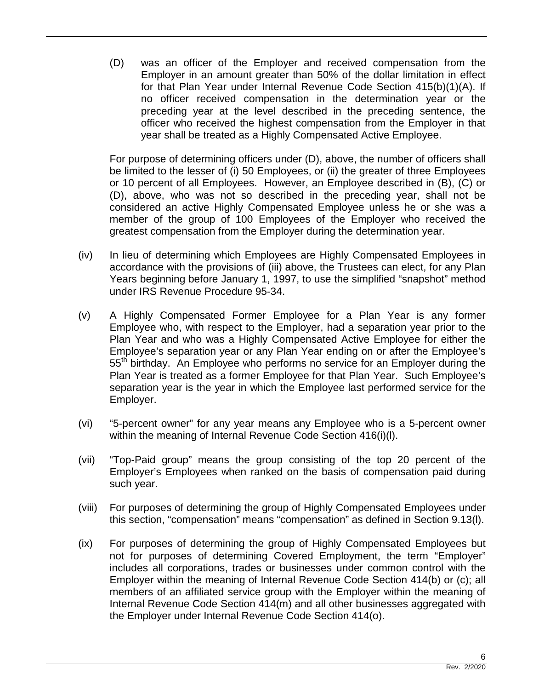(D) was an officer of the Employer and received compensation from the Employer in an amount greater than 50% of the dollar limitation in effect for that Plan Year under Internal Revenue Code Section 415(b)(1)(A). If no officer received compensation in the determination year or the preceding year at the level described in the preceding sentence, the officer who received the highest compensation from the Employer in that year shall be treated as a Highly Compensated Active Employee.

For purpose of determining officers under (D), above, the number of officers shall be limited to the lesser of (i) 50 Employees, or (ii) the greater of three Employees or 10 percent of all Employees. However, an Employee described in (B), (C) or (D), above, who was not so described in the preceding year, shall not be considered an active Highly Compensated Employee unless he or she was a member of the group of 100 Employees of the Employer who received the greatest compensation from the Employer during the determination year.

- (iv) In lieu of determining which Employees are Highly Compensated Employees in accordance with the provisions of (iii) above, the Trustees can elect, for any Plan Years beginning before January 1, 1997, to use the simplified "snapshot" method under IRS Revenue Procedure 95-34.
- (v) A Highly Compensated Former Employee for a Plan Year is any former Employee who, with respect to the Employer, had a separation year prior to the Plan Year and who was a Highly Compensated Active Employee for either the Employee's separation year or any Plan Year ending on or after the Employee's 55<sup>th</sup> birthday. An Employee who performs no service for an Employer during the Plan Year is treated as a former Employee for that Plan Year. Such Employee's separation year is the year in which the Employee last performed service for the Employer.
- (vi) "5-percent owner" for any year means any Employee who is a 5-percent owner within the meaning of Internal Revenue Code Section 416(i)(l).
- (vii) "Top-Paid group" means the group consisting of the top 20 percent of the Employer's Employees when ranked on the basis of compensation paid during such year.
- (viii) For purposes of determining the group of Highly Compensated Employees under this section, "compensation" means "compensation" as defined in Section 9.13(l).
- (ix) For purposes of determining the group of Highly Compensated Employees but not for purposes of determining Covered Employment, the term "Employer" includes all corporations, trades or businesses under common control with the Employer within the meaning of Internal Revenue Code Section 414(b) or (c); all members of an affiliated service group with the Employer within the meaning of Internal Revenue Code Section 414(m) and all other businesses aggregated with the Employer under Internal Revenue Code Section 414(o).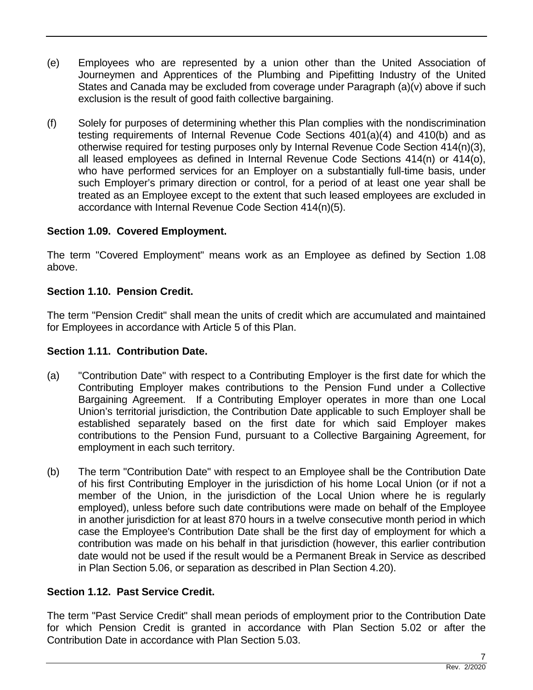- (e) Employees who are represented by a union other than the United Association of Journeymen and Apprentices of the Plumbing and Pipefitting Industry of the United States and Canada may be excluded from coverage under Paragraph (a)(v) above if such exclusion is the result of good faith collective bargaining.
- (f) Solely for purposes of determining whether this Plan complies with the nondiscrimination testing requirements of Internal Revenue Code Sections 401(a)(4) and 410(b) and as otherwise required for testing purposes only by Internal Revenue Code Section 414(n)(3), all leased employees as defined in Internal Revenue Code Sections 414(n) or 414(o), who have performed services for an Employer on a substantially full-time basis, under such Employer's primary direction or control, for a period of at least one year shall be treated as an Employee except to the extent that such leased employees are excluded in accordance with Internal Revenue Code Section 414(n)(5).

## **Section 1.09. Covered Employment.**

The term "Covered Employment" means work as an Employee as defined by Section 1.08 above.

## **Section 1.10. Pension Credit.**

The term "Pension Credit" shall mean the units of credit which are accumulated and maintained for Employees in accordance with Article 5 of this Plan.

## **Section 1.11. Contribution Date.**

- (a) "Contribution Date" with respect to a Contributing Employer is the first date for which the Contributing Employer makes contributions to the Pension Fund under a Collective Bargaining Agreement. If a Contributing Employer operates in more than one Local Union's territorial jurisdiction, the Contribution Date applicable to such Employer shall be established separately based on the first date for which said Employer makes contributions to the Pension Fund, pursuant to a Collective Bargaining Agreement, for employment in each such territory.
- (b) The term "Contribution Date" with respect to an Employee shall be the Contribution Date of his first Contributing Employer in the jurisdiction of his home Local Union (or if not a member of the Union, in the jurisdiction of the Local Union where he is regularly employed), unless before such date contributions were made on behalf of the Employee in another jurisdiction for at least 870 hours in a twelve consecutive month period in which case the Employee's Contribution Date shall be the first day of employment for which a contribution was made on his behalf in that jurisdiction (however, this earlier contribution date would not be used if the result would be a Permanent Break in Service as described in Plan Section 5.06, or separation as described in Plan Section 4.20).

## **Section 1.12. Past Service Credit.**

The term "Past Service Credit" shall mean periods of employment prior to the Contribution Date for which Pension Credit is granted in accordance with Plan Section 5.02 or after the Contribution Date in accordance with Plan Section 5.03.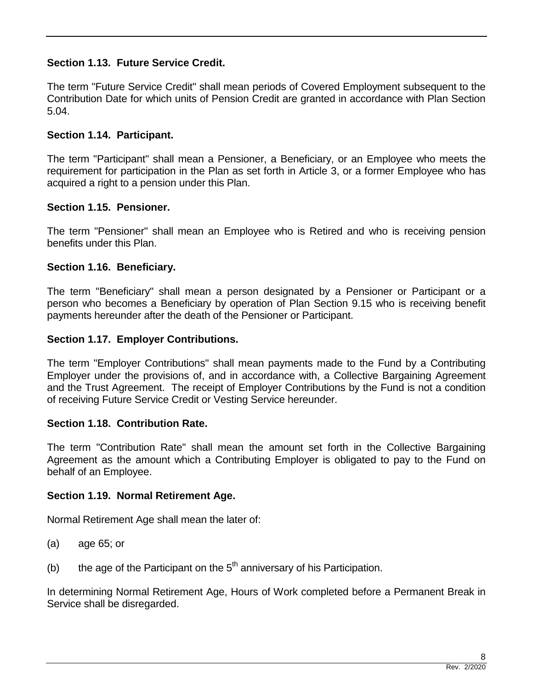## **Section 1.13. Future Service Credit.**

The term "Future Service Credit" shall mean periods of Covered Employment subsequent to the Contribution Date for which units of Pension Credit are granted in accordance with Plan Section 5.04.

## **Section 1.14. Participant.**

The term "Participant" shall mean a Pensioner, a Beneficiary, or an Employee who meets the requirement for participation in the Plan as set forth in Article 3, or a former Employee who has acquired a right to a pension under this Plan.

## **Section 1.15. Pensioner.**

The term "Pensioner" shall mean an Employee who is Retired and who is receiving pension benefits under this Plan.

## **Section 1.16. Beneficiary.**

The term "Beneficiary" shall mean a person designated by a Pensioner or Participant or a person who becomes a Beneficiary by operation of Plan Section 9.15 who is receiving benefit payments hereunder after the death of the Pensioner or Participant.

## **Section 1.17. Employer Contributions.**

The term "Employer Contributions" shall mean payments made to the Fund by a Contributing Employer under the provisions of, and in accordance with, a Collective Bargaining Agreement and the Trust Agreement. The receipt of Employer Contributions by the Fund is not a condition of receiving Future Service Credit or Vesting Service hereunder.

## **Section 1.18. Contribution Rate.**

The term "Contribution Rate" shall mean the amount set forth in the Collective Bargaining Agreement as the amount which a Contributing Employer is obligated to pay to the Fund on behalf of an Employee.

## **Section 1.19. Normal Retirement Age.**

Normal Retirement Age shall mean the later of:

- (a) age 65; or
- (b) the age of the Participant on the  $5<sup>th</sup>$  anniversary of his Participation.

In determining Normal Retirement Age, Hours of Work completed before a Permanent Break in Service shall be disregarded.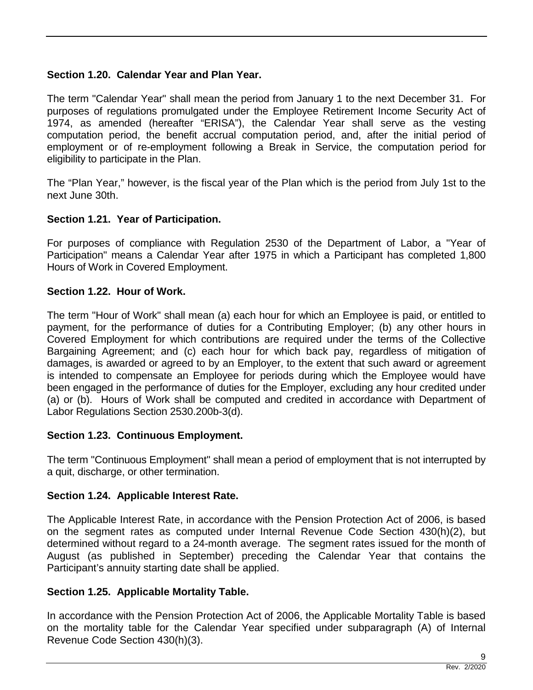## **Section 1.20. Calendar Year and Plan Year.**

The term "Calendar Year" shall mean the period from January 1 to the next December 31. For purposes of regulations promulgated under the Employee Retirement Income Security Act of 1974, as amended (hereafter "ERISA"), the Calendar Year shall serve as the vesting computation period, the benefit accrual computation period, and, after the initial period of employment or of re-employment following a Break in Service, the computation period for eligibility to participate in the Plan.

The "Plan Year," however, is the fiscal year of the Plan which is the period from July 1st to the next June 30th.

## **Section 1.21. Year of Participation.**

For purposes of compliance with Regulation 2530 of the Department of Labor, a "Year of Participation" means a Calendar Year after 1975 in which a Participant has completed 1,800 Hours of Work in Covered Employment.

## **Section 1.22. Hour of Work.**

The term "Hour of Work" shall mean (a) each hour for which an Employee is paid, or entitled to payment, for the performance of duties for a Contributing Employer; (b) any other hours in Covered Employment for which contributions are required under the terms of the Collective Bargaining Agreement; and (c) each hour for which back pay, regardless of mitigation of damages, is awarded or agreed to by an Employer, to the extent that such award or agreement is intended to compensate an Employee for periods during which the Employee would have been engaged in the performance of duties for the Employer, excluding any hour credited under (a) or (b). Hours of Work shall be computed and credited in accordance with Department of Labor Regulations Section 2530.200b-3(d).

## **Section 1.23. Continuous Employment.**

The term "Continuous Employment" shall mean a period of employment that is not interrupted by a quit, discharge, or other termination.

## **Section 1.24. Applicable Interest Rate.**

The Applicable Interest Rate, in accordance with the Pension Protection Act of 2006, is based on the segment rates as computed under Internal Revenue Code Section 430(h)(2), but determined without regard to a 24-month average. The segment rates issued for the month of August (as published in September) preceding the Calendar Year that contains the Participant's annuity starting date shall be applied.

## **Section 1.25. Applicable Mortality Table.**

In accordance with the Pension Protection Act of 2006, the Applicable Mortality Table is based on the mortality table for the Calendar Year specified under subparagraph (A) of Internal Revenue Code Section 430(h)(3).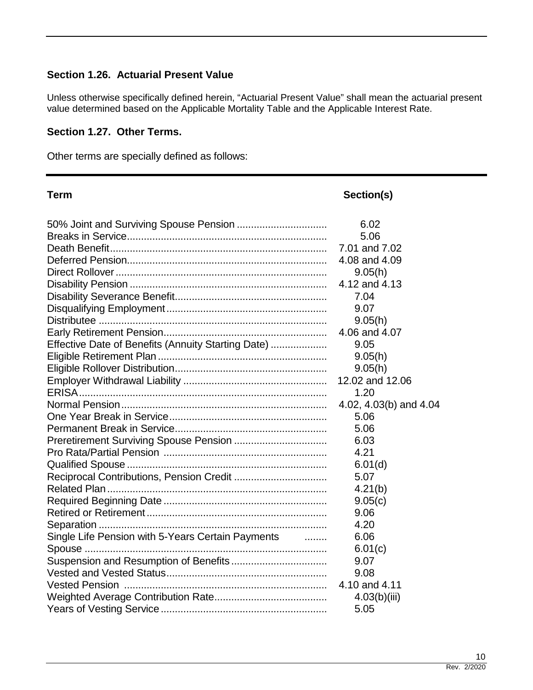## **Section 1.26. Actuarial Present Value**

Unless otherwise specifically defined herein, "Actuarial Present Value" shall mean the actuarial present value determined based on the Applicable Mortality Table and the Applicable Interest Rate.

#### **Section 1.27. Other Terms.**

Other terms are specially defined as follows:

| <b>Term</b>                                            | Section(s)             |
|--------------------------------------------------------|------------------------|
|                                                        | 6.02                   |
|                                                        | 5.06                   |
|                                                        | 7.01 and 7.02          |
|                                                        | 4.08 and 4.09          |
|                                                        | 9.05(h)                |
|                                                        | 4.12 and 4.13          |
|                                                        | 7.04                   |
|                                                        | 9.07                   |
|                                                        | 9.05(h)                |
|                                                        | 4.06 and 4.07          |
| Effective Date of Benefits (Annuity Starting Date)     | 9.05                   |
|                                                        | 9.05(h)                |
|                                                        | 9.05(h)                |
|                                                        | 12.02 and 12.06        |
|                                                        | 1.20                   |
|                                                        | 4.02, 4.03(b) and 4.04 |
|                                                        | 5.06                   |
|                                                        | 5.06                   |
|                                                        | 6.03                   |
|                                                        | 4.21                   |
|                                                        | 6.01(d)                |
|                                                        | 5.07                   |
|                                                        | 4.21(b)                |
|                                                        | 9.05(c)                |
|                                                        | 9.06                   |
|                                                        | 4.20                   |
| Single Life Pension with 5-Years Certain Payments<br>. | 6.06                   |
|                                                        | 6.01(c)                |
|                                                        | 9.07                   |
|                                                        | 9.08                   |
|                                                        | 4.10 and 4.11          |
|                                                        | 4.03(b)(iii)           |
|                                                        | 5.05                   |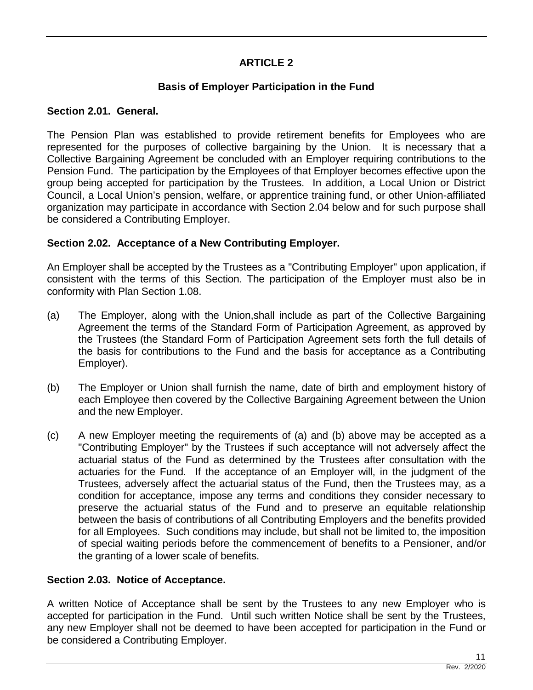## **ARTICLE 2**

## **Basis of Employer Participation in the Fund**

## **Section 2.01. General.**

The Pension Plan was established to provide retirement benefits for Employees who are represented for the purposes of collective bargaining by the Union. It is necessary that a Collective Bargaining Agreement be concluded with an Employer requiring contributions to the Pension Fund. The participation by the Employees of that Employer becomes effective upon the group being accepted for participation by the Trustees. In addition, a Local Union or District Council, a Local Union's pension, welfare, or apprentice training fund, or other Union-affiliated organization may participate in accordance with Section 2.04 below and for such purpose shall be considered a Contributing Employer.

## **Section 2.02. Acceptance of a New Contributing Employer.**

An Employer shall be accepted by the Trustees as a "Contributing Employer" upon application, if consistent with the terms of this Section. The participation of the Employer must also be in conformity with Plan Section 1.08.

- (a) The Employer, along with the Union,shall include as part of the Collective Bargaining Agreement the terms of the Standard Form of Participation Agreement, as approved by the Trustees (the Standard Form of Participation Agreement sets forth the full details of the basis for contributions to the Fund and the basis for acceptance as a Contributing Employer).
- (b) The Employer or Union shall furnish the name, date of birth and employment history of each Employee then covered by the Collective Bargaining Agreement between the Union and the new Employer.
- (c) A new Employer meeting the requirements of (a) and (b) above may be accepted as a "Contributing Employer" by the Trustees if such acceptance will not adversely affect the actuarial status of the Fund as determined by the Trustees after consultation with the actuaries for the Fund. If the acceptance of an Employer will, in the judgment of the Trustees, adversely affect the actuarial status of the Fund, then the Trustees may, as a condition for acceptance, impose any terms and conditions they consider necessary to preserve the actuarial status of the Fund and to preserve an equitable relationship between the basis of contributions of all Contributing Employers and the benefits provided for all Employees. Such conditions may include, but shall not be limited to, the imposition of special waiting periods before the commencement of benefits to a Pensioner, and/or the granting of a lower scale of benefits.

## **Section 2.03. Notice of Acceptance.**

A written Notice of Acceptance shall be sent by the Trustees to any new Employer who is accepted for participation in the Fund. Until such written Notice shall be sent by the Trustees, any new Employer shall not be deemed to have been accepted for participation in the Fund or be considered a Contributing Employer.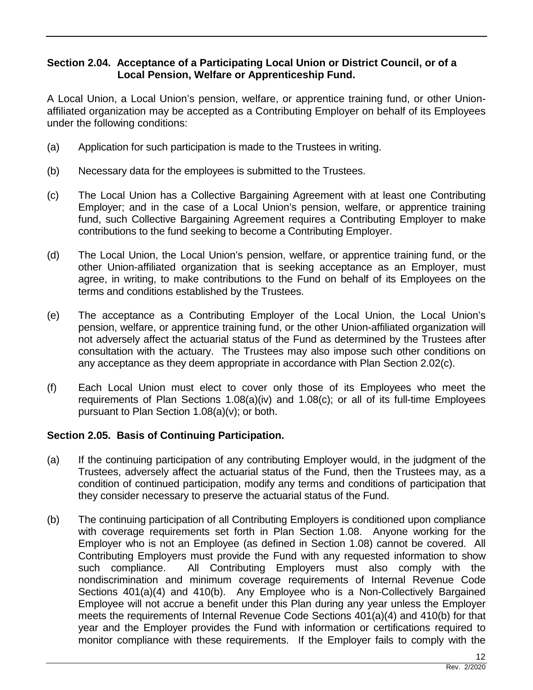## **Section 2.04. Acceptance of a Participating Local Union or District Council, or of a Local Pension, Welfare or Apprenticeship Fund.**

A Local Union, a Local Union's pension, welfare, or apprentice training fund, or other Unionaffiliated organization may be accepted as a Contributing Employer on behalf of its Employees under the following conditions:

- (a) Application for such participation is made to the Trustees in writing.
- (b) Necessary data for the employees is submitted to the Trustees.
- (c) The Local Union has a Collective Bargaining Agreement with at least one Contributing Employer; and in the case of a Local Union's pension, welfare, or apprentice training fund, such Collective Bargaining Agreement requires a Contributing Employer to make contributions to the fund seeking to become a Contributing Employer.
- (d) The Local Union, the Local Union's pension, welfare, or apprentice training fund, or the other Union-affiliated organization that is seeking acceptance as an Employer, must agree, in writing, to make contributions to the Fund on behalf of its Employees on the terms and conditions established by the Trustees.
- (e) The acceptance as a Contributing Employer of the Local Union, the Local Union's pension, welfare, or apprentice training fund, or the other Union-affiliated organization will not adversely affect the actuarial status of the Fund as determined by the Trustees after consultation with the actuary. The Trustees may also impose such other conditions on any acceptance as they deem appropriate in accordance with Plan Section 2.02(c).
- (f) Each Local Union must elect to cover only those of its Employees who meet the requirements of Plan Sections 1.08(a)(iv) and 1.08(c); or all of its full-time Employees pursuant to Plan Section 1.08(a)(v); or both.

## **Section 2.05. Basis of Continuing Participation.**

- (a) If the continuing participation of any contributing Employer would, in the judgment of the Trustees, adversely affect the actuarial status of the Fund, then the Trustees may, as a condition of continued participation, modify any terms and conditions of participation that they consider necessary to preserve the actuarial status of the Fund.
- (b) The continuing participation of all Contributing Employers is conditioned upon compliance with coverage requirements set forth in Plan Section 1.08. Anyone working for the Employer who is not an Employee (as defined in Section 1.08) cannot be covered. All Contributing Employers must provide the Fund with any requested information to show such compliance. All Contributing Employers must also comply with the nondiscrimination and minimum coverage requirements of Internal Revenue Code Sections 401(a)(4) and 410(b). Any Employee who is a Non-Collectively Bargained Employee will not accrue a benefit under this Plan during any year unless the Employer meets the requirements of Internal Revenue Code Sections 401(a)(4) and 410(b) for that year and the Employer provides the Fund with information or certifications required to monitor compliance with these requirements. If the Employer fails to comply with the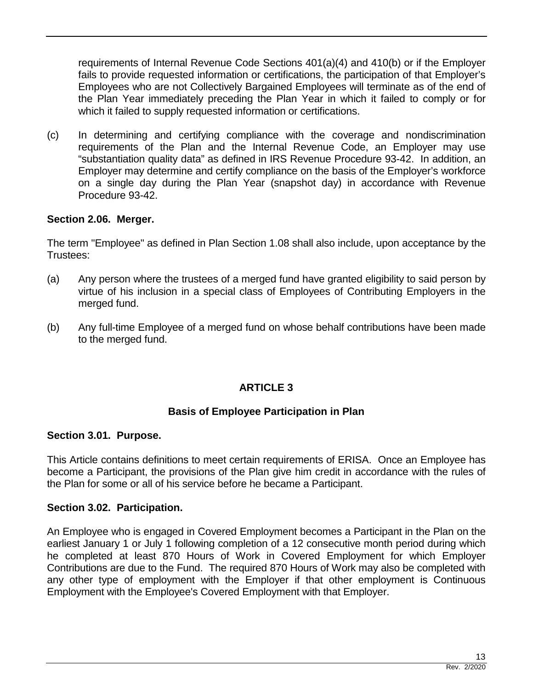requirements of Internal Revenue Code Sections 401(a)(4) and 410(b) or if the Employer fails to provide requested information or certifications, the participation of that Employer's Employees who are not Collectively Bargained Employees will terminate as of the end of the Plan Year immediately preceding the Plan Year in which it failed to comply or for which it failed to supply requested information or certifications.

(c) In determining and certifying compliance with the coverage and nondiscrimination requirements of the Plan and the Internal Revenue Code, an Employer may use "substantiation quality data" as defined in IRS Revenue Procedure 93-42. In addition, an Employer may determine and certify compliance on the basis of the Employer's workforce on a single day during the Plan Year (snapshot day) in accordance with Revenue Procedure 93-42.

## **Section 2.06. Merger.**

The term "Employee" as defined in Plan Section 1.08 shall also include, upon acceptance by the Trustees:

- (a) Any person where the trustees of a merged fund have granted eligibility to said person by virtue of his inclusion in a special class of Employees of Contributing Employers in the merged fund.
- (b) Any full-time Employee of a merged fund on whose behalf contributions have been made to the merged fund.

## **ARTICLE 3**

## **Basis of Employee Participation in Plan**

#### **Section 3.01. Purpose.**

This Article contains definitions to meet certain requirements of ERISA. Once an Employee has become a Participant, the provisions of the Plan give him credit in accordance with the rules of the Plan for some or all of his service before he became a Participant.

## **Section 3.02. Participation.**

An Employee who is engaged in Covered Employment becomes a Participant in the Plan on the earliest January 1 or July 1 following completion of a 12 consecutive month period during which he completed at least 870 Hours of Work in Covered Employment for which Employer Contributions are due to the Fund. The required 870 Hours of Work may also be completed with any other type of employment with the Employer if that other employment is Continuous Employment with the Employee's Covered Employment with that Employer.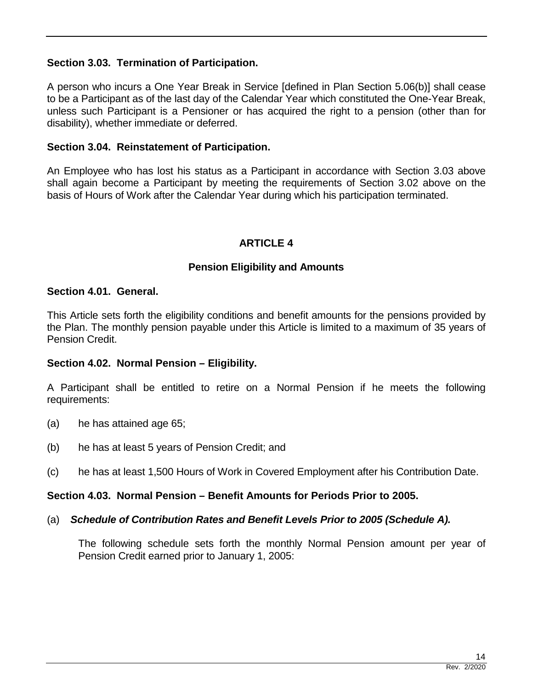## **Section 3.03. Termination of Participation.**

A person who incurs a One Year Break in Service [defined in Plan Section 5.06(b)] shall cease to be a Participant as of the last day of the Calendar Year which constituted the One-Year Break, unless such Participant is a Pensioner or has acquired the right to a pension (other than for disability), whether immediate or deferred.

## **Section 3.04. Reinstatement of Participation.**

An Employee who has lost his status as a Participant in accordance with Section 3.03 above shall again become a Participant by meeting the requirements of Section 3.02 above on the basis of Hours of Work after the Calendar Year during which his participation terminated.

## **ARTICLE 4**

## **Pension Eligibility and Amounts**

## **Section 4.01. General.**

This Article sets forth the eligibility conditions and benefit amounts for the pensions provided by the Plan. The monthly pension payable under this Article is limited to a maximum of 35 years of Pension Credit.

## **Section 4.02. Normal Pension – Eligibility.**

A Participant shall be entitled to retire on a Normal Pension if he meets the following requirements:

- (a) he has attained age 65;
- (b) he has at least 5 years of Pension Credit; and
- (c) he has at least 1,500 Hours of Work in Covered Employment after his Contribution Date.

## **Section 4.03. Normal Pension – Benefit Amounts for Periods Prior to 2005.**

#### (a) *Schedule of Contribution Rates and Benefit Levels Prior to 2005 (Schedule A).*

The following schedule sets forth the monthly Normal Pension amount per year of Pension Credit earned prior to January 1, 2005: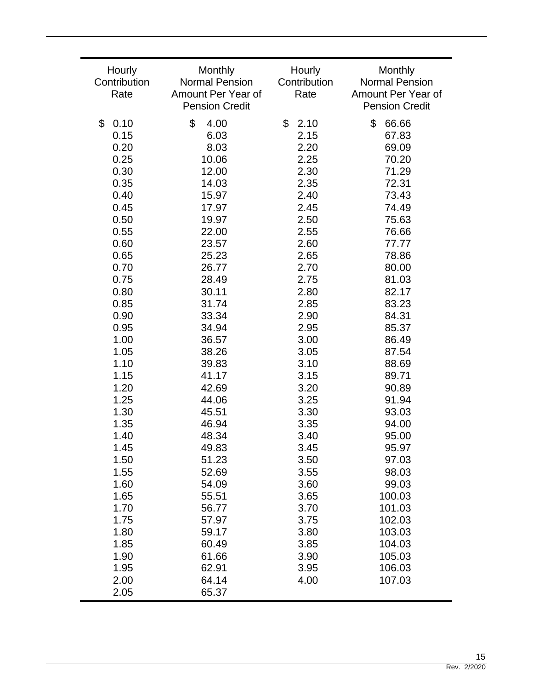| Hourly<br>Contribution<br>Rate | Monthly<br><b>Normal Pension</b><br>Amount Per Year of<br><b>Pension Credit</b> | Hourly<br>Contribution<br>Rate | Monthly<br><b>Normal Pension</b><br>Amount Per Year of<br><b>Pension Credit</b> |
|--------------------------------|---------------------------------------------------------------------------------|--------------------------------|---------------------------------------------------------------------------------|
| \$                             | \$                                                                              | \$                             | \$                                                                              |
| 0.10                           | 4.00                                                                            | 2.10                           | 66.66                                                                           |
| 0.15                           | 6.03                                                                            | 2.15                           | 67.83                                                                           |
| 0.20                           | 8.03                                                                            | 2.20                           | 69.09                                                                           |
| 0.25                           | 10.06                                                                           | 2.25                           | 70.20                                                                           |
| 0.30                           | 12.00                                                                           | 2.30                           | 71.29                                                                           |
| 0.35                           | 14.03                                                                           | 2.35                           | 72.31                                                                           |
| 0.40                           | 15.97                                                                           | 2.40                           | 73.43                                                                           |
| 0.45                           | 17.97                                                                           | 2.45                           | 74.49                                                                           |
| 0.50                           | 19.97                                                                           | 2.50                           | 75.63                                                                           |
| 0.55                           | 22.00                                                                           | 2.55                           | 76.66                                                                           |
| 0.60                           | 23.57                                                                           | 2.60                           | 77.77                                                                           |
| 0.65                           | 25.23                                                                           | 2.65                           | 78.86                                                                           |
| 0.70                           | 26.77                                                                           | 2.70                           | 80.00                                                                           |
| 0.75                           | 28.49                                                                           | 2.75                           | 81.03                                                                           |
| 0.80                           | 30.11                                                                           | 2.80                           | 82.17                                                                           |
| 0.85                           | 31.74                                                                           | 2.85                           | 83.23                                                                           |
| 0.90                           | 33.34                                                                           | 2.90                           | 84.31                                                                           |
| 0.95                           | 34.94                                                                           | 2.95                           | 85.37                                                                           |
| 1.00                           | 36.57                                                                           | 3.00                           | 86.49                                                                           |
| 1.05                           | 38.26                                                                           | 3.05                           | 87.54                                                                           |
| 1.10                           | 39.83                                                                           | 3.10                           | 88.69                                                                           |
| 1.15                           | 41.17                                                                           | 3.15                           | 89.71                                                                           |
| 1.20                           | 42.69                                                                           | 3.20                           | 90.89                                                                           |
| 1.25                           | 44.06                                                                           | 3.25                           | 91.94                                                                           |
| 1.30                           | 45.51                                                                           | 3.30                           | 93.03                                                                           |
| 1.35                           | 46.94                                                                           | 3.35                           | 94.00                                                                           |
| 1.40                           | 48.34                                                                           | 3.40                           | 95.00                                                                           |
| 1.45                           | 49.83                                                                           | 3.45                           | 95.97                                                                           |
| 1.50                           | 51.23                                                                           | 3.50                           | 97.03                                                                           |
| 1.55                           | 52.69                                                                           | 3.55                           | 98.03                                                                           |
| 1.60                           | 54.09                                                                           | 3.60                           | 99.03                                                                           |
| 1.65                           | 55.51                                                                           | 3.65                           | 100.03                                                                          |
| 1.70                           | 56.77                                                                           | 3.70                           | 101.03                                                                          |
| 1.75                           | 57.97                                                                           | 3.75                           | 102.03                                                                          |
| 1.80                           | 59.17                                                                           | 3.80                           | 103.03                                                                          |
| 1.85                           | 60.49                                                                           | 3.85                           | 104.03                                                                          |
| 1.90<br>1.95<br>2.00<br>2.05   | 61.66<br>62.91<br>64.14<br>65.37                                                | 3.90<br>3.95<br>4.00           | 105.03<br>106.03<br>107.03                                                      |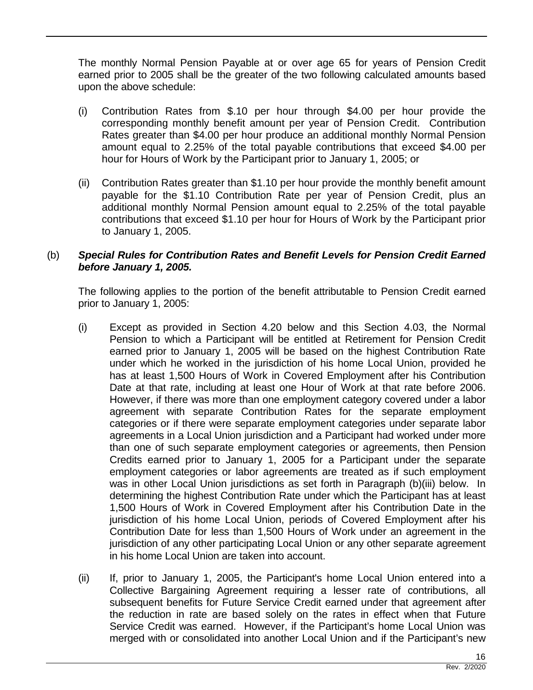The monthly Normal Pension Payable at or over age 65 for years of Pension Credit earned prior to 2005 shall be the greater of the two following calculated amounts based upon the above schedule:

- (i) Contribution Rates from \$.10 per hour through \$4.00 per hour provide the corresponding monthly benefit amount per year of Pension Credit. Contribution Rates greater than \$4.00 per hour produce an additional monthly Normal Pension amount equal to 2.25% of the total payable contributions that exceed \$4.00 per hour for Hours of Work by the Participant prior to January 1, 2005; or
- (ii) Contribution Rates greater than \$1.10 per hour provide the monthly benefit amount payable for the \$1.10 Contribution Rate per year of Pension Credit, plus an additional monthly Normal Pension amount equal to 2.25% of the total payable contributions that exceed \$1.10 per hour for Hours of Work by the Participant prior to January 1, 2005.

## (b) *Special Rules for Contribution Rates and Benefit Levels for Pension Credit Earned before January 1, 2005.*

The following applies to the portion of the benefit attributable to Pension Credit earned prior to January 1, 2005:

- (i) Except as provided in Section 4.20 below and this Section 4.03, the Normal Pension to which a Participant will be entitled at Retirement for Pension Credit earned prior to January 1, 2005 will be based on the highest Contribution Rate under which he worked in the jurisdiction of his home Local Union, provided he has at least 1,500 Hours of Work in Covered Employment after his Contribution Date at that rate, including at least one Hour of Work at that rate before 2006. However, if there was more than one employment category covered under a labor agreement with separate Contribution Rates for the separate employment categories or if there were separate employment categories under separate labor agreements in a Local Union jurisdiction and a Participant had worked under more than one of such separate employment categories or agreements, then Pension Credits earned prior to January 1, 2005 for a Participant under the separate employment categories or labor agreements are treated as if such employment was in other Local Union jurisdictions as set forth in Paragraph (b)(iii) below. In determining the highest Contribution Rate under which the Participant has at least 1,500 Hours of Work in Covered Employment after his Contribution Date in the jurisdiction of his home Local Union, periods of Covered Employment after his Contribution Date for less than 1,500 Hours of Work under an agreement in the jurisdiction of any other participating Local Union or any other separate agreement in his home Local Union are taken into account.
- (ii) If, prior to January 1, 2005, the Participant's home Local Union entered into a Collective Bargaining Agreement requiring a lesser rate of contributions, all subsequent benefits for Future Service Credit earned under that agreement after the reduction in rate are based solely on the rates in effect when that Future Service Credit was earned. However, if the Participant's home Local Union was merged with or consolidated into another Local Union and if the Participant's new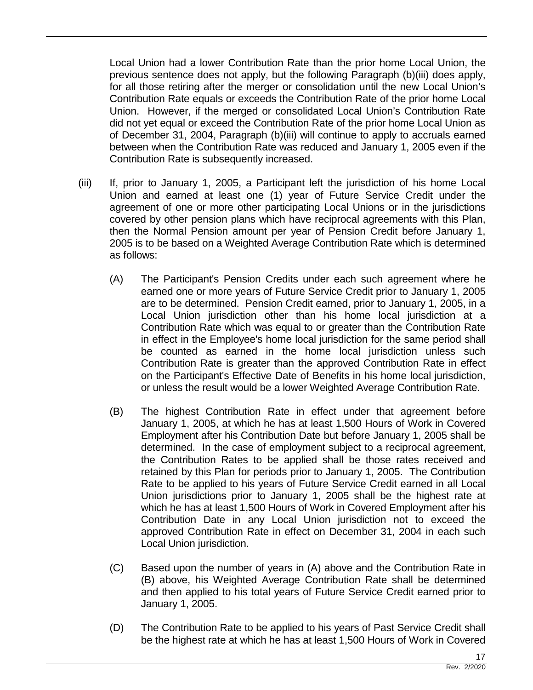Local Union had a lower Contribution Rate than the prior home Local Union, the previous sentence does not apply, but the following Paragraph (b)(iii) does apply, for all those retiring after the merger or consolidation until the new Local Union's Contribution Rate equals or exceeds the Contribution Rate of the prior home Local Union. However, if the merged or consolidated Local Union's Contribution Rate did not yet equal or exceed the Contribution Rate of the prior home Local Union as of December 31, 2004, Paragraph (b)(iii) will continue to apply to accruals earned between when the Contribution Rate was reduced and January 1, 2005 even if the Contribution Rate is subsequently increased.

- (iii) If, prior to January 1, 2005, a Participant left the jurisdiction of his home Local Union and earned at least one (1) year of Future Service Credit under the agreement of one or more other participating Local Unions or in the jurisdictions covered by other pension plans which have reciprocal agreements with this Plan, then the Normal Pension amount per year of Pension Credit before January 1, 2005 is to be based on a Weighted Average Contribution Rate which is determined as follows:
	- (A) The Participant's Pension Credits under each such agreement where he earned one or more years of Future Service Credit prior to January 1, 2005 are to be determined. Pension Credit earned, prior to January 1, 2005, in a Local Union jurisdiction other than his home local jurisdiction at a Contribution Rate which was equal to or greater than the Contribution Rate in effect in the Employee's home local jurisdiction for the same period shall be counted as earned in the home local jurisdiction unless such Contribution Rate is greater than the approved Contribution Rate in effect on the Participant's Effective Date of Benefits in his home local jurisdiction, or unless the result would be a lower Weighted Average Contribution Rate.
	- (B) The highest Contribution Rate in effect under that agreement before January 1, 2005, at which he has at least 1,500 Hours of Work in Covered Employment after his Contribution Date but before January 1, 2005 shall be determined. In the case of employment subject to a reciprocal agreement, the Contribution Rates to be applied shall be those rates received and retained by this Plan for periods prior to January 1, 2005. The Contribution Rate to be applied to his years of Future Service Credit earned in all Local Union jurisdictions prior to January 1, 2005 shall be the highest rate at which he has at least 1,500 Hours of Work in Covered Employment after his Contribution Date in any Local Union jurisdiction not to exceed the approved Contribution Rate in effect on December 31, 2004 in each such Local Union jurisdiction.
	- (C) Based upon the number of years in (A) above and the Contribution Rate in (B) above, his Weighted Average Contribution Rate shall be determined and then applied to his total years of Future Service Credit earned prior to January 1, 2005.
	- (D) The Contribution Rate to be applied to his years of Past Service Credit shall be the highest rate at which he has at least 1,500 Hours of Work in Covered

17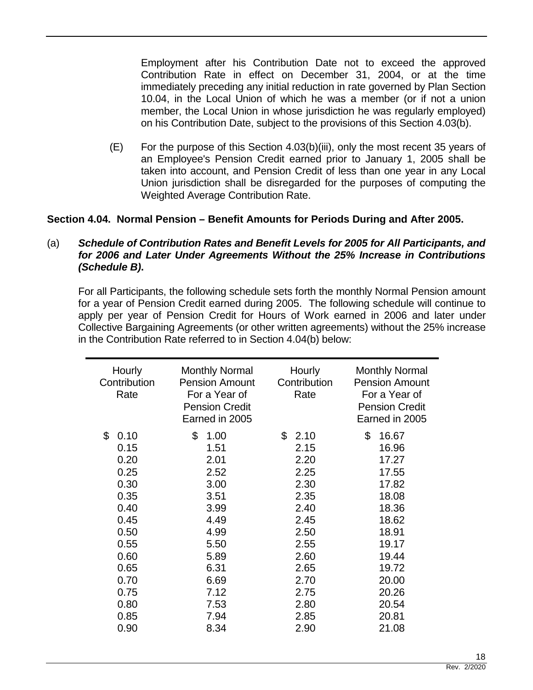Employment after his Contribution Date not to exceed the approved Contribution Rate in effect on December 31, 2004, or at the time immediately preceding any initial reduction in rate governed by Plan Section 10.04, in the Local Union of which he was a member (or if not a union member, the Local Union in whose jurisdiction he was regularly employed) on his Contribution Date, subject to the provisions of this Section 4.03(b).

(E) For the purpose of this Section 4.03(b)(iii), only the most recent 35 years of an Employee's Pension Credit earned prior to January 1, 2005 shall be taken into account, and Pension Credit of less than one year in any Local Union jurisdiction shall be disregarded for the purposes of computing the Weighted Average Contribution Rate.

## **Section 4.04. Normal Pension – Benefit Amounts for Periods During and After 2005.**

## (a) *Schedule of Contribution Rates and Benefit Levels for 2005 for All Participants, and for 2006 and Later Under Agreements Without the 25% Increase in Contributions (Schedule B)***.**

For all Participants, the following schedule sets forth the monthly Normal Pension amount for a year of Pension Credit earned during 2005. The following schedule will continue to apply per year of Pension Credit for Hours of Work earned in 2006 and later under Collective Bargaining Agreements (or other written agreements) without the 25% increase in the Contribution Rate referred to in Section 4.04(b) below:

| Hourly<br>Contribution<br>Rate                                                                                             | <b>Monthly Normal</b><br><b>Pension Amount</b><br>For a Year of<br><b>Pension Credit</b><br>Earned in 2005                 | Hourly<br>Contribution<br>Rate                                                                                             | <b>Monthly Normal</b><br><b>Pension Amount</b><br>For a Year of<br><b>Pension Credit</b><br>Earned in 2005                                |
|----------------------------------------------------------------------------------------------------------------------------|----------------------------------------------------------------------------------------------------------------------------|----------------------------------------------------------------------------------------------------------------------------|-------------------------------------------------------------------------------------------------------------------------------------------|
| \$<br>0.10<br>0.15<br>0.20<br>0.25<br>0.30<br>0.35<br>0.40<br>0.45<br>0.50<br>0.55<br>0.60<br>0.65<br>0.70<br>0.75<br>0.80 | \$<br>1.00<br>1.51<br>2.01<br>2.52<br>3.00<br>3.51<br>3.99<br>4.49<br>4.99<br>5.50<br>5.89<br>6.31<br>6.69<br>7.12<br>7.53 | \$<br>2.10<br>2.15<br>2.20<br>2.25<br>2.30<br>2.35<br>2.40<br>2.45<br>2.50<br>2.55<br>2.60<br>2.65<br>2.70<br>2.75<br>2.80 | \$<br>16.67<br>16.96<br>17.27<br>17.55<br>17.82<br>18.08<br>18.36<br>18.62<br>18.91<br>19.17<br>19.44<br>19.72<br>20.00<br>20.26<br>20.54 |
| 0.85<br>0.90                                                                                                               | 7.94<br>8.34                                                                                                               | 2.85<br>2.90                                                                                                               | 20.81<br>21.08                                                                                                                            |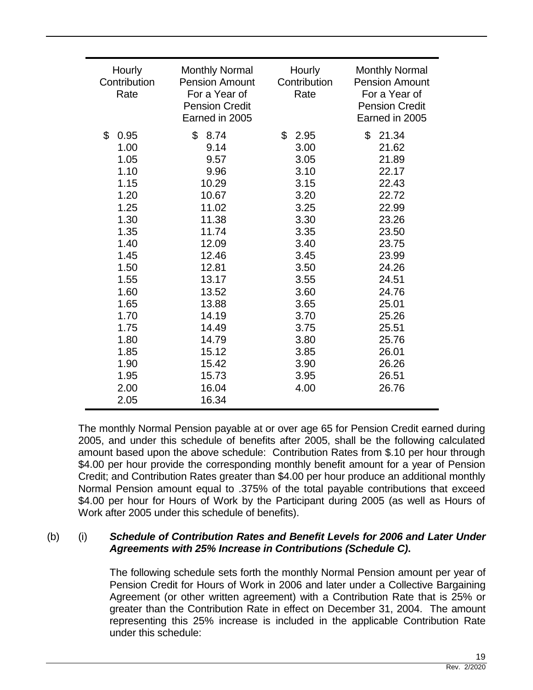| Hourly<br>Contribution<br>Rate                                                                                                                                     | <b>Monthly Normal</b><br><b>Pension Amount</b><br>For a Year of<br><b>Pension Credit</b><br>Earned in 2005                                                                         | Hourly<br>Contribution<br>Rate                                                                                                                                     | <b>Monthly Normal</b><br><b>Pension Amount</b><br>For a Year of<br><b>Pension Credit</b><br>Earned in 2005                                                                             |
|--------------------------------------------------------------------------------------------------------------------------------------------------------------------|------------------------------------------------------------------------------------------------------------------------------------------------------------------------------------|--------------------------------------------------------------------------------------------------------------------------------------------------------------------|----------------------------------------------------------------------------------------------------------------------------------------------------------------------------------------|
| \$<br>0.95<br>1.00<br>1.05<br>1.10<br>1.15<br>1.20<br>1.25<br>1.30<br>1.35<br>1.40<br>1.45<br>1.50<br>1.55<br>1.60<br>1.65<br>1.70<br>1.75<br>1.80<br>1.85<br>1.90 | \$<br>8.74<br>9.14<br>9.57<br>9.96<br>10.29<br>10.67<br>11.02<br>11.38<br>11.74<br>12.09<br>12.46<br>12.81<br>13.17<br>13.52<br>13.88<br>14.19<br>14.49<br>14.79<br>15.12<br>15.42 | \$<br>2.95<br>3.00<br>3.05<br>3.10<br>3.15<br>3.20<br>3.25<br>3.30<br>3.35<br>3.40<br>3.45<br>3.50<br>3.55<br>3.60<br>3.65<br>3.70<br>3.75<br>3.80<br>3.85<br>3.90 | \$<br>21.34<br>21.62<br>21.89<br>22.17<br>22.43<br>22.72<br>22.99<br>23.26<br>23.50<br>23.75<br>23.99<br>24.26<br>24.51<br>24.76<br>25.01<br>25.26<br>25.51<br>25.76<br>26.01<br>26.26 |
| 1.95<br>2.00<br>2.05                                                                                                                                               | 15.73<br>16.04<br>16.34                                                                                                                                                            | 3.95<br>4.00                                                                                                                                                       | 26.51<br>26.76                                                                                                                                                                         |

The monthly Normal Pension payable at or over age 65 for Pension Credit earned during 2005, and under this schedule of benefits after 2005, shall be the following calculated amount based upon the above schedule: Contribution Rates from \$.10 per hour through \$4.00 per hour provide the corresponding monthly benefit amount for a year of Pension Credit; and Contribution Rates greater than \$4.00 per hour produce an additional monthly Normal Pension amount equal to .375% of the total payable contributions that exceed \$4.00 per hour for Hours of Work by the Participant during 2005 (as well as Hours of Work after 2005 under this schedule of benefits).

## (b) (i) *Schedule of Contribution Rates and Benefit Levels for 2006 and Later Under Agreements with 25% Increase in Contributions (Schedule C)***.**

The following schedule sets forth the monthly Normal Pension amount per year of Pension Credit for Hours of Work in 2006 and later under a Collective Bargaining Agreement (or other written agreement) with a Contribution Rate that is 25% or greater than the Contribution Rate in effect on December 31, 2004. The amount representing this 25% increase is included in the applicable Contribution Rate under this schedule: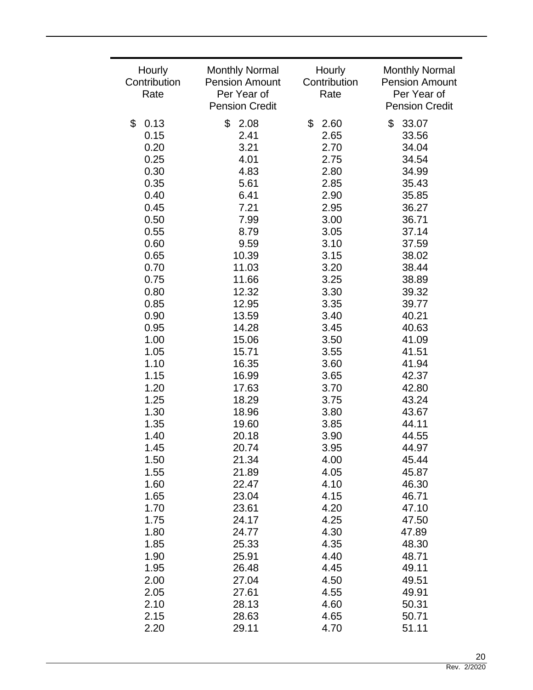| Hourly               | <b>Monthly Normal</b>                | Hourly               | <b>Monthly Normal</b>                |
|----------------------|--------------------------------------|----------------------|--------------------------------------|
| Contribution<br>Rate | <b>Pension Amount</b><br>Per Year of | Contribution<br>Rate | <b>Pension Amount</b><br>Per Year of |
|                      | <b>Pension Credit</b>                |                      | <b>Pension Credit</b>                |
| \$<br>0.13           | \$<br>2.08                           | \$<br>2.60           | \$<br>33.07                          |
| 0.15                 | 2.41                                 | 2.65                 | 33.56                                |
| 0.20                 | 3.21                                 | 2.70                 | 34.04                                |
| 0.25                 | 4.01                                 | 2.75                 | 34.54                                |
| 0.30                 | 4.83                                 | 2.80                 | 34.99                                |
| 0.35                 | 5.61                                 | 2.85                 | 35.43                                |
| 0.40                 | 6.41                                 | 2.90                 | 35.85                                |
| 0.45                 | 7.21                                 | 2.95                 | 36.27                                |
| 0.50                 | 7.99                                 | 3.00                 | 36.71                                |
| 0.55                 | 8.79                                 | 3.05                 | 37.14                                |
| 0.60                 | 9.59                                 | 3.10                 | 37.59                                |
| 0.65                 | 10.39                                | 3.15                 | 38.02                                |
| 0.70                 | 11.03                                | 3.20                 | 38.44                                |
| 0.75                 | 11.66                                | 3.25                 | 38.89                                |
| 0.80                 | 12.32                                | 3.30                 | 39.32                                |
| 0.85                 | 12.95                                | 3.35                 | 39.77                                |
| 0.90                 | 13.59                                | 3.40                 | 40.21                                |
| 0.95                 | 14.28                                | 3.45                 | 40.63                                |
| 1.00                 | 15.06                                | 3.50                 | 41.09                                |
| 1.05                 | 15.71                                | 3.55                 | 41.51                                |
| 1.10                 | 16.35                                | 3.60                 | 41.94                                |
| 1.15<br>1.20         | 16.99<br>17.63                       | 3.65<br>3.70         | 42.37<br>42.80                       |
| 1.25                 | 18.29                                | 3.75                 | 43.24                                |
| 1.30                 | 18.96                                | 3.80                 | 43.67                                |
| 1.35                 | 19.60                                | 3.85                 | 44.11                                |
| 1.40                 | 20.18                                | 3.90                 | 44.55                                |
| 1.45                 | 20.74                                | 3.95                 | 44.97                                |
| 1.50                 | 21.34                                | 4.00                 | 45.44                                |
| 1.55                 | 21.89                                | 4.05                 | 45.87                                |
| 1.60                 | 22.47                                | 4.10                 | 46.30                                |
| 1.65                 | 23.04                                | 4.15                 | 46.71                                |
| 1.70                 | 23.61                                | 4.20                 | 47.10                                |
| 1.75                 | 24.17                                | 4.25                 | 47.50                                |
| 1.80                 | 24.77                                | 4.30                 | 47.89                                |
| 1.85                 | 25.33                                | 4.35                 | 48.30                                |
| 1.90                 | 25.91                                | 4.40                 | 48.71                                |
| 1.95                 | 26.48                                | 4.45                 | 49.11                                |
| 2.00                 | 27.04                                | 4.50                 | 49.51                                |
| 2.05                 | 27.61                                | 4.55                 | 49.91                                |
| 2.10                 | 28.13                                | 4.60                 | 50.31                                |
| 2.15                 | 28.63                                | 4.65                 | 50.71                                |
| 2.20                 | 29.11                                | 4.70                 | 51.11                                |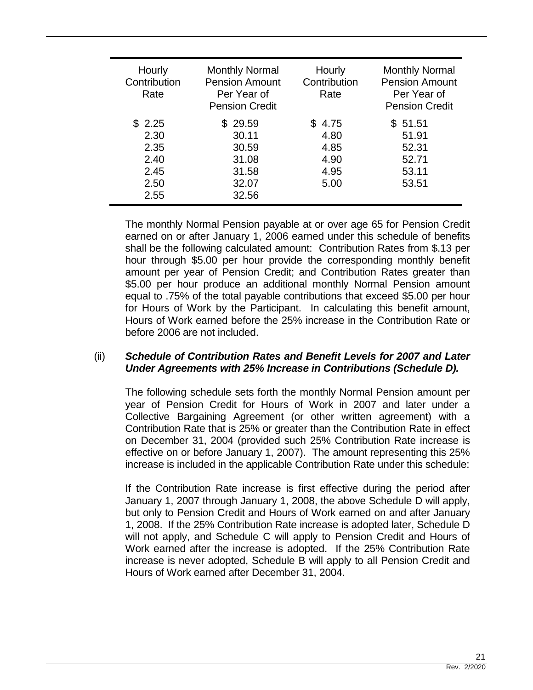| Hourly<br>Contribution<br>Rate                         | <b>Monthly Normal</b><br><b>Pension Amount</b><br>Per Year of<br><b>Pension Credit</b> | Hourly<br>Contribution<br>Rate               | <b>Monthly Normal</b><br><b>Pension Amount</b><br>Per Year of<br><b>Pension Credit</b> |
|--------------------------------------------------------|----------------------------------------------------------------------------------------|----------------------------------------------|----------------------------------------------------------------------------------------|
| \$2.25<br>2.30<br>2.35<br>2.40<br>2.45<br>2.50<br>2.55 | \$29.59<br>30.11<br>30.59<br>31.08<br>31.58<br>32.07<br>32.56                          | 4.75<br>4.80<br>4.85<br>4.90<br>4.95<br>5.00 | \$51.51<br>51.91<br>52.31<br>52.71<br>53.11<br>53.51                                   |

The monthly Normal Pension payable at or over age 65 for Pension Credit earned on or after January 1, 2006 earned under this schedule of benefits shall be the following calculated amount: Contribution Rates from \$.13 per hour through \$5.00 per hour provide the corresponding monthly benefit amount per year of Pension Credit; and Contribution Rates greater than \$5.00 per hour produce an additional monthly Normal Pension amount equal to .75% of the total payable contributions that exceed \$5.00 per hour for Hours of Work by the Participant. In calculating this benefit amount, Hours of Work earned before the 25% increase in the Contribution Rate or before 2006 are not included.

## (ii) *Schedule of Contribution Rates and Benefit Levels for 2007 and Later Under Agreements with 25% Increase in Contributions (Schedule D).*

The following schedule sets forth the monthly Normal Pension amount per year of Pension Credit for Hours of Work in 2007 and later under a Collective Bargaining Agreement (or other written agreement) with a Contribution Rate that is 25% or greater than the Contribution Rate in effect on December 31, 2004 (provided such 25% Contribution Rate increase is effective on or before January 1, 2007). The amount representing this 25% increase is included in the applicable Contribution Rate under this schedule:

If the Contribution Rate increase is first effective during the period after January 1, 2007 through January 1, 2008, the above Schedule D will apply, but only to Pension Credit and Hours of Work earned on and after January 1, 2008. If the 25% Contribution Rate increase is adopted later, Schedule D will not apply, and Schedule C will apply to Pension Credit and Hours of Work earned after the increase is adopted. If the 25% Contribution Rate increase is never adopted, Schedule B will apply to all Pension Credit and Hours of Work earned after December 31, 2004.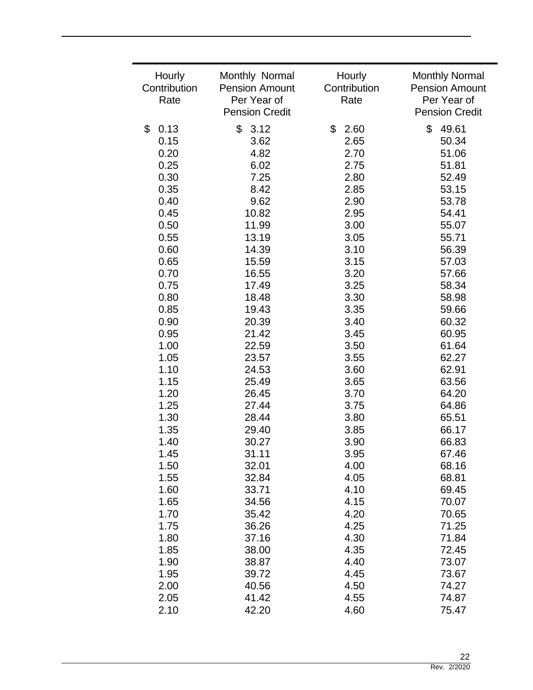| Hourly<br>Contribution<br>Rate | Monthly Normal<br><b>Pension Amount</b><br>Per Year of<br><b>Pension Credit</b> | Hourly<br>Contribution<br>Rate | <b>Monthly Normal</b><br><b>Pension Amount</b><br>Per Year of<br><b>Pension Credit</b> |
|--------------------------------|---------------------------------------------------------------------------------|--------------------------------|----------------------------------------------------------------------------------------|
| \$                             | \$                                                                              | \$                             | \$                                                                                     |
| 0.13                           | 3.12                                                                            | 2.60                           | 49.61                                                                                  |
| 0.15                           | 3.62                                                                            | 2.65                           | 50.34                                                                                  |
| 0.20                           | 4.82                                                                            | 2.70                           | 51.06                                                                                  |
| 0.25                           | 6.02                                                                            | 2.75                           | 51.81                                                                                  |
| 0.30                           | 7.25                                                                            | 2.80                           | 52.49                                                                                  |
| 0.35                           | 8.42                                                                            | 2.85                           | 53.15                                                                                  |
| 0.40                           | 9.62                                                                            | 2.90                           | 53.78                                                                                  |
| 0.45                           | 10.82                                                                           | 2.95                           | 54.41                                                                                  |
| 0.50                           | 11.99                                                                           | 3.00                           | 55.07                                                                                  |
| 0.55                           | 13.19                                                                           | 3.05                           | 55.71                                                                                  |
| 0.60                           | 14.39                                                                           | 3.10                           | 56.39                                                                                  |
| 0.65                           | 15.59                                                                           | 3.15                           | 57.03                                                                                  |
| 0.70                           | 16.55                                                                           | 3.20                           | 57.66                                                                                  |
| 0.75                           | 17.49                                                                           | 3.25                           | 58.34                                                                                  |
| 0.80                           | 18.48                                                                           | 3.30                           | 58.98                                                                                  |
| 0.85                           | 19.43                                                                           | 3.35                           | 59.66                                                                                  |
| 0.90                           | 20.39                                                                           | 3.40                           | 60.32                                                                                  |
| 0.95                           | 21.42                                                                           | 3.45                           | 60.95                                                                                  |
| 1.00                           | 22.59                                                                           | 3.50                           | 61.64                                                                                  |
| 1.05                           | 23.57                                                                           | 3.55                           | 62.27                                                                                  |
| 1.10                           | 24.53                                                                           | 3.60                           | 62.91                                                                                  |
| 1.15                           | 25.49                                                                           | 3.65                           | 63.56                                                                                  |
| 1.20                           | 26.45                                                                           | 3.70                           | 64.20                                                                                  |
| 1.25                           | 27.44                                                                           | 3.75                           | 64.86                                                                                  |
| 1.30                           | 28.44                                                                           | 3.80                           | 65.51                                                                                  |
| 1.35                           | 29.40                                                                           | 3.85                           | 66.17                                                                                  |
| 1.40                           | 30.27                                                                           | 3.90                           | 66.83                                                                                  |
| 1.45                           | 31.11                                                                           | 3.95                           | 67.46                                                                                  |
| 1.50                           | 32.01                                                                           | 4.00                           | 68.16                                                                                  |
| 1.55                           | 32.84                                                                           | 4.05                           | 68.81                                                                                  |
| 1.60                           | 33.71                                                                           | 4.10                           | 69.45                                                                                  |
| 1.65                           | 34.56                                                                           | 4.15                           | 70.07                                                                                  |
| 1.70                           | 35.42                                                                           | 4.20                           | 70.65                                                                                  |
| 1.75                           | 36.26                                                                           | 4.25                           | 71.25                                                                                  |
| 1.80                           | 37.16                                                                           | 4.30                           | 71.84                                                                                  |
| 1.85                           | 38.00                                                                           | 4.35                           | 72.45                                                                                  |
| 1.90                           | 38.87                                                                           | 4.40                           | 73.07                                                                                  |
| 1.95                           | 39.72                                                                           | 4.45                           | 73.67                                                                                  |
| 2.00                           | 40.56                                                                           | 4.50                           | 74.27                                                                                  |
| 2.05                           | 41.42                                                                           | 4.55                           | 74.87                                                                                  |
| 2.10                           | 42.20                                                                           | 4.60                           | 75.47                                                                                  |

۰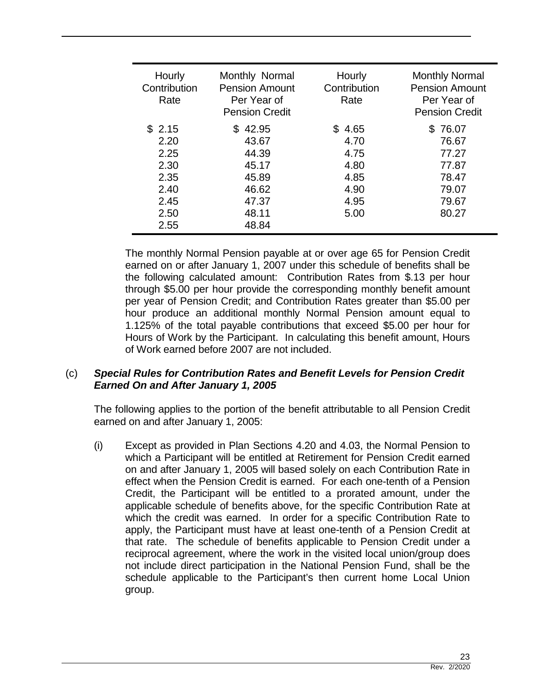| Hourly<br>Contribution<br>Rate       | Monthly Normal<br><b>Pension Amount</b><br>Per Year of<br><b>Pension Credit</b> | Hourly<br>Contribution<br>Rate | <b>Monthly Normal</b><br><b>Pension Amount</b><br>Per Year of<br><b>Pension Credit</b> |
|--------------------------------------|---------------------------------------------------------------------------------|--------------------------------|----------------------------------------------------------------------------------------|
| \$2.15<br>2.20<br>2.25<br>2.30       | \$42.95<br>43.67<br>44.39<br>45.17                                              | \$4.65<br>4.70<br>4.75<br>4.80 | \$76.07<br>76.67<br>77.27<br>77.87                                                     |
| 2.35<br>2.40<br>2.45<br>2.50<br>2.55 | 45.89<br>46.62<br>47.37<br>48.11<br>48.84                                       | 4.85<br>4.90<br>4.95<br>5.00   | 78.47<br>79.07<br>79.67<br>80.27                                                       |

The monthly Normal Pension payable at or over age 65 for Pension Credit earned on or after January 1, 2007 under this schedule of benefits shall be the following calculated amount: Contribution Rates from \$.13 per hour through \$5.00 per hour provide the corresponding monthly benefit amount per year of Pension Credit; and Contribution Rates greater than \$5.00 per hour produce an additional monthly Normal Pension amount equal to 1.125% of the total payable contributions that exceed \$5.00 per hour for Hours of Work by the Participant. In calculating this benefit amount, Hours of Work earned before 2007 are not included.

## (c) *Special Rules for Contribution Rates and Benefit Levels for Pension Credit Earned On and After January 1, 2005*

The following applies to the portion of the benefit attributable to all Pension Credit earned on and after January 1, 2005:

(i) Except as provided in Plan Sections 4.20 and 4.03, the Normal Pension to which a Participant will be entitled at Retirement for Pension Credit earned on and after January 1, 2005 will based solely on each Contribution Rate in effect when the Pension Credit is earned. For each one-tenth of a Pension Credit, the Participant will be entitled to a prorated amount, under the applicable schedule of benefits above, for the specific Contribution Rate at which the credit was earned. In order for a specific Contribution Rate to apply, the Participant must have at least one-tenth of a Pension Credit at that rate. The schedule of benefits applicable to Pension Credit under a reciprocal agreement, where the work in the visited local union/group does not include direct participation in the National Pension Fund, shall be the schedule applicable to the Participant's then current home Local Union group.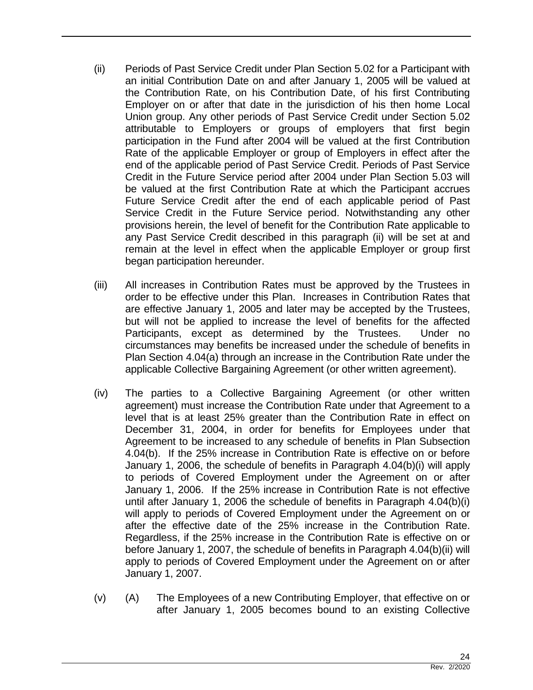- (ii) Periods of Past Service Credit under Plan Section 5.02 for a Participant with an initial Contribution Date on and after January 1, 2005 will be valued at the Contribution Rate, on his Contribution Date, of his first Contributing Employer on or after that date in the jurisdiction of his then home Local Union group. Any other periods of Past Service Credit under Section 5.02 attributable to Employers or groups of employers that first begin participation in the Fund after 2004 will be valued at the first Contribution Rate of the applicable Employer or group of Employers in effect after the end of the applicable period of Past Service Credit. Periods of Past Service Credit in the Future Service period after 2004 under Plan Section 5.03 will be valued at the first Contribution Rate at which the Participant accrues Future Service Credit after the end of each applicable period of Past Service Credit in the Future Service period. Notwithstanding any other provisions herein, the level of benefit for the Contribution Rate applicable to any Past Service Credit described in this paragraph (ii) will be set at and remain at the level in effect when the applicable Employer or group first began participation hereunder.
- (iii) All increases in Contribution Rates must be approved by the Trustees in order to be effective under this Plan. Increases in Contribution Rates that are effective January 1, 2005 and later may be accepted by the Trustees, but will not be applied to increase the level of benefits for the affected Participants, except as determined by the Trustees. Under no circumstances may benefits be increased under the schedule of benefits in Plan Section 4.04(a) through an increase in the Contribution Rate under the applicable Collective Bargaining Agreement (or other written agreement).
- (iv) The parties to a Collective Bargaining Agreement (or other written agreement) must increase the Contribution Rate under that Agreement to a level that is at least 25% greater than the Contribution Rate in effect on December 31, 2004, in order for benefits for Employees under that Agreement to be increased to any schedule of benefits in Plan Subsection 4.04(b). If the 25% increase in Contribution Rate is effective on or before January 1, 2006, the schedule of benefits in Paragraph 4.04(b)(i) will apply to periods of Covered Employment under the Agreement on or after January 1, 2006. If the 25% increase in Contribution Rate is not effective until after January 1, 2006 the schedule of benefits in Paragraph 4.04(b)(i) will apply to periods of Covered Employment under the Agreement on or after the effective date of the 25% increase in the Contribution Rate. Regardless, if the 25% increase in the Contribution Rate is effective on or before January 1, 2007, the schedule of benefits in Paragraph 4.04(b)(ii) will apply to periods of Covered Employment under the Agreement on or after January 1, 2007.
- (v) (A) The Employees of a new Contributing Employer, that effective on or after January 1, 2005 becomes bound to an existing Collective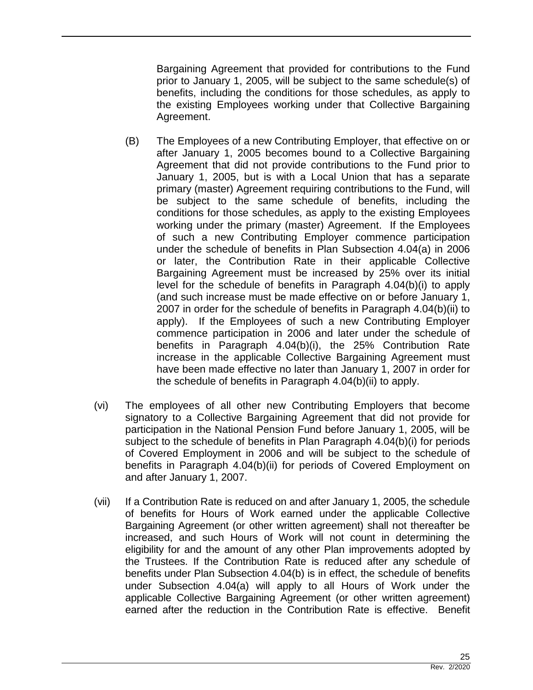Bargaining Agreement that provided for contributions to the Fund prior to January 1, 2005, will be subject to the same schedule(s) of benefits, including the conditions for those schedules, as apply to the existing Employees working under that Collective Bargaining Agreement.

- (B) The Employees of a new Contributing Employer, that effective on or after January 1, 2005 becomes bound to a Collective Bargaining Agreement that did not provide contributions to the Fund prior to January 1, 2005, but is with a Local Union that has a separate primary (master) Agreement requiring contributions to the Fund, will be subject to the same schedule of benefits, including the conditions for those schedules, as apply to the existing Employees working under the primary (master) Agreement. If the Employees of such a new Contributing Employer commence participation under the schedule of benefits in Plan Subsection 4.04(a) in 2006 or later, the Contribution Rate in their applicable Collective Bargaining Agreement must be increased by 25% over its initial level for the schedule of benefits in Paragraph 4.04(b)(i) to apply (and such increase must be made effective on or before January 1, 2007 in order for the schedule of benefits in Paragraph 4.04(b)(ii) to apply). If the Employees of such a new Contributing Employer commence participation in 2006 and later under the schedule of benefits in Paragraph 4.04(b)(i), the 25% Contribution Rate increase in the applicable Collective Bargaining Agreement must have been made effective no later than January 1, 2007 in order for the schedule of benefits in Paragraph 4.04(b)(ii) to apply.
- (vi) The employees of all other new Contributing Employers that become signatory to a Collective Bargaining Agreement that did not provide for participation in the National Pension Fund before January 1, 2005, will be subject to the schedule of benefits in Plan Paragraph 4.04(b)(i) for periods of Covered Employment in 2006 and will be subject to the schedule of benefits in Paragraph 4.04(b)(ii) for periods of Covered Employment on and after January 1, 2007.
- (vii) If a Contribution Rate is reduced on and after January 1, 2005, the schedule of benefits for Hours of Work earned under the applicable Collective Bargaining Agreement (or other written agreement) shall not thereafter be increased, and such Hours of Work will not count in determining the eligibility for and the amount of any other Plan improvements adopted by the Trustees. If the Contribution Rate is reduced after any schedule of benefits under Plan Subsection 4.04(b) is in effect, the schedule of benefits under Subsection 4.04(a) will apply to all Hours of Work under the applicable Collective Bargaining Agreement (or other written agreement) earned after the reduction in the Contribution Rate is effective. Benefit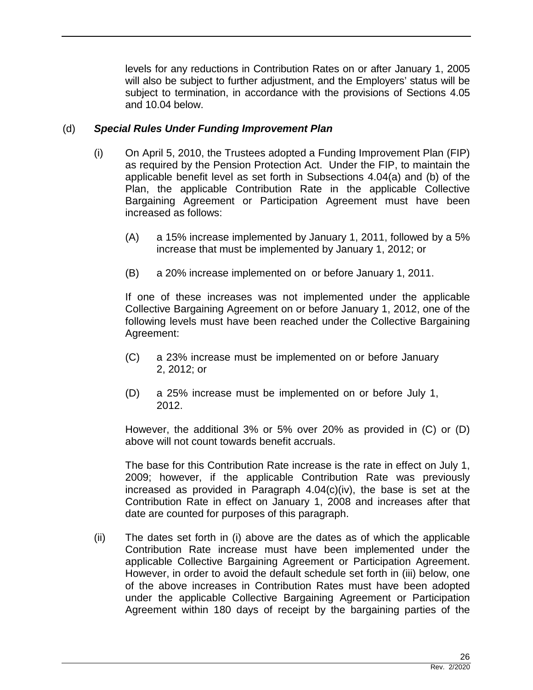levels for any reductions in Contribution Rates on or after January 1, 2005 will also be subject to further adjustment, and the Employers' status will be subject to termination, in accordance with the provisions of Sections 4.05 and 10.04 below.

## (d) *Special Rules Under Funding Improvement Plan*

- (i) On April 5, 2010, the Trustees adopted a Funding Improvement Plan (FIP) as required by the Pension Protection Act. Under the FIP, to maintain the applicable benefit level as set forth in Subsections 4.04(a) and (b) of the Plan, the applicable Contribution Rate in the applicable Collective Bargaining Agreement or Participation Agreement must have been increased as follows:
	- (A) a 15% increase implemented by January 1, 2011, followed by a 5% increase that must be implemented by January 1, 2012; or
	- (B) a 20% increase implemented on or before January 1, 2011.

If one of these increases was not implemented under the applicable Collective Bargaining Agreement on or before January 1, 2012, one of the following levels must have been reached under the Collective Bargaining Agreement:

- (C) a 23% increase must be implemented on or before January 2, 2012; or
- (D) a 25% increase must be implemented on or before July 1, 2012.

However, the additional 3% or 5% over 20% as provided in (C) or (D) above will not count towards benefit accruals.

The base for this Contribution Rate increase is the rate in effect on July 1, 2009; however, if the applicable Contribution Rate was previously increased as provided in Paragraph 4.04(c)(iv), the base is set at the Contribution Rate in effect on January 1, 2008 and increases after that date are counted for purposes of this paragraph.

(ii) The dates set forth in (i) above are the dates as of which the applicable Contribution Rate increase must have been implemented under the applicable Collective Bargaining Agreement or Participation Agreement. However, in order to avoid the default schedule set forth in (iii) below, one of the above increases in Contribution Rates must have been adopted under the applicable Collective Bargaining Agreement or Participation Agreement within 180 days of receipt by the bargaining parties of the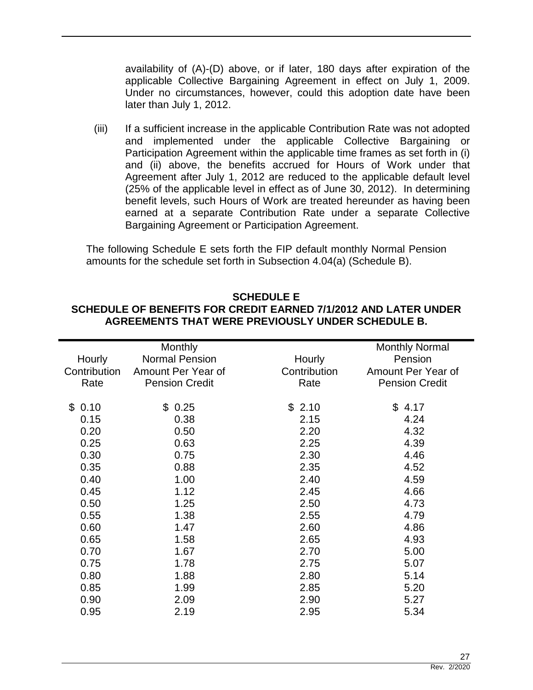availability of (A)-(D) above, or if later, 180 days after expiration of the applicable Collective Bargaining Agreement in effect on July 1, 2009. Under no circumstances, however, could this adoption date have been later than July 1, 2012.

(iii) If a sufficient increase in the applicable Contribution Rate was not adopted and implemented under the applicable Collective Bargaining or Participation Agreement within the applicable time frames as set forth in (i) and (ii) above, the benefits accrued for Hours of Work under that Agreement after July 1, 2012 are reduced to the applicable default level (25% of the applicable level in effect as of June 30, 2012). In determining benefit levels, such Hours of Work are treated hereunder as having been earned at a separate Contribution Rate under a separate Collective Bargaining Agreement or Participation Agreement.

The following Schedule E sets forth the FIP default monthly Normal Pension amounts for the schedule set forth in Subsection 4.04(a) (Schedule B).

#### **SCHEDULE E SCHEDULE OF BENEFITS FOR CREDIT EARNED 7/1/2012 AND LATER UNDER AGREEMENTS THAT WERE PREVIOUSLY UNDER SCHEDULE B.**

|              | Monthly               |              | <b>Monthly Normal</b> |
|--------------|-----------------------|--------------|-----------------------|
| Hourly       | <b>Normal Pension</b> | Hourly       | Pension               |
| Contribution | Amount Per Year of    | Contribution | Amount Per Year of    |
| Rate         | <b>Pension Credit</b> | Rate         | <b>Pension Credit</b> |
|              |                       |              |                       |
| \$0.10       | \$0.25                | \$2.10       | \$4.17                |
| 0.15         | 0.38                  | 2.15         | 4.24                  |
| 0.20         | 0.50                  | 2.20         | 4.32                  |
| 0.25         | 0.63                  | 2.25         | 4.39                  |
| 0.30         | 0.75                  | 2.30         | 4.46                  |
| 0.35         | 0.88                  | 2.35         | 4.52                  |
| 0.40         | 1.00                  | 2.40         | 4.59                  |
| 0.45         | 1.12                  | 2.45         | 4.66                  |
| 0.50         | 1.25                  | 2.50         | 4.73                  |
| 0.55         | 1.38                  | 2.55         | 4.79                  |
| 0.60         | 1.47                  | 2.60         | 4.86                  |
| 0.65         | 1.58                  | 2.65         | 4.93                  |
| 0.70         | 1.67                  | 2.70         | 5.00                  |
| 0.75         | 1.78                  | 2.75         | 5.07                  |
| 0.80         | 1.88                  | 2.80         | 5.14                  |
| 0.85         | 1.99                  | 2.85         | 5.20                  |
| 0.90         | 2.09                  | 2.90         | 5.27                  |
| 0.95         | 2.19                  | 2.95         | 5.34                  |
|              |                       |              |                       |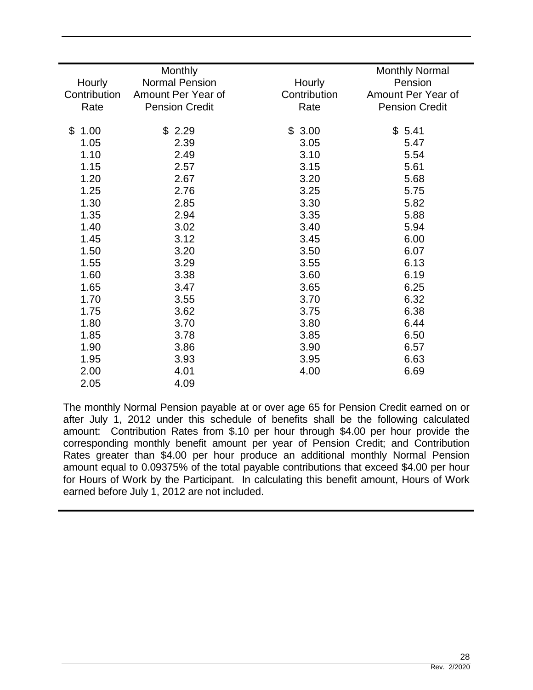|              | Monthly               |              | <b>Monthly Normal</b> |
|--------------|-----------------------|--------------|-----------------------|
| Hourly       | <b>Normal Pension</b> | Hourly       | Pension               |
| Contribution | Amount Per Year of    | Contribution | Amount Per Year of    |
| Rate         | <b>Pension Credit</b> | Rate         | <b>Pension Credit</b> |
|              |                       |              |                       |
| \$<br>1.00   | \$2.29                | \$3.00       | \$5.41                |
| 1.05         | 2.39                  | 3.05         | 5.47                  |
| 1.10         | 2.49                  | 3.10         | 5.54                  |
| 1.15         | 2.57                  | 3.15         | 5.61                  |
| 1.20         | 2.67                  | 3.20         | 5.68                  |
| 1.25         | 2.76                  | 3.25         | 5.75                  |
| 1.30         | 2.85                  | 3.30         | 5.82                  |
| 1.35         | 2.94                  | 3.35         | 5.88                  |
| 1.40         | 3.02                  | 3.40         | 5.94                  |
| 1.45         | 3.12                  | 3.45         | 6.00                  |
| 1.50         | 3.20                  | 3.50         | 6.07                  |
| 1.55         | 3.29                  | 3.55         | 6.13                  |
| 1.60         | 3.38                  | 3.60         | 6.19                  |
| 1.65         | 3.47                  | 3.65         | 6.25                  |
| 1.70         | 3.55                  | 3.70         | 6.32                  |
| 1.75         | 3.62                  | 3.75         | 6.38                  |
| 1.80         | 3.70                  | 3.80         | 6.44                  |
| 1.85         | 3.78                  | 3.85         | 6.50                  |
| 1.90         | 3.86                  | 3.90         | 6.57                  |
| 1.95         | 3.93                  | 3.95         | 6.63                  |
| 2.00         | 4.01                  | 4.00         | 6.69                  |
| 2.05         | 4.09                  |              |                       |

The monthly Normal Pension payable at or over age 65 for Pension Credit earned on or after July 1, 2012 under this schedule of benefits shall be the following calculated amount: Contribution Rates from \$.10 per hour through \$4.00 per hour provide the corresponding monthly benefit amount per year of Pension Credit; and Contribution Rates greater than \$4.00 per hour produce an additional monthly Normal Pension amount equal to 0.09375% of the total payable contributions that exceed \$4.00 per hour for Hours of Work by the Participant. In calculating this benefit amount, Hours of Work earned before July 1, 2012 are not included.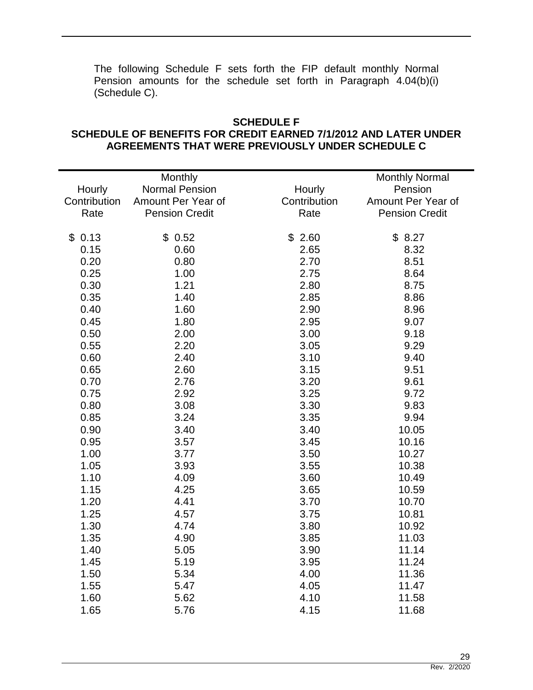The following Schedule F sets forth the FIP default monthly Normal Pension amounts for the schedule set forth in Paragraph 4.04(b)(i) (Schedule C).

## **SCHEDULE F SCHEDULE OF BENEFITS FOR CREDIT EARNED 7/1/2012 AND LATER UNDER AGREEMENTS THAT WERE PREVIOUSLY UNDER SCHEDULE C**

|              | Monthly               |              | <b>Monthly Normal</b> |
|--------------|-----------------------|--------------|-----------------------|
| Hourly       | <b>Normal Pension</b> | Hourly       | Pension               |
| Contribution | Amount Per Year of    | Contribution | Amount Per Year of    |
| Rate         | <b>Pension Credit</b> | Rate         | <b>Pension Credit</b> |
|              |                       |              |                       |
| \$0.13       | \$0.52                | \$2.60       | \$8.27                |
| 0.15         | 0.60                  | 2.65         | 8.32                  |
| 0.20         | 0.80                  | 2.70         | 8.51                  |
| 0.25         | 1.00                  | 2.75         | 8.64                  |
| 0.30         | 1.21                  | 2.80         | 8.75                  |
| 0.35         | 1.40                  | 2.85         | 8.86                  |
| 0.40         | 1.60                  | 2.90         | 8.96                  |
| 0.45         | 1.80                  | 2.95         | 9.07                  |
| 0.50         | 2.00                  | 3.00         | 9.18                  |
| 0.55         | 2.20                  | 3.05         | 9.29                  |
| 0.60         | 2.40                  | 3.10         | 9.40                  |
| 0.65         | 2.60                  | 3.15         | 9.51                  |
| 0.70         | 2.76                  | 3.20         | 9.61                  |
| 0.75         | 2.92                  | 3.25         | 9.72                  |
| 0.80         | 3.08                  | 3.30         | 9.83                  |
| 0.85         | 3.24                  | 3.35         | 9.94                  |
| 0.90         | 3.40                  | 3.40         | 10.05                 |
| 0.95         | 3.57                  | 3.45         | 10.16                 |
| 1.00         | 3.77                  | 3.50         | 10.27                 |
| 1.05         | 3.93                  | 3.55         | 10.38                 |
| 1.10         | 4.09                  | 3.60         | 10.49                 |
| 1.15         | 4.25                  | 3.65         | 10.59                 |
| 1.20         | 4.41                  | 3.70         | 10.70                 |
| 1.25         | 4.57                  | 3.75         | 10.81                 |
| 1.30         | 4.74                  | 3.80         | 10.92                 |
| 1.35         | 4.90                  | 3.85         | 11.03                 |
| 1.40         | 5.05                  | 3.90         | 11.14                 |
| 1.45         | 5.19                  | 3.95         | 11.24                 |
| 1.50         | 5.34                  | 4.00         | 11.36                 |
| 1.55         | 5.47                  | 4.05         | 11.47                 |
| 1.60         | 5.62                  | 4.10         | 11.58                 |
| 1.65         | 5.76                  | 4.15         | 11.68                 |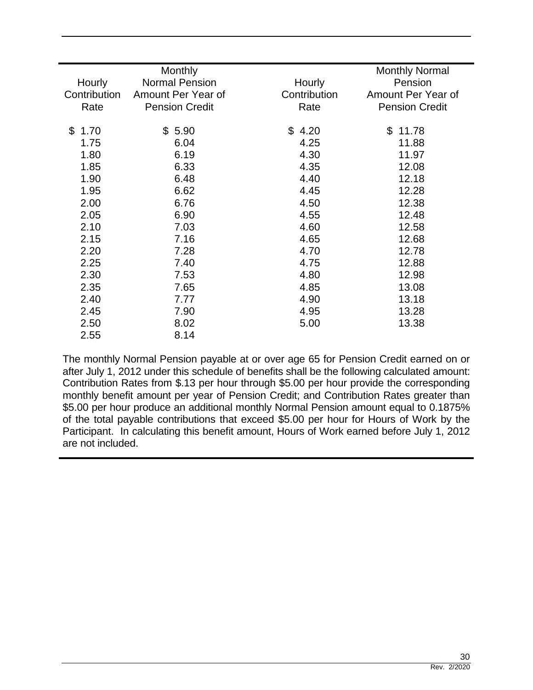| Hourly       | <b>Monthly</b><br><b>Normal Pension</b> | Hourly       | <b>Monthly Normal</b><br>Pension |
|--------------|-----------------------------------------|--------------|----------------------------------|
| Contribution | Amount Per Year of                      | Contribution | Amount Per Year of               |
| Rate         | <b>Pension Credit</b>                   | Rate         | <b>Pension Credit</b>            |
|              |                                         |              |                                  |
| \$1.70       | \$5.90                                  | \$4.20       | $\mathfrak{S}$<br>11.78          |
| 1.75         | 6.04                                    | 4.25         | 11.88                            |
| 1.80         | 6.19                                    | 4.30         | 11.97                            |
| 1.85         | 6.33                                    | 4.35         | 12.08                            |
| 1.90         | 6.48                                    | 4.40         | 12.18                            |
| 1.95         | 6.62                                    | 4.45         | 12.28                            |
| 2.00         | 6.76                                    | 4.50         | 12.38                            |
| 2.05         | 6.90                                    | 4.55         | 12.48                            |
| 2.10         | 7.03                                    | 4.60         | 12.58                            |
| 2.15         | 7.16                                    | 4.65         | 12.68                            |
| 2.20         | 7.28                                    | 4.70         | 12.78                            |
| 2.25         | 7.40                                    | 4.75         | 12.88                            |
| 2.30         | 7.53                                    | 4.80         | 12.98                            |
| 2.35         | 7.65                                    | 4.85         | 13.08                            |
| 2.40         | 7.77                                    | 4.90         | 13.18                            |
| 2.45         | 7.90                                    | 4.95         | 13.28                            |
| 2.50         | 8.02                                    | 5.00         | 13.38                            |
| 2.55         | 8.14                                    |              |                                  |
|              |                                         |              |                                  |

The monthly Normal Pension payable at or over age 65 for Pension Credit earned on or after July 1, 2012 under this schedule of benefits shall be the following calculated amount: Contribution Rates from \$.13 per hour through \$5.00 per hour provide the corresponding monthly benefit amount per year of Pension Credit; and Contribution Rates greater than \$5.00 per hour produce an additional monthly Normal Pension amount equal to 0.1875% of the total payable contributions that exceed \$5.00 per hour for Hours of Work by the Participant. In calculating this benefit amount, Hours of Work earned before July 1, 2012 are not included.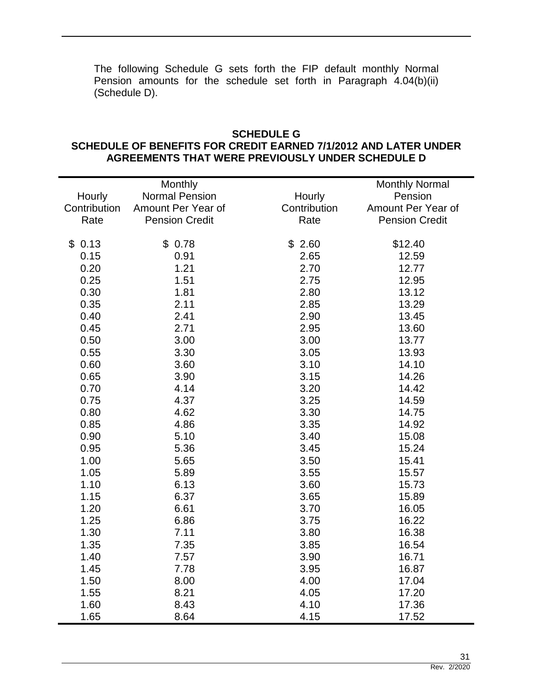The following Schedule G sets forth the FIP default monthly Normal Pension amounts for the schedule set forth in Paragraph 4.04(b)(ii) (Schedule D).

#### **SCHEDULE G SCHEDULE OF BENEFITS FOR CREDIT EARNED 7/1/2012 AND LATER UNDER AGREEMENTS THAT WERE PREVIOUSLY UNDER SCHEDULE D**

|              | Monthly               |              | <b>Monthly Normal</b> |
|--------------|-----------------------|--------------|-----------------------|
| Hourly       | <b>Normal Pension</b> | Hourly       | Pension               |
| Contribution | Amount Per Year of    | Contribution | Amount Per Year of    |
| Rate         | <b>Pension Credit</b> | Rate         | <b>Pension Credit</b> |
|              |                       |              |                       |
| \$0.13       | \$0.78                | \$2.60       | \$12.40               |
| 0.15         | 0.91                  | 2.65         | 12.59                 |
| 0.20         | 1.21                  | 2.70         | 12.77                 |
| 0.25         | 1.51                  | 2.75         | 12.95                 |
| 0.30         | 1.81                  | 2.80         | 13.12                 |
| 0.35         | 2.11                  | 2.85         | 13.29                 |
| 0.40         | 2.41                  | 2.90         | 13.45                 |
| 0.45         | 2.71                  | 2.95         | 13.60                 |
| 0.50         | 3.00                  | 3.00         | 13.77                 |
| 0.55         | 3.30                  | 3.05         | 13.93                 |
| 0.60         | 3.60                  | 3.10         | 14.10                 |
| 0.65         | 3.90                  | 3.15         | 14.26                 |
| 0.70         | 4.14                  | 3.20         | 14.42                 |
| 0.75         | 4.37                  | 3.25         | 14.59                 |
| 0.80         | 4.62                  | 3.30         | 14.75                 |
| 0.85         | 4.86                  | 3.35         | 14.92                 |
| 0.90         | 5.10                  | 3.40         | 15.08                 |
| 0.95         | 5.36                  | 3.45         | 15.24                 |
| 1.00         | 5.65                  | 3.50         | 15.41                 |
| 1.05         | 5.89                  | 3.55         | 15.57                 |
| 1.10         | 6.13                  | 3.60         | 15.73                 |
| 1.15         | 6.37                  | 3.65         | 15.89                 |
| 1.20         | 6.61                  | 3.70         | 16.05                 |
| 1.25         | 6.86                  | 3.75         | 16.22                 |
| 1.30         | 7.11                  | 3.80         | 16.38                 |
| 1.35         | 7.35                  | 3.85         | 16.54                 |
| 1.40         | 7.57                  | 3.90         | 16.71                 |
| 1.45         | 7.78                  | 3.95         | 16.87                 |
| 1.50         | 8.00                  | 4.00         | 17.04                 |
| 1.55         | 8.21                  | 4.05         | 17.20                 |
| 1.60         | 8.43                  | 4.10         | 17.36                 |
| 1.65         | 8.64                  | 4.15         | 17.52                 |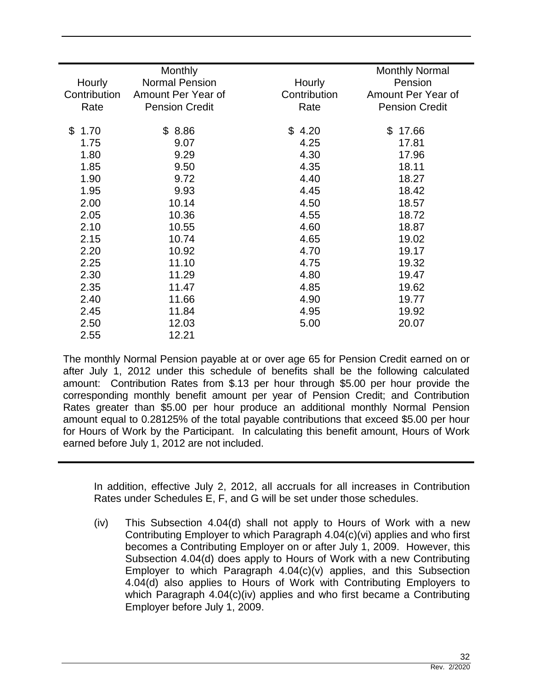| <b>Monthly</b> |                                                                      | <b>Monthly Normal</b><br>Pension |
|----------------|----------------------------------------------------------------------|----------------------------------|
|                |                                                                      | Amount Per Year of               |
|                |                                                                      | <b>Pension Credit</b>            |
|                |                                                                      |                                  |
| \$8.86         | \$4.20                                                               | 17.66<br>\$                      |
| 9.07           | 4.25                                                                 | 17.81                            |
| 9.29           | 4.30                                                                 | 17.96                            |
| 9.50           | 4.35                                                                 | 18.11                            |
| 9.72           | 4.40                                                                 | 18.27                            |
| 9.93           | 4.45                                                                 | 18.42                            |
| 10.14          | 4.50                                                                 | 18.57                            |
| 10.36          | 4.55                                                                 | 18.72                            |
| 10.55          | 4.60                                                                 | 18.87                            |
| 10.74          | 4.65                                                                 | 19.02                            |
| 10.92          | 4.70                                                                 | 19.17                            |
| 11.10          | 4.75                                                                 | 19.32                            |
| 11.29          | 4.80                                                                 | 19.47                            |
| 11.47          | 4.85                                                                 | 19.62                            |
| 11.66          | 4.90                                                                 | 19.77                            |
| 11.84          | 4.95                                                                 | 19.92                            |
| 12.03          | 5.00                                                                 | 20.07                            |
| 12.21          |                                                                      |                                  |
|                | <b>Normal Pension</b><br>Amount Per Year of<br><b>Pension Credit</b> | Hourly<br>Contribution<br>Rate   |

The monthly Normal Pension payable at or over age 65 for Pension Credit earned on or after July 1, 2012 under this schedule of benefits shall be the following calculated amount: Contribution Rates from \$.13 per hour through \$5.00 per hour provide the corresponding monthly benefit amount per year of Pension Credit; and Contribution Rates greater than \$5.00 per hour produce an additional monthly Normal Pension amount equal to 0.28125% of the total payable contributions that exceed \$5.00 per hour for Hours of Work by the Participant. In calculating this benefit amount, Hours of Work earned before July 1, 2012 are not included.

In addition, effective July 2, 2012, all accruals for all increases in Contribution Rates under Schedules E, F, and G will be set under those schedules.

(iv) This Subsection 4.04(d) shall not apply to Hours of Work with a new Contributing Employer to which Paragraph 4.04(c)(vi) applies and who first becomes a Contributing Employer on or after July 1, 2009. However, this Subsection 4.04(d) does apply to Hours of Work with a new Contributing Employer to which Paragraph 4.04(c)(v) applies, and this Subsection 4.04(d) also applies to Hours of Work with Contributing Employers to which Paragraph 4.04(c)(iv) applies and who first became a Contributing Employer before July 1, 2009.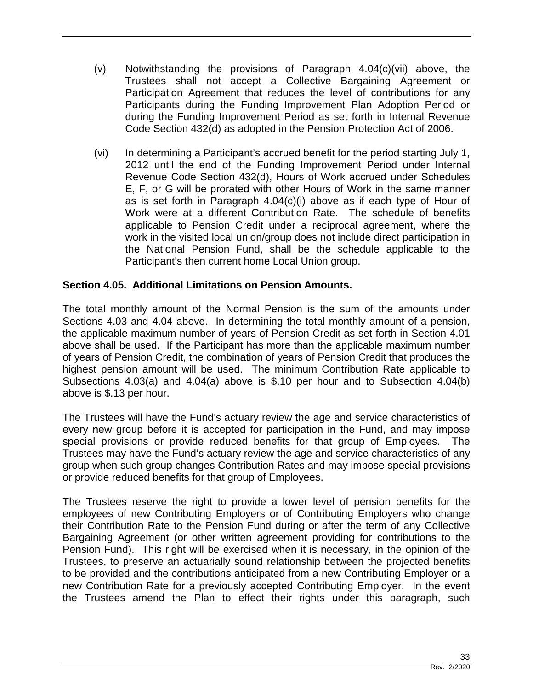- (v) Notwithstanding the provisions of Paragraph 4.04(c)(vii) above, the Trustees shall not accept a Collective Bargaining Agreement or Participation Agreement that reduces the level of contributions for any Participants during the Funding Improvement Plan Adoption Period or during the Funding Improvement Period as set forth in Internal Revenue Code Section 432(d) as adopted in the Pension Protection Act of 2006.
- (vi) In determining a Participant's accrued benefit for the period starting July 1, 2012 until the end of the Funding Improvement Period under Internal Revenue Code Section 432(d), Hours of Work accrued under Schedules E, F, or G will be prorated with other Hours of Work in the same manner as is set forth in Paragraph 4.04(c)(i) above as if each type of Hour of Work were at a different Contribution Rate. The schedule of benefits applicable to Pension Credit under a reciprocal agreement, where the work in the visited local union/group does not include direct participation in the National Pension Fund, shall be the schedule applicable to the Participant's then current home Local Union group.

## **Section 4.05. Additional Limitations on Pension Amounts.**

The total monthly amount of the Normal Pension is the sum of the amounts under Sections 4.03 and 4.04 above. In determining the total monthly amount of a pension, the applicable maximum number of years of Pension Credit as set forth in Section 4.01 above shall be used. If the Participant has more than the applicable maximum number of years of Pension Credit, the combination of years of Pension Credit that produces the highest pension amount will be used. The minimum Contribution Rate applicable to Subsections 4.03(a) and 4.04(a) above is \$.10 per hour and to Subsection 4.04(b) above is \$.13 per hour.

The Trustees will have the Fund's actuary review the age and service characteristics of every new group before it is accepted for participation in the Fund, and may impose special provisions or provide reduced benefits for that group of Employees. The Trustees may have the Fund's actuary review the age and service characteristics of any group when such group changes Contribution Rates and may impose special provisions or provide reduced benefits for that group of Employees.

The Trustees reserve the right to provide a lower level of pension benefits for the employees of new Contributing Employers or of Contributing Employers who change their Contribution Rate to the Pension Fund during or after the term of any Collective Bargaining Agreement (or other written agreement providing for contributions to the Pension Fund). This right will be exercised when it is necessary, in the opinion of the Trustees, to preserve an actuarially sound relationship between the projected benefits to be provided and the contributions anticipated from a new Contributing Employer or a new Contribution Rate for a previously accepted Contributing Employer. In the event the Trustees amend the Plan to effect their rights under this paragraph, such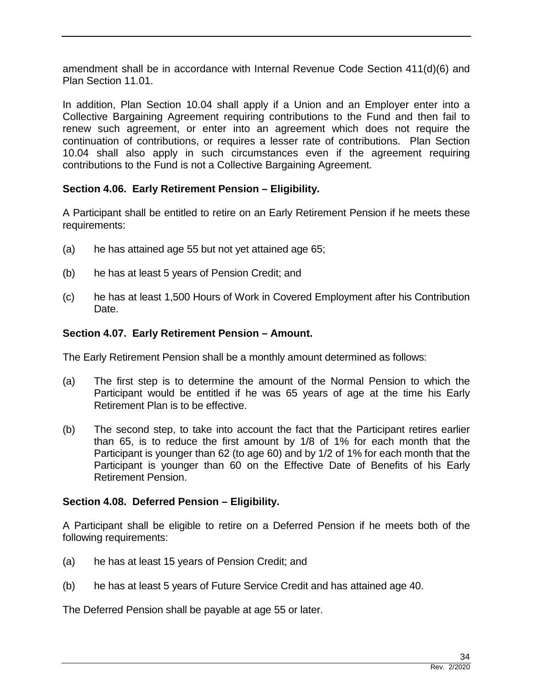amendment shall be in accordance with Internal Revenue Code Section 411(d)(6) and Plan Section 11.01.

In addition, Plan Section 10.04 shall apply if a Union and an Employer enter into a Collective Bargaining Agreement requiring contributions to the Fund and then fail to renew such agreement, or enter into an agreement which does not require the continuation of contributions, or requires a lesser rate of contributions. Plan Section 10.04 shall also apply in such circumstances even if the agreement requiring contributions to the Fund is not a Collective Bargaining Agreement.

## **Section 4.06. Early Retirement Pension – Eligibility.**

A Participant shall be entitled to retire on an Early Retirement Pension if he meets these requirements:

- (a) he has attained age 55 but not yet attained age 65;
- (b) he has at least 5 years of Pension Credit; and
- (c) he has at least 1,500 Hours of Work in Covered Employment after his Contribution Date.

#### **Section 4.07. Early Retirement Pension – Amount.**

The Early Retirement Pension shall be a monthly amount determined as follows:

- (a) The first step is to determine the amount of the Normal Pension to which the Participant would be entitled if he was 65 years of age at the time his Early Retirement Plan is to be effective.
- (b) The second step, to take into account the fact that the Participant retires earlier than 65, is to reduce the first amount by 1/8 of 1% for each month that the Participant is younger than 62 (to age 60) and by 1/2 of 1% for each month that the Participant is younger than 60 on the Effective Date of Benefits of his Early Retirement Pension.

## **Section 4.08. Deferred Pension – Eligibility.**

A Participant shall be eligible to retire on a Deferred Pension if he meets both of the following requirements:

- (a) he has at least 15 years of Pension Credit; and
- (b) he has at least 5 years of Future Service Credit and has attained age 40.

The Deferred Pension shall be payable at age 55 or later.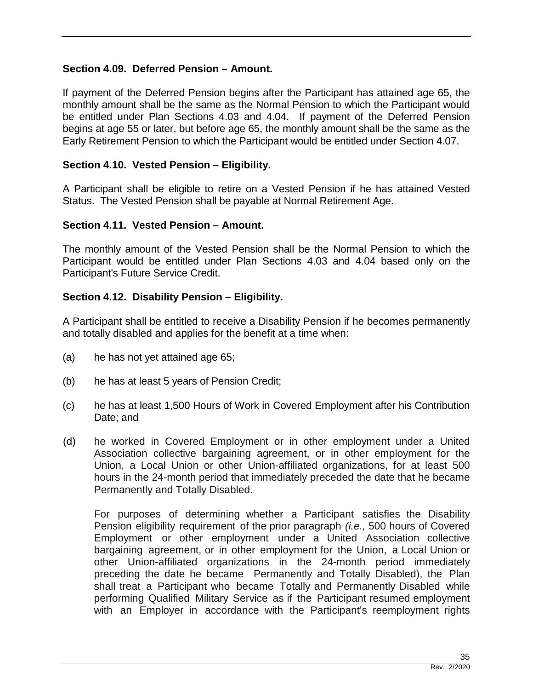#### **Section 4.09. Deferred Pension – Amount.**

If payment of the Deferred Pension begins after the Participant has attained age 65, the monthly amount shall be the same as the Normal Pension to which the Participant would be entitled under Plan Sections 4.03 and 4.04. If payment of the Deferred Pension begins at age 55 or later, but before age 65, the monthly amount shall be the same as the Early Retirement Pension to which the Participant would be entitled under Section 4.07.

#### **Section 4.10. Vested Pension – Eligibility.**

A Participant shall be eligible to retire on a Vested Pension if he has attained Vested Status. The Vested Pension shall be payable at Normal Retirement Age.

#### **Section 4.11. Vested Pension – Amount.**

The monthly amount of the Vested Pension shall be the Normal Pension to which the Participant would be entitled under Plan Sections 4.03 and 4.04 based only on the Participant's Future Service Credit.

#### **Section 4.12. Disability Pension – Eligibility.**

A Participant shall be entitled to receive a Disability Pension if he becomes permanently and totally disabled and applies for the benefit at a time when:

- (a) he has not yet attained age 65;
- (b) he has at least 5 years of Pension Credit;
- (c) he has at least 1,500 Hours of Work in Covered Employment after his Contribution Date; and
- (d) he worked in Covered Employment or in other employment under a United Association collective bargaining agreement, or in other employment for the Union, a Local Union or other Union-affiliated organizations, for at least 500 hours in the 24-month period that immediately preceded the date that he became Permanently and Totally Disabled.

For purposes of determining whether a Participant satisfies the Disability Pension eligibility requirement of the prior paragraph *(i.e.,* 500 hours of Covered Employment or other employment under a United Association collective bargaining agreement, or in other employment for the Union, a Local Union or other Union-affiliated organizations in the 24-month period immediately preceding the date he became Permanently and Totally Disabled), the Plan shall treat a Participant who became Totally and Permanently Disabled while performing Qualified Military Service as if the Participant resumed employment with an Employer in accordance with the Participant's reemployment rights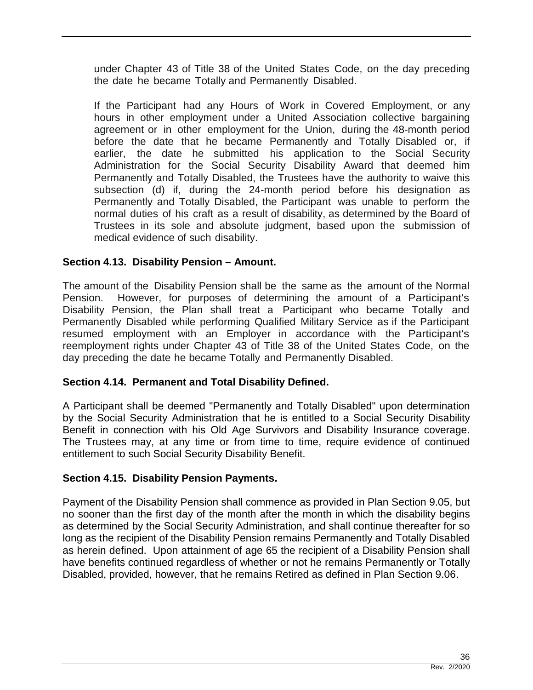under Chapter 43 of Title 38 of the United States Code, on the day preceding the date he became Totally and Permanently Disabled.

If the Participant had any Hours of Work in Covered Employment, or any hours in other employment under a United Association collective bargaining agreement or in other employment for the Union, during the 48-month period before the date that he became Permanently and Totally Disabled or, if earlier, the date he submitted his application to the Social Security Administration for the Social Security Disability Award that deemed him Permanently and Totally Disabled, the Trustees have the authority to waive this subsection (d) if, during the 24-month period before his designation as Permanently and Totally Disabled, the Participant was unable to perform the normal duties of his craft as a result of disability, as determined by the Board of Trustees in its sole and absolute judgment, based upon the submission of medical evidence of such disability.

## **Section 4.13. Disability Pension – Amount.**

The amount of the Disability Pension shall be the same as the amount of the Normal Pension. However, for purposes of determining the amount of a Participant's Disability Pension, the Plan shall treat a Participant who became Totally and Permanently Disabled while performing Qualified Military Service as if the Participant resumed employment with an Employer in accordance with the Participant's reemployment rights under Chapter 43 of Title 38 of the United States Code, on the day preceding the date he became Totally and Permanently Disabled.

## **Section 4.14. Permanent and Total Disability Defined.**

A Participant shall be deemed "Permanently and Totally Disabled" upon determination by the Social Security Administration that he is entitled to a Social Security Disability Benefit in connection with his Old Age Survivors and Disability Insurance coverage. The Trustees may, at any time or from time to time, require evidence of continued entitlement to such Social Security Disability Benefit.

# **Section 4.15. Disability Pension Payments.**

Payment of the Disability Pension shall commence as provided in Plan Section 9.05, but no sooner than the first day of the month after the month in which the disability begins as determined by the Social Security Administration, and shall continue thereafter for so long as the recipient of the Disability Pension remains Permanently and Totally Disabled as herein defined. Upon attainment of age 65 the recipient of a Disability Pension shall have benefits continued regardless of whether or not he remains Permanently or Totally Disabled, provided, however, that he remains Retired as defined in Plan Section 9.06.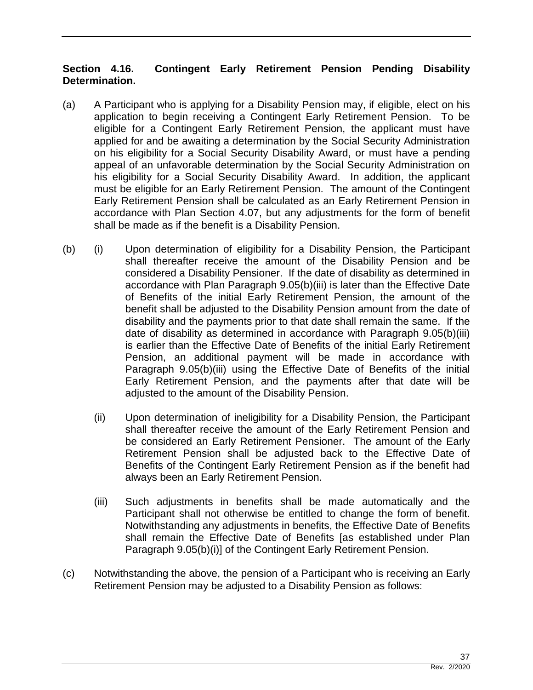# **Section 4.16. Contingent Early Retirement Pension Pending Disability Determination.**

- (a) A Participant who is applying for a Disability Pension may, if eligible, elect on his application to begin receiving a Contingent Early Retirement Pension. To be eligible for a Contingent Early Retirement Pension, the applicant must have applied for and be awaiting a determination by the Social Security Administration on his eligibility for a Social Security Disability Award, or must have a pending appeal of an unfavorable determination by the Social Security Administration on his eligibility for a Social Security Disability Award. In addition, the applicant must be eligible for an Early Retirement Pension. The amount of the Contingent Early Retirement Pension shall be calculated as an Early Retirement Pension in accordance with Plan Section 4.07, but any adjustments for the form of benefit shall be made as if the benefit is a Disability Pension.
- (b) (i) Upon determination of eligibility for a Disability Pension, the Participant shall thereafter receive the amount of the Disability Pension and be considered a Disability Pensioner. If the date of disability as determined in accordance with Plan Paragraph 9.05(b)(iii) is later than the Effective Date of Benefits of the initial Early Retirement Pension, the amount of the benefit shall be adjusted to the Disability Pension amount from the date of disability and the payments prior to that date shall remain the same. If the date of disability as determined in accordance with Paragraph 9.05(b)(iii) is earlier than the Effective Date of Benefits of the initial Early Retirement Pension, an additional payment will be made in accordance with Paragraph 9.05(b)(iii) using the Effective Date of Benefits of the initial Early Retirement Pension, and the payments after that date will be adjusted to the amount of the Disability Pension.
	- (ii) Upon determination of ineligibility for a Disability Pension, the Participant shall thereafter receive the amount of the Early Retirement Pension and be considered an Early Retirement Pensioner. The amount of the Early Retirement Pension shall be adjusted back to the Effective Date of Benefits of the Contingent Early Retirement Pension as if the benefit had always been an Early Retirement Pension.
	- (iii) Such adjustments in benefits shall be made automatically and the Participant shall not otherwise be entitled to change the form of benefit. Notwithstanding any adjustments in benefits, the Effective Date of Benefits shall remain the Effective Date of Benefits [as established under Plan Paragraph 9.05(b)(i)] of the Contingent Early Retirement Pension.
- (c) Notwithstanding the above, the pension of a Participant who is receiving an Early Retirement Pension may be adjusted to a Disability Pension as follows: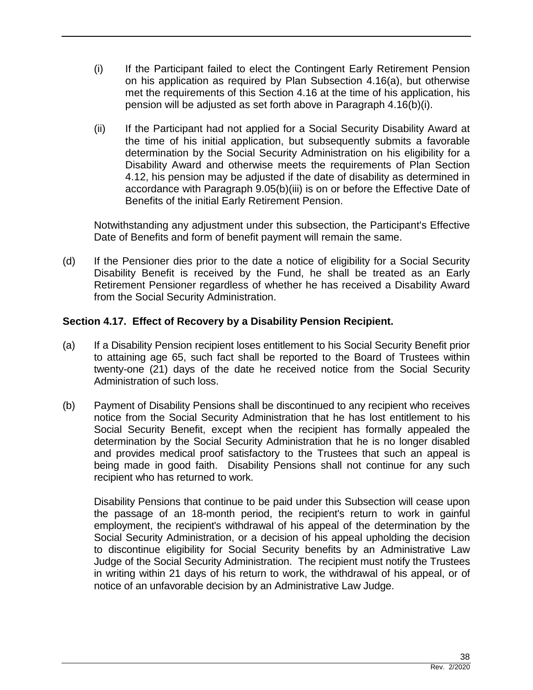- (i) If the Participant failed to elect the Contingent Early Retirement Pension on his application as required by Plan Subsection 4.16(a), but otherwise met the requirements of this Section 4.16 at the time of his application, his pension will be adjusted as set forth above in Paragraph 4.16(b)(i).
- (ii) If the Participant had not applied for a Social Security Disability Award at the time of his initial application, but subsequently submits a favorable determination by the Social Security Administration on his eligibility for a Disability Award and otherwise meets the requirements of Plan Section 4.12, his pension may be adjusted if the date of disability as determined in accordance with Paragraph 9.05(b)(iii) is on or before the Effective Date of Benefits of the initial Early Retirement Pension.

Notwithstanding any adjustment under this subsection, the Participant's Effective Date of Benefits and form of benefit payment will remain the same.

(d) If the Pensioner dies prior to the date a notice of eligibility for a Social Security Disability Benefit is received by the Fund, he shall be treated as an Early Retirement Pensioner regardless of whether he has received a Disability Award from the Social Security Administration.

## **Section 4.17. Effect of Recovery by a Disability Pension Recipient.**

- (a) If a Disability Pension recipient loses entitlement to his Social Security Benefit prior to attaining age 65, such fact shall be reported to the Board of Trustees within twenty-one (21) days of the date he received notice from the Social Security Administration of such loss.
- (b) Payment of Disability Pensions shall be discontinued to any recipient who receives notice from the Social Security Administration that he has lost entitlement to his Social Security Benefit, except when the recipient has formally appealed the determination by the Social Security Administration that he is no longer disabled and provides medical proof satisfactory to the Trustees that such an appeal is being made in good faith. Disability Pensions shall not continue for any such recipient who has returned to work.

Disability Pensions that continue to be paid under this Subsection will cease upon the passage of an 18-month period, the recipient's return to work in gainful employment, the recipient's withdrawal of his appeal of the determination by the Social Security Administration, or a decision of his appeal upholding the decision to discontinue eligibility for Social Security benefits by an Administrative Law Judge of the Social Security Administration. The recipient must notify the Trustees in writing within 21 days of his return to work, the withdrawal of his appeal, or of notice of an unfavorable decision by an Administrative Law Judge.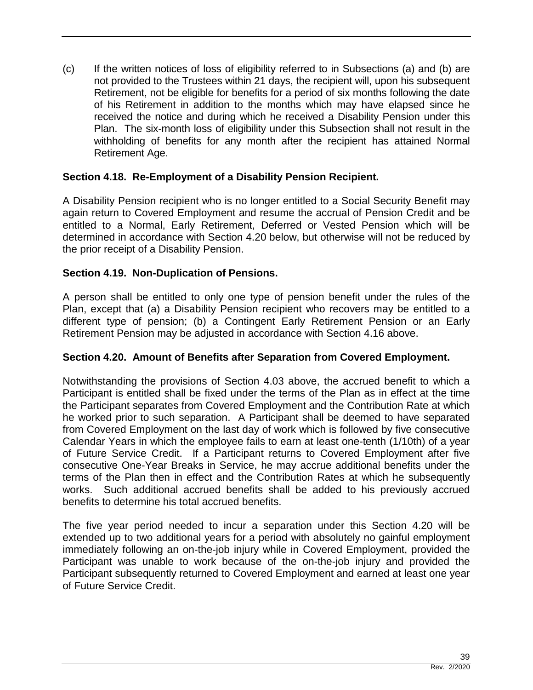(c) If the written notices of loss of eligibility referred to in Subsections (a) and (b) are not provided to the Trustees within 21 days, the recipient will, upon his subsequent Retirement, not be eligible for benefits for a period of six months following the date of his Retirement in addition to the months which may have elapsed since he received the notice and during which he received a Disability Pension under this Plan. The six-month loss of eligibility under this Subsection shall not result in the withholding of benefits for any month after the recipient has attained Normal Retirement Age.

# **Section 4.18. Re-Employment of a Disability Pension Recipient.**

A Disability Pension recipient who is no longer entitled to a Social Security Benefit may again return to Covered Employment and resume the accrual of Pension Credit and be entitled to a Normal, Early Retirement, Deferred or Vested Pension which will be determined in accordance with Section 4.20 below, but otherwise will not be reduced by the prior receipt of a Disability Pension.

## **Section 4.19. Non-Duplication of Pensions.**

A person shall be entitled to only one type of pension benefit under the rules of the Plan, except that (a) a Disability Pension recipient who recovers may be entitled to a different type of pension; (b) a Contingent Early Retirement Pension or an Early Retirement Pension may be adjusted in accordance with Section 4.16 above.

#### **Section 4.20. Amount of Benefits after Separation from Covered Employment.**

Notwithstanding the provisions of Section 4.03 above, the accrued benefit to which a Participant is entitled shall be fixed under the terms of the Plan as in effect at the time the Participant separates from Covered Employment and the Contribution Rate at which he worked prior to such separation. A Participant shall be deemed to have separated from Covered Employment on the last day of work which is followed by five consecutive Calendar Years in which the employee fails to earn at least one-tenth (1/10th) of a year of Future Service Credit. If a Participant returns to Covered Employment after five consecutive One-Year Breaks in Service, he may accrue additional benefits under the terms of the Plan then in effect and the Contribution Rates at which he subsequently works. Such additional accrued benefits shall be added to his previously accrued benefits to determine his total accrued benefits.

The five year period needed to incur a separation under this Section 4.20 will be extended up to two additional years for a period with absolutely no gainful employment immediately following an on-the-job injury while in Covered Employment, provided the Participant was unable to work because of the on-the-job injury and provided the Participant subsequently returned to Covered Employment and earned at least one year of Future Service Credit.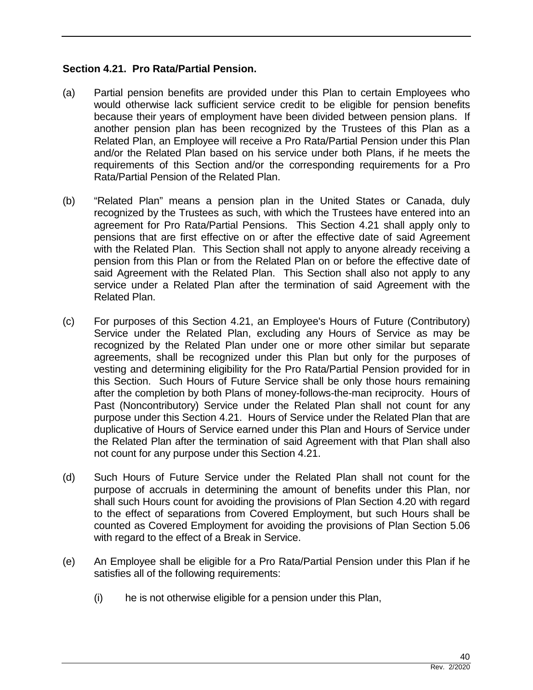#### **Section 4.21. Pro Rata/Partial Pension.**

- (a) Partial pension benefits are provided under this Plan to certain Employees who would otherwise lack sufficient service credit to be eligible for pension benefits because their years of employment have been divided between pension plans. If another pension plan has been recognized by the Trustees of this Plan as a Related Plan, an Employee will receive a Pro Rata/Partial Pension under this Plan and/or the Related Plan based on his service under both Plans, if he meets the requirements of this Section and/or the corresponding requirements for a Pro Rata/Partial Pension of the Related Plan.
- (b) "Related Plan" means a pension plan in the United States or Canada, duly recognized by the Trustees as such, with which the Trustees have entered into an agreement for Pro Rata/Partial Pensions. This Section 4.21 shall apply only to pensions that are first effective on or after the effective date of said Agreement with the Related Plan. This Section shall not apply to anyone already receiving a pension from this Plan or from the Related Plan on or before the effective date of said Agreement with the Related Plan. This Section shall also not apply to any service under a Related Plan after the termination of said Agreement with the Related Plan.
- (c) For purposes of this Section 4.21, an Employee's Hours of Future (Contributory) Service under the Related Plan, excluding any Hours of Service as may be recognized by the Related Plan under one or more other similar but separate agreements, shall be recognized under this Plan but only for the purposes of vesting and determining eligibility for the Pro Rata/Partial Pension provided for in this Section. Such Hours of Future Service shall be only those hours remaining after the completion by both Plans of money-follows-the-man reciprocity. Hours of Past (Noncontributory) Service under the Related Plan shall not count for any purpose under this Section 4.21. Hours of Service under the Related Plan that are duplicative of Hours of Service earned under this Plan and Hours of Service under the Related Plan after the termination of said Agreement with that Plan shall also not count for any purpose under this Section 4.21.
- (d) Such Hours of Future Service under the Related Plan shall not count for the purpose of accruals in determining the amount of benefits under this Plan, nor shall such Hours count for avoiding the provisions of Plan Section 4.20 with regard to the effect of separations from Covered Employment, but such Hours shall be counted as Covered Employment for avoiding the provisions of Plan Section 5.06 with regard to the effect of a Break in Service.
- (e) An Employee shall be eligible for a Pro Rata/Partial Pension under this Plan if he satisfies all of the following requirements:
	- (i) he is not otherwise eligible for a pension under this Plan,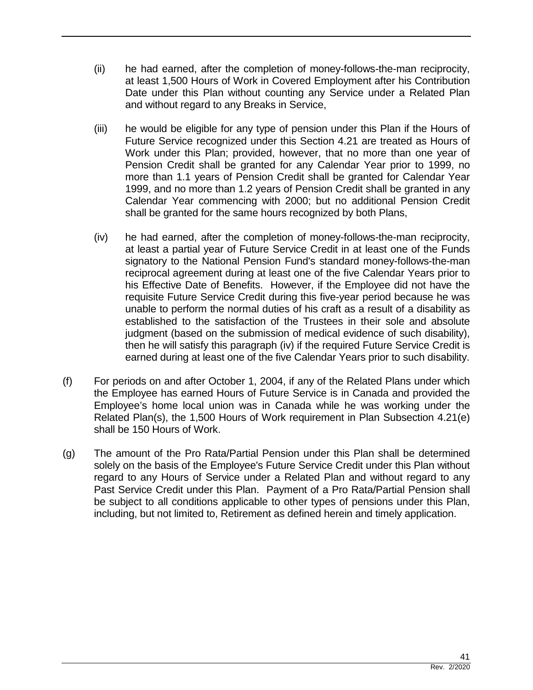- (ii) he had earned, after the completion of money-follows-the-man reciprocity, at least 1,500 Hours of Work in Covered Employment after his Contribution Date under this Plan without counting any Service under a Related Plan and without regard to any Breaks in Service,
- (iii) he would be eligible for any type of pension under this Plan if the Hours of Future Service recognized under this Section 4.21 are treated as Hours of Work under this Plan; provided, however, that no more than one year of Pension Credit shall be granted for any Calendar Year prior to 1999, no more than 1.1 years of Pension Credit shall be granted for Calendar Year 1999, and no more than 1.2 years of Pension Credit shall be granted in any Calendar Year commencing with 2000; but no additional Pension Credit shall be granted for the same hours recognized by both Plans,
- (iv) he had earned, after the completion of money-follows-the-man reciprocity, at least a partial year of Future Service Credit in at least one of the Funds signatory to the National Pension Fund's standard money-follows-the-man reciprocal agreement during at least one of the five Calendar Years prior to his Effective Date of Benefits. However, if the Employee did not have the requisite Future Service Credit during this five-year period because he was unable to perform the normal duties of his craft as a result of a disability as established to the satisfaction of the Trustees in their sole and absolute judgment (based on the submission of medical evidence of such disability), then he will satisfy this paragraph (iv) if the required Future Service Credit is earned during at least one of the five Calendar Years prior to such disability.
- (f) For periods on and after October 1, 2004, if any of the Related Plans under which the Employee has earned Hours of Future Service is in Canada and provided the Employee's home local union was in Canada while he was working under the Related Plan(s), the 1,500 Hours of Work requirement in Plan Subsection 4.21(e) shall be 150 Hours of Work.
- (g) The amount of the Pro Rata/Partial Pension under this Plan shall be determined solely on the basis of the Employee's Future Service Credit under this Plan without regard to any Hours of Service under a Related Plan and without regard to any Past Service Credit under this Plan. Payment of a Pro Rata/Partial Pension shall be subject to all conditions applicable to other types of pensions under this Plan, including, but not limited to, Retirement as defined herein and timely application.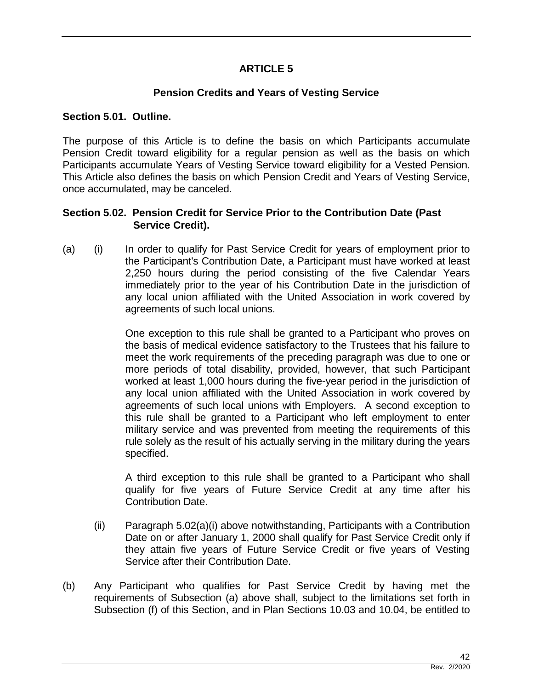# **ARTICLE 5**

# **Pension Credits and Years of Vesting Service**

#### **Section 5.01. Outline.**

The purpose of this Article is to define the basis on which Participants accumulate Pension Credit toward eligibility for a regular pension as well as the basis on which Participants accumulate Years of Vesting Service toward eligibility for a Vested Pension. This Article also defines the basis on which Pension Credit and Years of Vesting Service, once accumulated, may be canceled.

#### **Section 5.02. Pension Credit for Service Prior to the Contribution Date (Past Service Credit).**

(a) (i) In order to qualify for Past Service Credit for years of employment prior to the Participant's Contribution Date, a Participant must have worked at least 2,250 hours during the period consisting of the five Calendar Years immediately prior to the year of his Contribution Date in the jurisdiction of any local union affiliated with the United Association in work covered by agreements of such local unions.

> One exception to this rule shall be granted to a Participant who proves on the basis of medical evidence satisfactory to the Trustees that his failure to meet the work requirements of the preceding paragraph was due to one or more periods of total disability, provided, however, that such Participant worked at least 1,000 hours during the five-year period in the jurisdiction of any local union affiliated with the United Association in work covered by agreements of such local unions with Employers. A second exception to this rule shall be granted to a Participant who left employment to enter military service and was prevented from meeting the requirements of this rule solely as the result of his actually serving in the military during the years specified.

> A third exception to this rule shall be granted to a Participant who shall qualify for five years of Future Service Credit at any time after his Contribution Date.

- (ii) Paragraph 5.02(a)(i) above notwithstanding, Participants with a Contribution Date on or after January 1, 2000 shall qualify for Past Service Credit only if they attain five years of Future Service Credit or five years of Vesting Service after their Contribution Date.
- (b) Any Participant who qualifies for Past Service Credit by having met the requirements of Subsection (a) above shall, subject to the limitations set forth in Subsection (f) of this Section, and in Plan Sections 10.03 and 10.04, be entitled to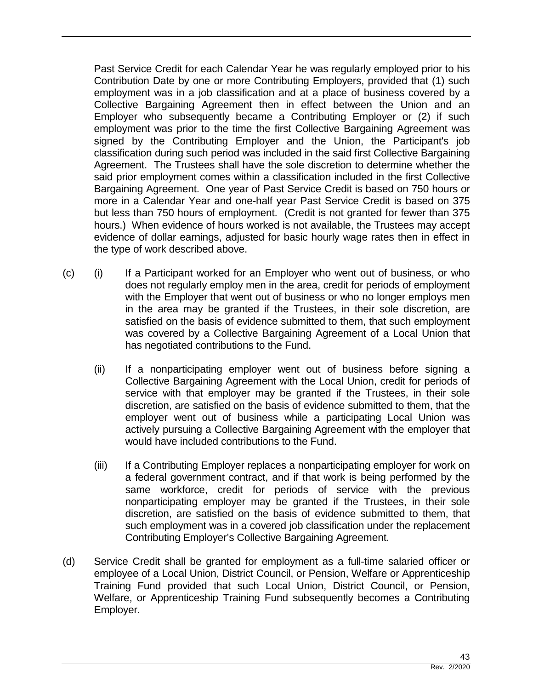Past Service Credit for each Calendar Year he was regularly employed prior to his Contribution Date by one or more Contributing Employers, provided that (1) such employment was in a job classification and at a place of business covered by a Collective Bargaining Agreement then in effect between the Union and an Employer who subsequently became a Contributing Employer or (2) if such employment was prior to the time the first Collective Bargaining Agreement was signed by the Contributing Employer and the Union, the Participant's job classification during such period was included in the said first Collective Bargaining Agreement. The Trustees shall have the sole discretion to determine whether the said prior employment comes within a classification included in the first Collective Bargaining Agreement. One year of Past Service Credit is based on 750 hours or more in a Calendar Year and one-half year Past Service Credit is based on 375 but less than 750 hours of employment. (Credit is not granted for fewer than 375 hours.) When evidence of hours worked is not available, the Trustees may accept evidence of dollar earnings, adjusted for basic hourly wage rates then in effect in the type of work described above.

- (c) (i) If a Participant worked for an Employer who went out of business, or who does not regularly employ men in the area, credit for periods of employment with the Employer that went out of business or who no longer employs men in the area may be granted if the Trustees, in their sole discretion, are satisfied on the basis of evidence submitted to them, that such employment was covered by a Collective Bargaining Agreement of a Local Union that has negotiated contributions to the Fund.
	- (ii) If a nonparticipating employer went out of business before signing a Collective Bargaining Agreement with the Local Union, credit for periods of service with that employer may be granted if the Trustees, in their sole discretion, are satisfied on the basis of evidence submitted to them, that the employer went out of business while a participating Local Union was actively pursuing a Collective Bargaining Agreement with the employer that would have included contributions to the Fund.
	- (iii) If a Contributing Employer replaces a nonparticipating employer for work on a federal government contract, and if that work is being performed by the same workforce, credit for periods of service with the previous nonparticipating employer may be granted if the Trustees, in their sole discretion, are satisfied on the basis of evidence submitted to them, that such employment was in a covered job classification under the replacement Contributing Employer's Collective Bargaining Agreement.
- (d) Service Credit shall be granted for employment as a full-time salaried officer or employee of a Local Union, District Council, or Pension, Welfare or Apprenticeship Training Fund provided that such Local Union, District Council, or Pension, Welfare, or Apprenticeship Training Fund subsequently becomes a Contributing Employer.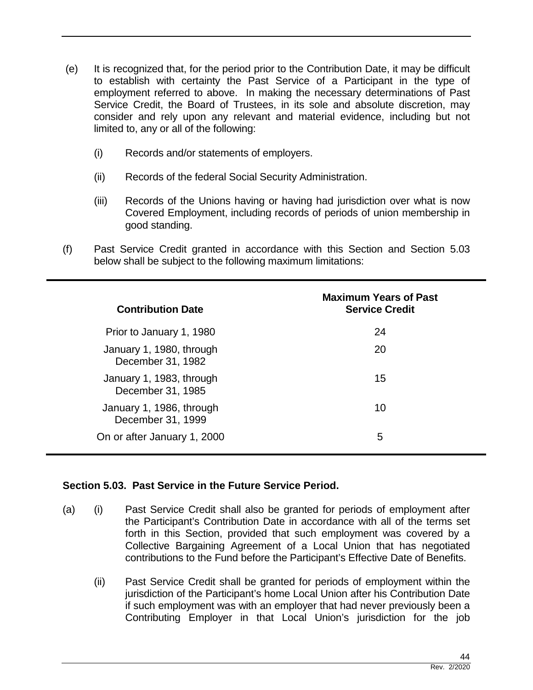- (e) It is recognized that, for the period prior to the Contribution Date, it may be difficult to establish with certainty the Past Service of a Participant in the type of employment referred to above. In making the necessary determinations of Past Service Credit, the Board of Trustees, in its sole and absolute discretion, may consider and rely upon any relevant and material evidence, including but not limited to, any or all of the following:
	- (i) Records and/or statements of employers.
	- (ii) Records of the federal Social Security Administration.
	- (iii) Records of the Unions having or having had jurisdiction over what is now Covered Employment, including records of periods of union membership in good standing.
- (f) Past Service Credit granted in accordance with this Section and Section 5.03 below shall be subject to the following maximum limitations:

| <b>Contribution Date</b>                      | <b>Maximum Years of Past</b><br><b>Service Credit</b> |
|-----------------------------------------------|-------------------------------------------------------|
| Prior to January 1, 1980                      | 24                                                    |
| January 1, 1980, through<br>December 31, 1982 | 20                                                    |
| January 1, 1983, through<br>December 31, 1985 | 15                                                    |
| January 1, 1986, through<br>December 31, 1999 | 10                                                    |
| On or after January 1, 2000                   | 5                                                     |

## **Section 5.03. Past Service in the Future Service Period.**

- (a) (i) Past Service Credit shall also be granted for periods of employment after the Participant's Contribution Date in accordance with all of the terms set forth in this Section, provided that such employment was covered by a Collective Bargaining Agreement of a Local Union that has negotiated contributions to the Fund before the Participant's Effective Date of Benefits.
	- (ii) Past Service Credit shall be granted for periods of employment within the jurisdiction of the Participant's home Local Union after his Contribution Date if such employment was with an employer that had never previously been a Contributing Employer in that Local Union's jurisdiction for the job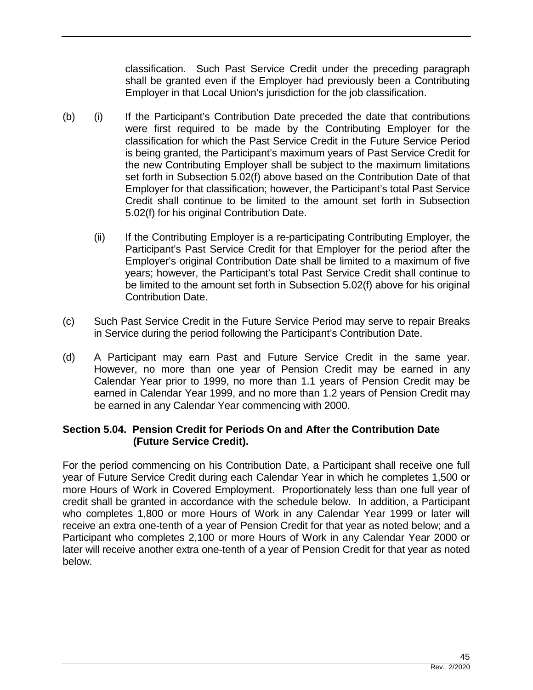classification. Such Past Service Credit under the preceding paragraph shall be granted even if the Employer had previously been a Contributing Employer in that Local Union's jurisdiction for the job classification.

- (b) (i) If the Participant's Contribution Date preceded the date that contributions were first required to be made by the Contributing Employer for the classification for which the Past Service Credit in the Future Service Period is being granted, the Participant's maximum years of Past Service Credit for the new Contributing Employer shall be subject to the maximum limitations set forth in Subsection 5.02(f) above based on the Contribution Date of that Employer for that classification; however, the Participant's total Past Service Credit shall continue to be limited to the amount set forth in Subsection 5.02(f) for his original Contribution Date.
	- (ii) If the Contributing Employer is a re-participating Contributing Employer, the Participant's Past Service Credit for that Employer for the period after the Employer's original Contribution Date shall be limited to a maximum of five years; however, the Participant's total Past Service Credit shall continue to be limited to the amount set forth in Subsection 5.02(f) above for his original Contribution Date.
- (c) Such Past Service Credit in the Future Service Period may serve to repair Breaks in Service during the period following the Participant's Contribution Date.
- (d) A Participant may earn Past and Future Service Credit in the same year. However, no more than one year of Pension Credit may be earned in any Calendar Year prior to 1999, no more than 1.1 years of Pension Credit may be earned in Calendar Year 1999, and no more than 1.2 years of Pension Credit may be earned in any Calendar Year commencing with 2000.

#### **Section 5.04. Pension Credit for Periods On and After the Contribution Date (Future Service Credit).**

For the period commencing on his Contribution Date, a Participant shall receive one full year of Future Service Credit during each Calendar Year in which he completes 1,500 or more Hours of Work in Covered Employment. Proportionately less than one full year of credit shall be granted in accordance with the schedule below. In addition, a Participant who completes 1,800 or more Hours of Work in any Calendar Year 1999 or later will receive an extra one-tenth of a year of Pension Credit for that year as noted below; and a Participant who completes 2,100 or more Hours of Work in any Calendar Year 2000 or later will receive another extra one-tenth of a year of Pension Credit for that year as noted below.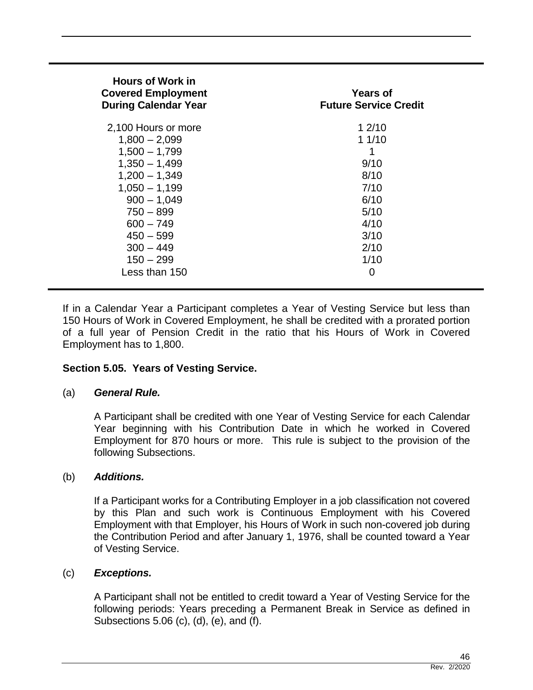| <b>Hours of Work in</b><br><b>Covered Employment</b><br><b>During Calendar Year</b> | <b>Years of</b><br><b>Future Service Credit</b> |
|-------------------------------------------------------------------------------------|-------------------------------------------------|
| 2,100 Hours or more                                                                 | 12/10                                           |
| $1,800 - 2,099$                                                                     | 11/10                                           |
| $1,500 - 1,799$                                                                     | 1                                               |
| $1,350 - 1,499$                                                                     | 9/10                                            |
| $1,200 - 1,349$                                                                     | 8/10                                            |
| $1,050 - 1,199$                                                                     | 7/10                                            |
| $900 - 1,049$                                                                       | 6/10                                            |
| $750 - 899$                                                                         | 5/10                                            |
| $600 - 749$                                                                         | 4/10                                            |
| $450 - 599$                                                                         | 3/10                                            |
| $300 - 449$                                                                         | 2/10                                            |
| $150 - 299$                                                                         | 1/10                                            |
| Less than 150                                                                       | 0                                               |

If in a Calendar Year a Participant completes a Year of Vesting Service but less than 150 Hours of Work in Covered Employment, he shall be credited with a prorated portion of a full year of Pension Credit in the ratio that his Hours of Work in Covered Employment has to 1,800.

## **Section 5.05. Years of Vesting Service.**

#### (a) *General Rule.*

A Participant shall be credited with one Year of Vesting Service for each Calendar Year beginning with his Contribution Date in which he worked in Covered Employment for 870 hours or more. This rule is subject to the provision of the following Subsections.

#### (b) *Additions.*

If a Participant works for a Contributing Employer in a job classification not covered by this Plan and such work is Continuous Employment with his Covered Employment with that Employer, his Hours of Work in such non-covered job during the Contribution Period and after January 1, 1976, shall be counted toward a Year of Vesting Service.

#### (c) *Exceptions.*

A Participant shall not be entitled to credit toward a Year of Vesting Service for the following periods: Years preceding a Permanent Break in Service as defined in Subsections 5.06 (c), (d), (e), and (f).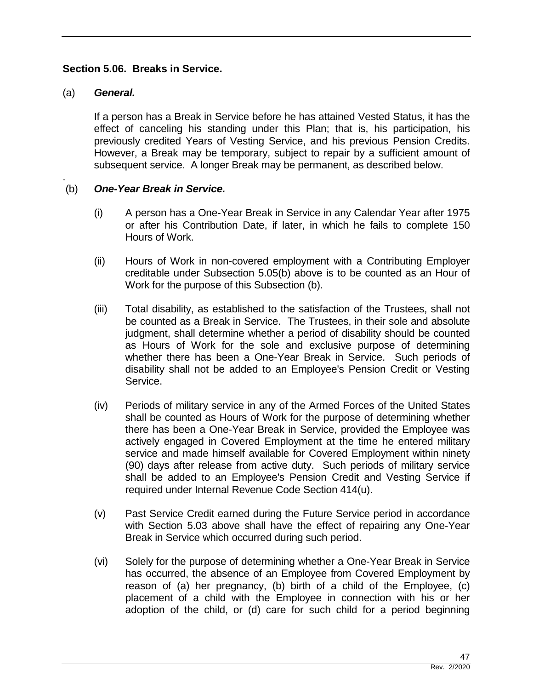#### **Section 5.06. Breaks in Service.**

#### (a) *General.*

If a person has a Break in Service before he has attained Vested Status, it has the effect of canceling his standing under this Plan; that is, his participation, his previously credited Years of Vesting Service, and his previous Pension Credits. However, a Break may be temporary, subject to repair by a sufficient amount of subsequent service. A longer Break may be permanent, as described below.

#### . (b) *One-Year Break in Service.*

- (i) A person has a One-Year Break in Service in any Calendar Year after 1975 or after his Contribution Date, if later, in which he fails to complete 150 Hours of Work.
- (ii) Hours of Work in non-covered employment with a Contributing Employer creditable under Subsection 5.05(b) above is to be counted as an Hour of Work for the purpose of this Subsection (b).
- (iii) Total disability, as established to the satisfaction of the Trustees, shall not be counted as a Break in Service. The Trustees, in their sole and absolute judgment, shall determine whether a period of disability should be counted as Hours of Work for the sole and exclusive purpose of determining whether there has been a One-Year Break in Service. Such periods of disability shall not be added to an Employee's Pension Credit or Vesting Service.
- (iv) Periods of military service in any of the Armed Forces of the United States shall be counted as Hours of Work for the purpose of determining whether there has been a One-Year Break in Service, provided the Employee was actively engaged in Covered Employment at the time he entered military service and made himself available for Covered Employment within ninety (90) days after release from active duty. Such periods of military service shall be added to an Employee's Pension Credit and Vesting Service if required under Internal Revenue Code Section 414(u).
- (v) Past Service Credit earned during the Future Service period in accordance with Section 5.03 above shall have the effect of repairing any One-Year Break in Service which occurred during such period.
- (vi) Solely for the purpose of determining whether a One-Year Break in Service has occurred, the absence of an Employee from Covered Employment by reason of (a) her pregnancy, (b) birth of a child of the Employee, (c) placement of a child with the Employee in connection with his or her adoption of the child, or (d) care for such child for a period beginning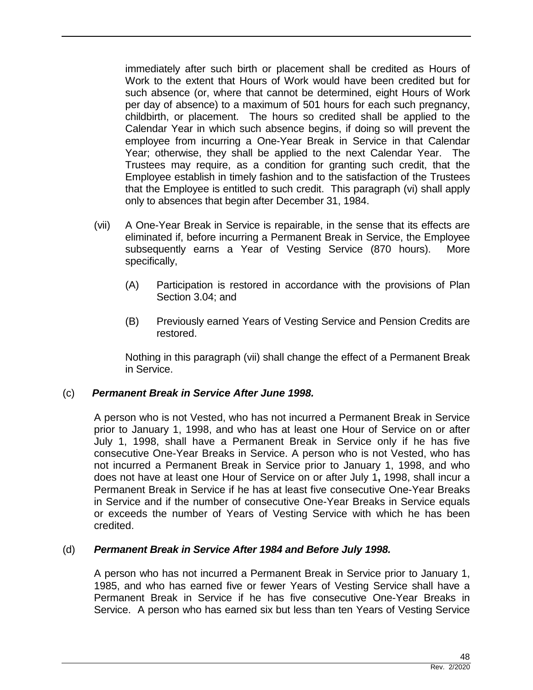immediately after such birth or placement shall be credited as Hours of Work to the extent that Hours of Work would have been credited but for such absence (or, where that cannot be determined, eight Hours of Work per day of absence) to a maximum of 501 hours for each such pregnancy, childbirth, or placement. The hours so credited shall be applied to the Calendar Year in which such absence begins, if doing so will prevent the employee from incurring a One-Year Break in Service in that Calendar Year; otherwise, they shall be applied to the next Calendar Year. The Trustees may require, as a condition for granting such credit, that the Employee establish in timely fashion and to the satisfaction of the Trustees that the Employee is entitled to such credit. This paragraph (vi) shall apply only to absences that begin after December 31, 1984.

- (vii) A One-Year Break in Service is repairable, in the sense that its effects are eliminated if, before incurring a Permanent Break in Service, the Employee subsequently earns a Year of Vesting Service (870 hours). More specifically,
	- (A) Participation is restored in accordance with the provisions of Plan Section 3.04; and
	- (B) Previously earned Years of Vesting Service and Pension Credits are restored.

Nothing in this paragraph (vii) shall change the effect of a Permanent Break in Service.

## (c) *Permanent Break in Service After June 1998.*

A person who is not Vested, who has not incurred a Permanent Break in Service prior to January 1, 1998, and who has at least one Hour of Service on or after July 1, 1998, shall have a Permanent Break in Service only if he has five consecutive One-Year Breaks in Service. A person who is not Vested, who has not incurred a Permanent Break in Service prior to January 1, 1998, and who does not have at least one Hour of Service on or after July 1**,** 1998, shall incur a Permanent Break in Service if he has at least five consecutive One-Year Breaks in Service and if the number of consecutive One-Year Breaks in Service equals or exceeds the number of Years of Vesting Service with which he has been credited.

#### (d) *Permanent Break in Service After 1984 and Before July 1998.*

A person who has not incurred a Permanent Break in Service prior to January 1, 1985, and who has earned five or fewer Years of Vesting Service shall have a Permanent Break in Service if he has five consecutive One-Year Breaks in Service. A person who has earned six but less than ten Years of Vesting Service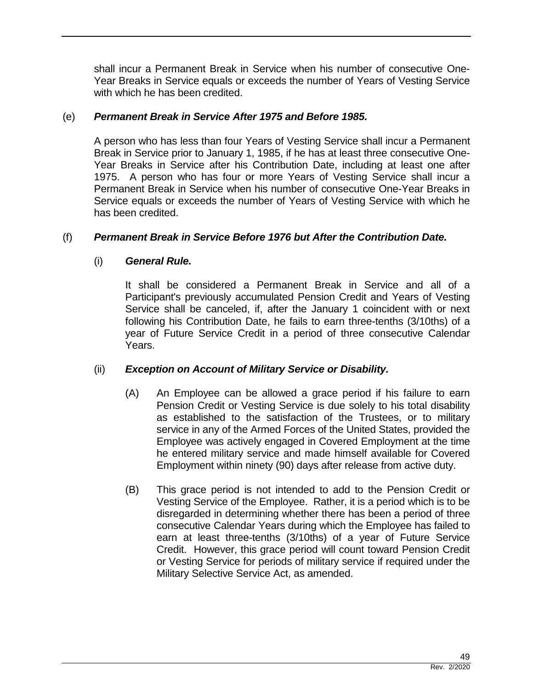shall incur a Permanent Break in Service when his number of consecutive One-Year Breaks in Service equals or exceeds the number of Years of Vesting Service with which he has been credited.

#### (e) *Permanent Break in Service After 1975 and Before 1985.*

A person who has less than four Years of Vesting Service shall incur a Permanent Break in Service prior to January 1, 1985, if he has at least three consecutive One-Year Breaks in Service after his Contribution Date, including at least one after 1975. A person who has four or more Years of Vesting Service shall incur a Permanent Break in Service when his number of consecutive One-Year Breaks in Service equals or exceeds the number of Years of Vesting Service with which he has been credited.

#### (f) *Permanent Break in Service Before 1976 but After the Contribution Date.*

#### (i) *General Rule.*

It shall be considered a Permanent Break in Service and all of a Participant's previously accumulated Pension Credit and Years of Vesting Service shall be canceled, if, after the January 1 coincident with or next following his Contribution Date, he fails to earn three-tenths (3/10ths) of a year of Future Service Credit in a period of three consecutive Calendar Years.

## (ii) *Exception on Account of Military Service or Disability.*

- (A) An Employee can be allowed a grace period if his failure to earn Pension Credit or Vesting Service is due solely to his total disability as established to the satisfaction of the Trustees, or to military service in any of the Armed Forces of the United States, provided the Employee was actively engaged in Covered Employment at the time he entered military service and made himself available for Covered Employment within ninety (90) days after release from active duty.
- (B) This grace period is not intended to add to the Pension Credit or Vesting Service of the Employee. Rather, it is a period which is to be disregarded in determining whether there has been a period of three consecutive Calendar Years during which the Employee has failed to earn at least three-tenths (3/10ths) of a year of Future Service Credit. However, this grace period will count toward Pension Credit or Vesting Service for periods of military service if required under the Military Selective Service Act, as amended.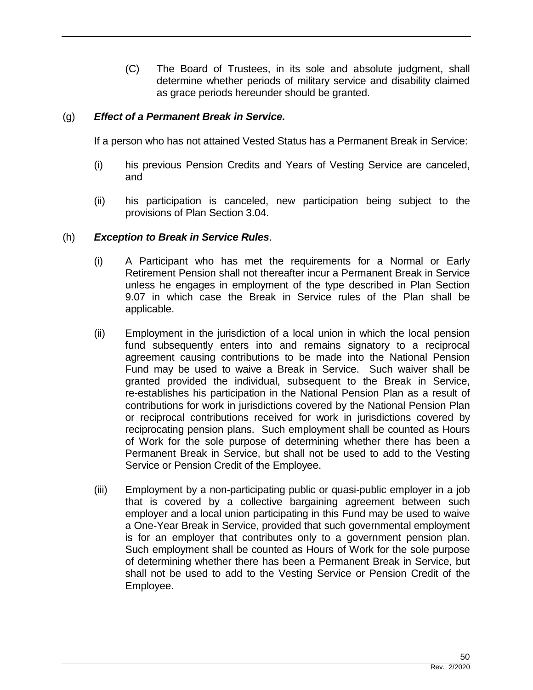(C) The Board of Trustees, in its sole and absolute judgment, shall determine whether periods of military service and disability claimed as grace periods hereunder should be granted.

#### (g) *Effect of a Permanent Break in Service.*

If a person who has not attained Vested Status has a Permanent Break in Service:

- (i) his previous Pension Credits and Years of Vesting Service are canceled, and
- (ii) his participation is canceled, new participation being subject to the provisions of Plan Section 3.04.

#### (h) *Exception to Break in Service Rules*.

- (i) A Participant who has met the requirements for a Normal or Early Retirement Pension shall not thereafter incur a Permanent Break in Service unless he engages in employment of the type described in Plan Section 9.07 in which case the Break in Service rules of the Plan shall be applicable.
- (ii) Employment in the jurisdiction of a local union in which the local pension fund subsequently enters into and remains signatory to a reciprocal agreement causing contributions to be made into the National Pension Fund may be used to waive a Break in Service. Such waiver shall be granted provided the individual, subsequent to the Break in Service, re-establishes his participation in the National Pension Plan as a result of contributions for work in jurisdictions covered by the National Pension Plan or reciprocal contributions received for work in jurisdictions covered by reciprocating pension plans. Such employment shall be counted as Hours of Work for the sole purpose of determining whether there has been a Permanent Break in Service, but shall not be used to add to the Vesting Service or Pension Credit of the Employee.
- (iii) Employment by a non-participating public or quasi-public employer in a job that is covered by a collective bargaining agreement between such employer and a local union participating in this Fund may be used to waive a One-Year Break in Service, provided that such governmental employment is for an employer that contributes only to a government pension plan. Such employment shall be counted as Hours of Work for the sole purpose of determining whether there has been a Permanent Break in Service, but shall not be used to add to the Vesting Service or Pension Credit of the Employee.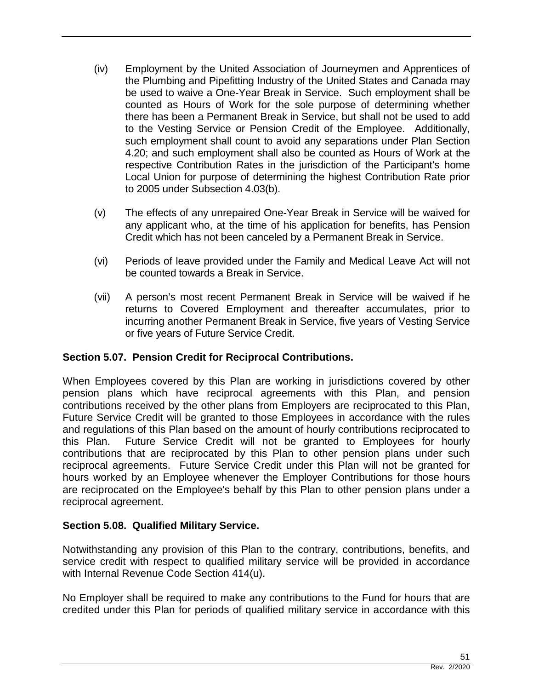- (iv) Employment by the United Association of Journeymen and Apprentices of the Plumbing and Pipefitting Industry of the United States and Canada may be used to waive a One-Year Break in Service. Such employment shall be counted as Hours of Work for the sole purpose of determining whether there has been a Permanent Break in Service, but shall not be used to add to the Vesting Service or Pension Credit of the Employee. Additionally, such employment shall count to avoid any separations under Plan Section 4.20; and such employment shall also be counted as Hours of Work at the respective Contribution Rates in the jurisdiction of the Participant's home Local Union for purpose of determining the highest Contribution Rate prior to 2005 under Subsection 4.03(b).
- (v) The effects of any unrepaired One-Year Break in Service will be waived for any applicant who, at the time of his application for benefits, has Pension Credit which has not been canceled by a Permanent Break in Service.
- (vi) Periods of leave provided under the Family and Medical Leave Act will not be counted towards a Break in Service.
- (vii) A person's most recent Permanent Break in Service will be waived if he returns to Covered Employment and thereafter accumulates, prior to incurring another Permanent Break in Service, five years of Vesting Service or five years of Future Service Credit.

# **Section 5.07. Pension Credit for Reciprocal Contributions.**

When Employees covered by this Plan are working in jurisdictions covered by other pension plans which have reciprocal agreements with this Plan, and pension contributions received by the other plans from Employers are reciprocated to this Plan, Future Service Credit will be granted to those Employees in accordance with the rules and regulations of this Plan based on the amount of hourly contributions reciprocated to this Plan. Future Service Credit will not be granted to Employees for hourly contributions that are reciprocated by this Plan to other pension plans under such reciprocal agreements. Future Service Credit under this Plan will not be granted for hours worked by an Employee whenever the Employer Contributions for those hours are reciprocated on the Employee's behalf by this Plan to other pension plans under a reciprocal agreement.

## **Section 5.08. Qualified Military Service.**

Notwithstanding any provision of this Plan to the contrary, contributions, benefits, and service credit with respect to qualified military service will be provided in accordance with Internal Revenue Code Section 414(u).

No Employer shall be required to make any contributions to the Fund for hours that are credited under this Plan for periods of qualified military service in accordance with this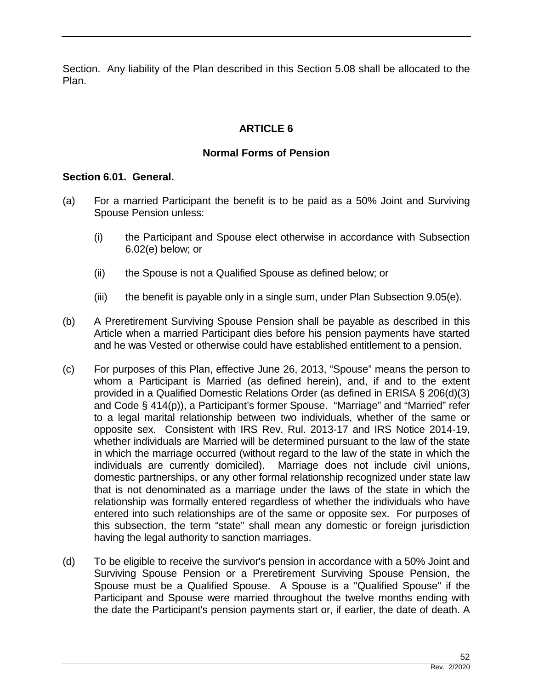Section. Any liability of the Plan described in this Section 5.08 shall be allocated to the Plan.

# **ARTICLE 6**

## **Normal Forms of Pension**

#### **Section 6.01. General.**

- (a) For a married Participant the benefit is to be paid as a 50% Joint and Surviving Spouse Pension unless:
	- (i) the Participant and Spouse elect otherwise in accordance with Subsection 6.02(e) below; or
	- (ii) the Spouse is not a Qualified Spouse as defined below; or
	- (iii) the benefit is payable only in a single sum, under Plan Subsection 9.05(e).
- (b) A Preretirement Surviving Spouse Pension shall be payable as described in this Article when a married Participant dies before his pension payments have started and he was Vested or otherwise could have established entitlement to a pension.
- (c) For purposes of this Plan, effective June 26, 2013, "Spouse" means the person to whom a Participant is Married (as defined herein), and, if and to the extent provided in a Qualified Domestic Relations Order (as defined in ERISA § 206(d)(3) and Code § 414(p)), a Participant's former Spouse. "Marriage" and "Married" refer to a legal marital relationship between two individuals, whether of the same or opposite sex. Consistent with IRS Rev. Rul. 2013-17 and IRS Notice 2014-19, whether individuals are Married will be determined pursuant to the law of the state in which the marriage occurred (without regard to the law of the state in which the individuals are currently domiciled). Marriage does not include civil unions, domestic partnerships, or any other formal relationship recognized under state law that is not denominated as a marriage under the laws of the state in which the relationship was formally entered regardless of whether the individuals who have entered into such relationships are of the same or opposite sex. For purposes of this subsection, the term "state" shall mean any domestic or foreign jurisdiction having the legal authority to sanction marriages.
- (d) To be eligible to receive the survivor's pension in accordance with a 50% Joint and Surviving Spouse Pension or a Preretirement Surviving Spouse Pension, the Spouse must be a Qualified Spouse. A Spouse is a "Qualified Spouse" if the Participant and Spouse were married throughout the twelve months ending with the date the Participant's pension payments start or, if earlier, the date of death. A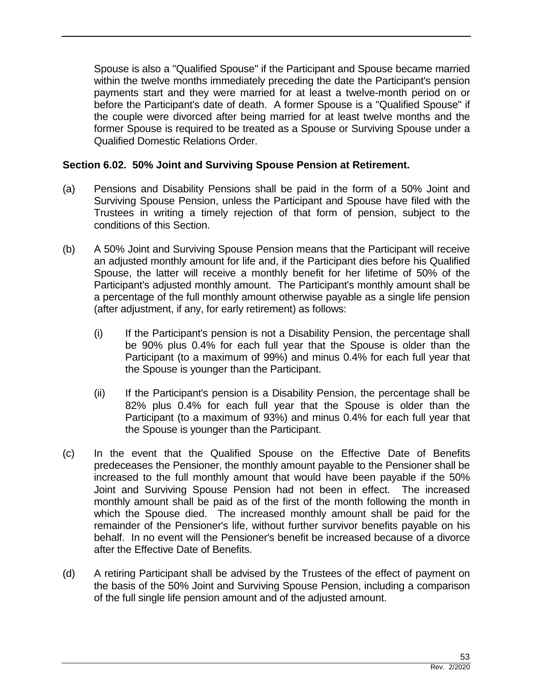Spouse is also a "Qualified Spouse" if the Participant and Spouse became married within the twelve months immediately preceding the date the Participant's pension payments start and they were married for at least a twelve-month period on or before the Participant's date of death. A former Spouse is a "Qualified Spouse" if the couple were divorced after being married for at least twelve months and the former Spouse is required to be treated as a Spouse or Surviving Spouse under a Qualified Domestic Relations Order.

## **Section 6.02. 50% Joint and Surviving Spouse Pension at Retirement.**

- (a) Pensions and Disability Pensions shall be paid in the form of a 50% Joint and Surviving Spouse Pension, unless the Participant and Spouse have filed with the Trustees in writing a timely rejection of that form of pension, subject to the conditions of this Section.
- (b) A 50% Joint and Surviving Spouse Pension means that the Participant will receive an adjusted monthly amount for life and, if the Participant dies before his Qualified Spouse, the latter will receive a monthly benefit for her lifetime of 50% of the Participant's adjusted monthly amount. The Participant's monthly amount shall be a percentage of the full monthly amount otherwise payable as a single life pension (after adjustment, if any, for early retirement) as follows:
	- (i) If the Participant's pension is not a Disability Pension, the percentage shall be 90% plus 0.4% for each full year that the Spouse is older than the Participant (to a maximum of 99%) and minus 0.4% for each full year that the Spouse is younger than the Participant.
	- (ii) If the Participant's pension is a Disability Pension, the percentage shall be 82% plus 0.4% for each full year that the Spouse is older than the Participant (to a maximum of 93%) and minus 0.4% for each full year that the Spouse is younger than the Participant.
- (c) In the event that the Qualified Spouse on the Effective Date of Benefits predeceases the Pensioner, the monthly amount payable to the Pensioner shall be increased to the full monthly amount that would have been payable if the 50% Joint and Surviving Spouse Pension had not been in effect. The increased monthly amount shall be paid as of the first of the month following the month in which the Spouse died. The increased monthly amount shall be paid for the remainder of the Pensioner's life, without further survivor benefits payable on his behalf. In no event will the Pensioner's benefit be increased because of a divorce after the Effective Date of Benefits.
- (d) A retiring Participant shall be advised by the Trustees of the effect of payment on the basis of the 50% Joint and Surviving Spouse Pension, including a comparison of the full single life pension amount and of the adjusted amount.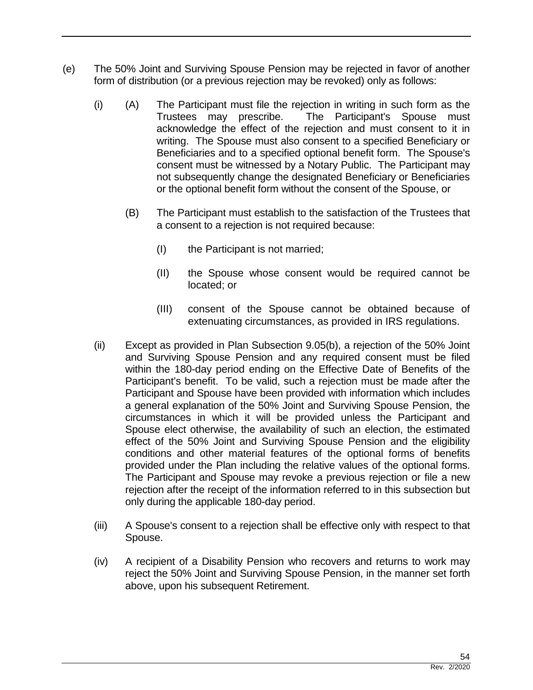- (e) The 50% Joint and Surviving Spouse Pension may be rejected in favor of another form of distribution (or a previous rejection may be revoked) only as follows:
	- (i) (A) The Participant must file the rejection in writing in such form as the Trustees may prescribe. The Participant's Spouse must acknowledge the effect of the rejection and must consent to it in writing. The Spouse must also consent to a specified Beneficiary or Beneficiaries and to a specified optional benefit form. The Spouse's consent must be witnessed by a Notary Public. The Participant may not subsequently change the designated Beneficiary or Beneficiaries or the optional benefit form without the consent of the Spouse, or
		- (B) The Participant must establish to the satisfaction of the Trustees that a consent to a rejection is not required because:
			- (I) the Participant is not married;
			- (II) the Spouse whose consent would be required cannot be located; or
			- (III) consent of the Spouse cannot be obtained because of extenuating circumstances, as provided in IRS regulations.
	- (ii) Except as provided in Plan Subsection 9.05(b), a rejection of the 50% Joint and Surviving Spouse Pension and any required consent must be filed within the 180-day period ending on the Effective Date of Benefits of the Participant's benefit. To be valid, such a rejection must be made after the Participant and Spouse have been provided with information which includes a general explanation of the 50% Joint and Surviving Spouse Pension, the circumstances in which it will be provided unless the Participant and Spouse elect otherwise, the availability of such an election, the estimated effect of the 50% Joint and Surviving Spouse Pension and the eligibility conditions and other material features of the optional forms of benefits provided under the Plan including the relative values of the optional forms. The Participant and Spouse may revoke a previous rejection or file a new rejection after the receipt of the information referred to in this subsection but only during the applicable 180-day period.
	- (iii) A Spouse's consent to a rejection shall be effective only with respect to that Spouse.
	- (iv) A recipient of a Disability Pension who recovers and returns to work may reject the 50% Joint and Surviving Spouse Pension, in the manner set forth above, upon his subsequent Retirement.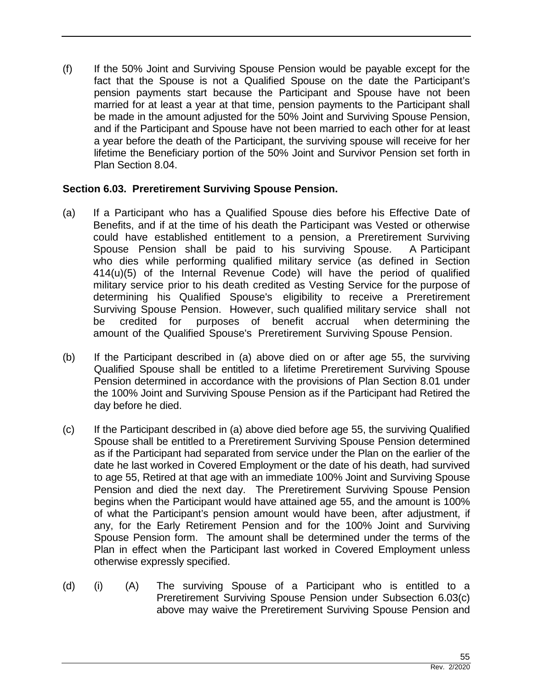(f) If the 50% Joint and Surviving Spouse Pension would be payable except for the fact that the Spouse is not a Qualified Spouse on the date the Participant's pension payments start because the Participant and Spouse have not been married for at least a year at that time, pension payments to the Participant shall be made in the amount adjusted for the 50% Joint and Surviving Spouse Pension, and if the Participant and Spouse have not been married to each other for at least a year before the death of the Participant, the surviving spouse will receive for her lifetime the Beneficiary portion of the 50% Joint and Survivor Pension set forth in Plan Section 8.04.

## **Section 6.03. Preretirement Surviving Spouse Pension.**

- (a) If a Participant who has a Qualified Spouse dies before his Effective Date of Benefits, and if at the time of his death the Participant was Vested or otherwise could have established entitlement to a pension, a Preretirement Surviving Spouse Pension shall be paid to his surviving Spouse. A Participant who dies while performing qualified military service (as defined in Section 414(u)(5) of the Internal Revenue Code) will have the period of qualified military service prior to his death credited as Vesting Service for the purpose of determining his Qualified Spouse's eligibility to receive a Preretirement Surviving Spouse Pension. However, such qualified military service shall not be credited for purposes of benefit accrual when determining the amount of the Qualified Spouse's Preretirement Surviving Spouse Pension.
- (b) If the Participant described in (a) above died on or after age 55, the surviving Qualified Spouse shall be entitled to a lifetime Preretirement Surviving Spouse Pension determined in accordance with the provisions of Plan Section 8.01 under the 100% Joint and Surviving Spouse Pension as if the Participant had Retired the day before he died.
- (c) If the Participant described in (a) above died before age 55, the surviving Qualified Spouse shall be entitled to a Preretirement Surviving Spouse Pension determined as if the Participant had separated from service under the Plan on the earlier of the date he last worked in Covered Employment or the date of his death, had survived to age 55, Retired at that age with an immediate 100% Joint and Surviving Spouse Pension and died the next day. The Preretirement Surviving Spouse Pension begins when the Participant would have attained age 55, and the amount is 100% of what the Participant's pension amount would have been, after adjustment, if any, for the Early Retirement Pension and for the 100% Joint and Surviving Spouse Pension form. The amount shall be determined under the terms of the Plan in effect when the Participant last worked in Covered Employment unless otherwise expressly specified.
- (d) (i) (A) The surviving Spouse of a Participant who is entitled to a Preretirement Surviving Spouse Pension under Subsection 6.03(c) above may waive the Preretirement Surviving Spouse Pension and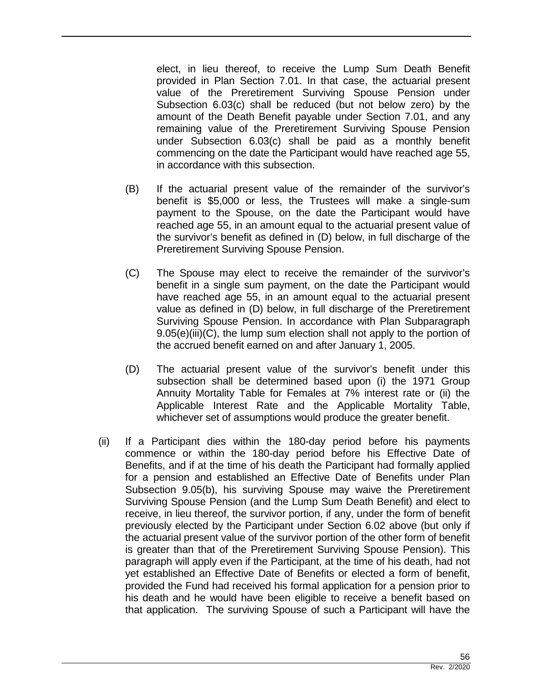elect, in lieu thereof, to receive the Lump Sum Death Benefit provided in Plan Section 7.01. In that case, the actuarial present value of the Preretirement Surviving Spouse Pension under Subsection 6.03(c) shall be reduced (but not below zero) by the amount of the Death Benefit payable under Section 7.01, and any remaining value of the Preretirement Surviving Spouse Pension under Subsection 6.03(c) shall be paid as a monthly benefit commencing on the date the Participant would have reached age 55, in accordance with this subsection.

- (B) If the actuarial present value of the remainder of the survivor's benefit is \$5,000 or less, the Trustees will make a single-sum payment to the Spouse, on the date the Participant would have reached age 55, in an amount equal to the actuarial present value of the survivor's benefit as defined in (D) below, in full discharge of the Preretirement Surviving Spouse Pension.
- (C) The Spouse may elect to receive the remainder of the survivor's benefit in a single sum payment, on the date the Participant would have reached age 55, in an amount equal to the actuarial present value as defined in (D) below, in full discharge of the Preretirement Surviving Spouse Pension. In accordance with Plan Subparagraph 9.05(e)(iii)(C), the lump sum election shall not apply to the portion of the accrued benefit earned on and after January 1, 2005.
- (D) The actuarial present value of the survivor's benefit under this subsection shall be determined based upon (i) the 1971 Group Annuity Mortality Table for Females at 7% interest rate or (ii) the Applicable Interest Rate and the Applicable Mortality Table, whichever set of assumptions would produce the greater benefit.
- (ii) If a Participant dies within the 180-day period before his payments commence or within the 180-day period before his Effective Date of Benefits, and if at the time of his death the Participant had formally applied for a pension and established an Effective Date of Benefits under Plan Subsection 9.05(b), his surviving Spouse may waive the Preretirement Surviving Spouse Pension (and the Lump Sum Death Benefit) and elect to receive, in lieu thereof, the survivor portion, if any, under the form of benefit previously elected by the Participant under Section 6.02 above (but only if the actuarial present value of the survivor portion of the other form of benefit is greater than that of the Preretirement Surviving Spouse Pension). This paragraph will apply even if the Participant, at the time of his death, had not yet established an Effective Date of Benefits or elected a form of benefit, provided the Fund had received his formal application for a pension prior to his death and he would have been eligible to receive a benefit based on that application. The surviving Spouse of such a Participant will have the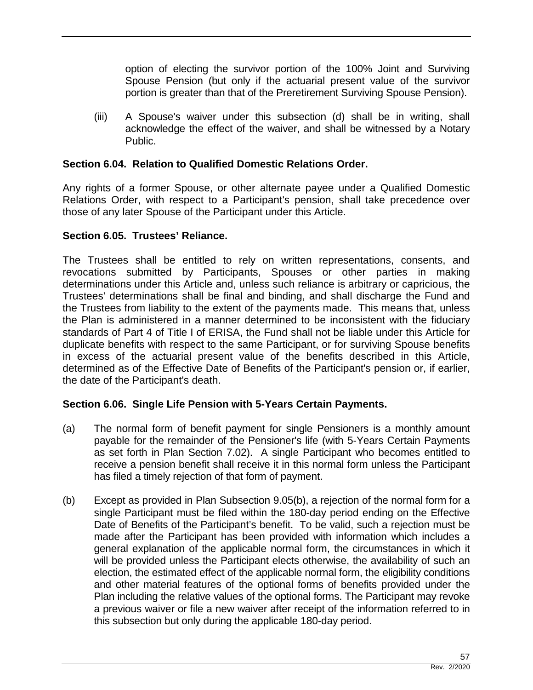option of electing the survivor portion of the 100% Joint and Surviving Spouse Pension (but only if the actuarial present value of the survivor portion is greater than that of the Preretirement Surviving Spouse Pension).

(iii) A Spouse's waiver under this subsection (d) shall be in writing, shall acknowledge the effect of the waiver, and shall be witnessed by a Notary Public.

## **Section 6.04. Relation to Qualified Domestic Relations Order.**

Any rights of a former Spouse, or other alternate payee under a Qualified Domestic Relations Order, with respect to a Participant's pension, shall take precedence over those of any later Spouse of the Participant under this Article.

# **Section 6.05. Trustees' Reliance.**

The Trustees shall be entitled to rely on written representations, consents, and revocations submitted by Participants, Spouses or other parties in making determinations under this Article and, unless such reliance is arbitrary or capricious, the Trustees' determinations shall be final and binding, and shall discharge the Fund and the Trustees from liability to the extent of the payments made. This means that, unless the Plan is administered in a manner determined to be inconsistent with the fiduciary standards of Part 4 of Title I of ERISA, the Fund shall not be liable under this Article for duplicate benefits with respect to the same Participant, or for surviving Spouse benefits in excess of the actuarial present value of the benefits described in this Article, determined as of the Effective Date of Benefits of the Participant's pension or, if earlier, the date of the Participant's death.

## **Section 6.06. Single Life Pension with 5-Years Certain Payments.**

- (a) The normal form of benefit payment for single Pensioners is a monthly amount payable for the remainder of the Pensioner's life (with 5-Years Certain Payments as set forth in Plan Section 7.02). A single Participant who becomes entitled to receive a pension benefit shall receive it in this normal form unless the Participant has filed a timely rejection of that form of payment.
- (b) Except as provided in Plan Subsection 9.05(b), a rejection of the normal form for a single Participant must be filed within the 180-day period ending on the Effective Date of Benefits of the Participant's benefit. To be valid, such a rejection must be made after the Participant has been provided with information which includes a general explanation of the applicable normal form, the circumstances in which it will be provided unless the Participant elects otherwise, the availability of such an election, the estimated effect of the applicable normal form, the eligibility conditions and other material features of the optional forms of benefits provided under the Plan including the relative values of the optional forms. The Participant may revoke a previous waiver or file a new waiver after receipt of the information referred to in this subsection but only during the applicable 180-day period.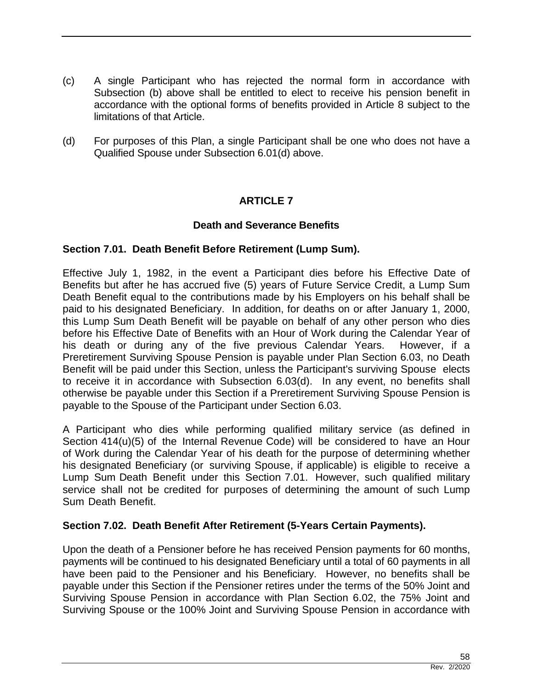- (c) A single Participant who has rejected the normal form in accordance with Subsection (b) above shall be entitled to elect to receive his pension benefit in accordance with the optional forms of benefits provided in Article 8 subject to the limitations of that Article.
- (d) For purposes of this Plan, a single Participant shall be one who does not have a Qualified Spouse under Subsection 6.01(d) above.

# **ARTICLE 7**

#### **Death and Severance Benefits**

#### **Section 7.01. Death Benefit Before Retirement (Lump Sum).**

Effective July 1, 1982, in the event a Participant dies before his Effective Date of Benefits but after he has accrued five (5) years of Future Service Credit, a Lump Sum Death Benefit equal to the contributions made by his Employers on his behalf shall be paid to his designated Beneficiary. In addition, for deaths on or after January 1, 2000, this Lump Sum Death Benefit will be payable on behalf of any other person who dies before his Effective Date of Benefits with an Hour of Work during the Calendar Year of his death or during any of the five previous Calendar Years. However, if a Preretirement Surviving Spouse Pension is payable under Plan Section 6.03, no Death Benefit will be paid under this Section, unless the Participant's surviving Spouse elects to receive it in accordance with Subsection 6.03(d). In any event, no benefits shall otherwise be payable under this Section if a Preretirement Surviving Spouse Pension is payable to the Spouse of the Participant under Section 6.03.

A Participant who dies while performing qualified military service (as defined in Section 414(u)(5) of the Internal Revenue Code) will be considered to have an Hour of Work during the Calendar Year of his death for the purpose of determining whether his designated Beneficiary (or surviving Spouse, if applicable) is eligible to receive a Lump Sum Death Benefit under this Section 7.01. However, such qualified military service shall not be credited for purposes of determining the amount of such Lump Sum Death Benefit.

#### **Section 7.02. Death Benefit After Retirement (5-Years Certain Payments).**

Upon the death of a Pensioner before he has received Pension payments for 60 months, payments will be continued to his designated Beneficiary until a total of 60 payments in all have been paid to the Pensioner and his Beneficiary. However, no benefits shall be payable under this Section if the Pensioner retires under the terms of the 50% Joint and Surviving Spouse Pension in accordance with Plan Section 6.02, the 75% Joint and Surviving Spouse or the 100% Joint and Surviving Spouse Pension in accordance with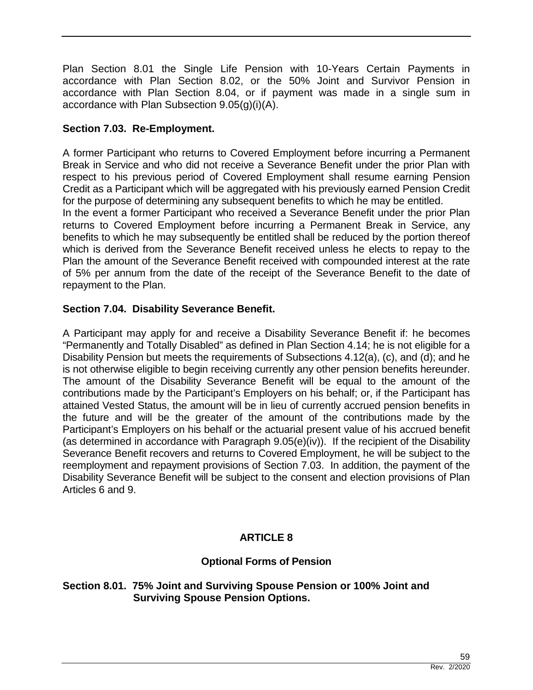Plan Section 8.01 the Single Life Pension with 10-Years Certain Payments in accordance with Plan Section 8.02, or the 50% Joint and Survivor Pension in accordance with Plan Section 8.04, or if payment was made in a single sum in accordance with Plan Subsection 9.05(g)(i)(A).

# **Section 7.03. Re-Employment.**

A former Participant who returns to Covered Employment before incurring a Permanent Break in Service and who did not receive a Severance Benefit under the prior Plan with respect to his previous period of Covered Employment shall resume earning Pension Credit as a Participant which will be aggregated with his previously earned Pension Credit for the purpose of determining any subsequent benefits to which he may be entitled.

In the event a former Participant who received a Severance Benefit under the prior Plan returns to Covered Employment before incurring a Permanent Break in Service, any benefits to which he may subsequently be entitled shall be reduced by the portion thereof which is derived from the Severance Benefit received unless he elects to repay to the Plan the amount of the Severance Benefit received with compounded interest at the rate of 5% per annum from the date of the receipt of the Severance Benefit to the date of repayment to the Plan.

# **Section 7.04. Disability Severance Benefit.**

A Participant may apply for and receive a Disability Severance Benefit if: he becomes "Permanently and Totally Disabled" as defined in Plan Section 4.14; he is not eligible for a Disability Pension but meets the requirements of Subsections 4.12(a), (c), and (d); and he is not otherwise eligible to begin receiving currently any other pension benefits hereunder. The amount of the Disability Severance Benefit will be equal to the amount of the contributions made by the Participant's Employers on his behalf; or, if the Participant has attained Vested Status, the amount will be in lieu of currently accrued pension benefits in the future and will be the greater of the amount of the contributions made by the Participant's Employers on his behalf or the actuarial present value of his accrued benefit (as determined in accordance with Paragraph 9.05(e)(iv)). If the recipient of the Disability Severance Benefit recovers and returns to Covered Employment, he will be subject to the reemployment and repayment provisions of Section 7.03. In addition, the payment of the Disability Severance Benefit will be subject to the consent and election provisions of Plan Articles 6 and 9.

# **ARTICLE 8**

## **Optional Forms of Pension**

#### **Section 8.01. 75% Joint and Surviving Spouse Pension or 100% Joint and Surviving Spouse Pension Options.**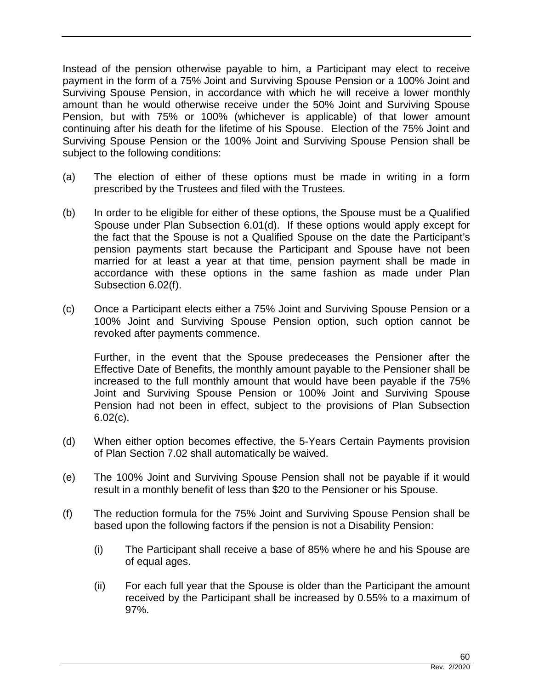Instead of the pension otherwise payable to him, a Participant may elect to receive payment in the form of a 75% Joint and Surviving Spouse Pension or a 100% Joint and Surviving Spouse Pension, in accordance with which he will receive a lower monthly amount than he would otherwise receive under the 50% Joint and Surviving Spouse Pension, but with 75% or 100% (whichever is applicable) of that lower amount continuing after his death for the lifetime of his Spouse. Election of the 75% Joint and Surviving Spouse Pension or the 100% Joint and Surviving Spouse Pension shall be subject to the following conditions:

- (a) The election of either of these options must be made in writing in a form prescribed by the Trustees and filed with the Trustees.
- (b) In order to be eligible for either of these options, the Spouse must be a Qualified Spouse under Plan Subsection 6.01(d). If these options would apply except for the fact that the Spouse is not a Qualified Spouse on the date the Participant's pension payments start because the Participant and Spouse have not been married for at least a year at that time, pension payment shall be made in accordance with these options in the same fashion as made under Plan Subsection 6.02(f).
- (c) Once a Participant elects either a 75% Joint and Surviving Spouse Pension or a 100% Joint and Surviving Spouse Pension option, such option cannot be revoked after payments commence.

Further, in the event that the Spouse predeceases the Pensioner after the Effective Date of Benefits, the monthly amount payable to the Pensioner shall be increased to the full monthly amount that would have been payable if the 75% Joint and Surviving Spouse Pension or 100% Joint and Surviving Spouse Pension had not been in effect, subject to the provisions of Plan Subsection 6.02(c).

- (d) When either option becomes effective, the 5-Years Certain Payments provision of Plan Section 7.02 shall automatically be waived.
- (e) The 100% Joint and Surviving Spouse Pension shall not be payable if it would result in a monthly benefit of less than \$20 to the Pensioner or his Spouse.
- (f) The reduction formula for the 75% Joint and Surviving Spouse Pension shall be based upon the following factors if the pension is not a Disability Pension:
	- (i) The Participant shall receive a base of 85% where he and his Spouse are of equal ages.
	- (ii) For each full year that the Spouse is older than the Participant the amount received by the Participant shall be increased by 0.55% to a maximum of 97%.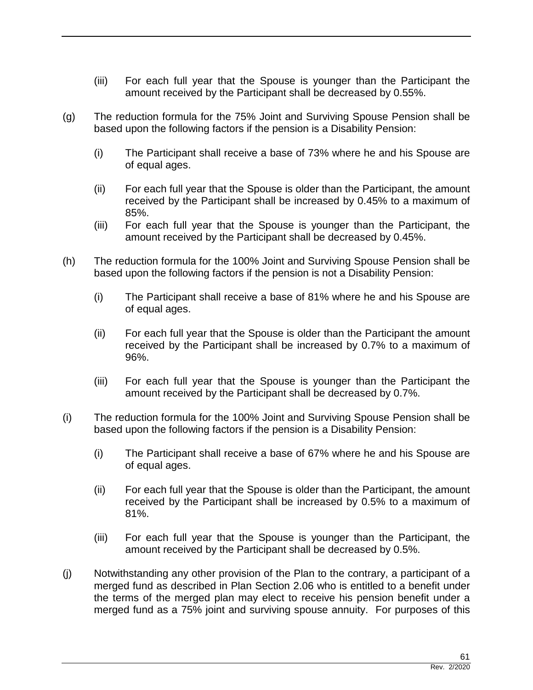- (iii) For each full year that the Spouse is younger than the Participant the amount received by the Participant shall be decreased by 0.55%.
- (g) The reduction formula for the 75% Joint and Surviving Spouse Pension shall be based upon the following factors if the pension is a Disability Pension:
	- (i) The Participant shall receive a base of 73% where he and his Spouse are of equal ages.
	- (ii) For each full year that the Spouse is older than the Participant, the amount received by the Participant shall be increased by 0.45% to a maximum of 85%.
	- (iii) For each full year that the Spouse is younger than the Participant, the amount received by the Participant shall be decreased by 0.45%.
- (h) The reduction formula for the 100% Joint and Surviving Spouse Pension shall be based upon the following factors if the pension is not a Disability Pension:
	- (i) The Participant shall receive a base of 81% where he and his Spouse are of equal ages.
	- (ii) For each full year that the Spouse is older than the Participant the amount received by the Participant shall be increased by 0.7% to a maximum of 96%.
	- (iii) For each full year that the Spouse is younger than the Participant the amount received by the Participant shall be decreased by 0.7%.
- (i) The reduction formula for the 100% Joint and Surviving Spouse Pension shall be based upon the following factors if the pension is a Disability Pension:
	- (i) The Participant shall receive a base of 67% where he and his Spouse are of equal ages.
	- (ii) For each full year that the Spouse is older than the Participant, the amount received by the Participant shall be increased by 0.5% to a maximum of 81%.
	- (iii) For each full year that the Spouse is younger than the Participant, the amount received by the Participant shall be decreased by 0.5%.
- (j) Notwithstanding any other provision of the Plan to the contrary, a participant of a merged fund as described in Plan Section 2.06 who is entitled to a benefit under the terms of the merged plan may elect to receive his pension benefit under a merged fund as a 75% joint and surviving spouse annuity. For purposes of this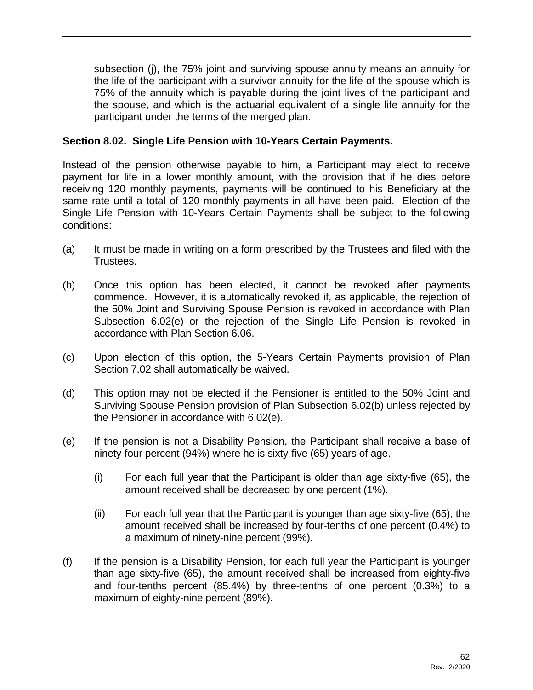subsection (j), the 75% joint and surviving spouse annuity means an annuity for the life of the participant with a survivor annuity for the life of the spouse which is 75% of the annuity which is payable during the joint lives of the participant and the spouse, and which is the actuarial equivalent of a single life annuity for the participant under the terms of the merged plan.

#### **Section 8.02. Single Life Pension with 10-Years Certain Payments.**

Instead of the pension otherwise payable to him, a Participant may elect to receive payment for life in a lower monthly amount, with the provision that if he dies before receiving 120 monthly payments, payments will be continued to his Beneficiary at the same rate until a total of 120 monthly payments in all have been paid. Election of the Single Life Pension with 10-Years Certain Payments shall be subject to the following conditions:

- (a) It must be made in writing on a form prescribed by the Trustees and filed with the Trustees.
- (b) Once this option has been elected, it cannot be revoked after payments commence. However, it is automatically revoked if, as applicable, the rejection of the 50% Joint and Surviving Spouse Pension is revoked in accordance with Plan Subsection 6.02(e) or the rejection of the Single Life Pension is revoked in accordance with Plan Section 6.06.
- (c) Upon election of this option, the 5-Years Certain Payments provision of Plan Section 7.02 shall automatically be waived.
- (d) This option may not be elected if the Pensioner is entitled to the 50% Joint and Surviving Spouse Pension provision of Plan Subsection 6.02(b) unless rejected by the Pensioner in accordance with 6.02(e).
- (e) If the pension is not a Disability Pension, the Participant shall receive a base of ninety-four percent (94%) where he is sixty-five (65) years of age.
	- (i) For each full year that the Participant is older than age sixty-five (65), the amount received shall be decreased by one percent (1%).
	- (ii) For each full year that the Participant is younger than age sixty-five (65), the amount received shall be increased by four-tenths of one percent (0.4%) to a maximum of ninety-nine percent (99%).
- (f) If the pension is a Disability Pension, for each full year the Participant is younger than age sixty-five (65), the amount received shall be increased from eighty-five and four-tenths percent (85.4%) by three-tenths of one percent (0.3%) to a maximum of eighty-nine percent (89%).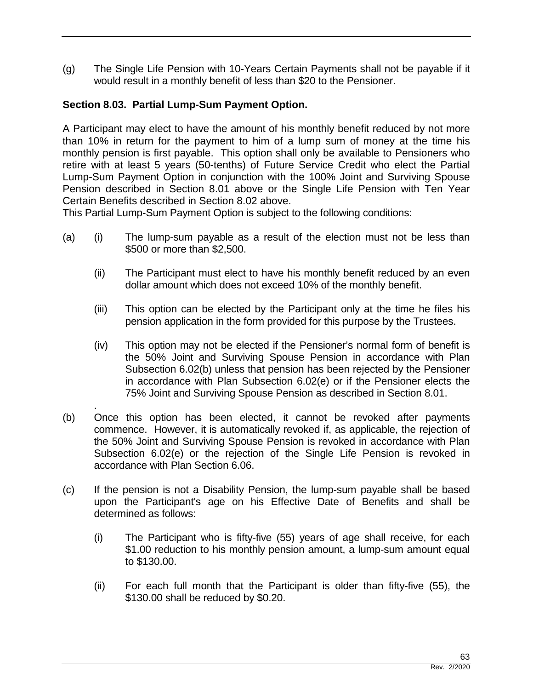(g) The Single Life Pension with 10-Years Certain Payments shall not be payable if it would result in a monthly benefit of less than \$20 to the Pensioner.

## **Section 8.03. Partial Lump-Sum Payment Option.**

A Participant may elect to have the amount of his monthly benefit reduced by not more than 10% in return for the payment to him of a lump sum of money at the time his monthly pension is first payable. This option shall only be available to Pensioners who retire with at least 5 years (50-tenths) of Future Service Credit who elect the Partial Lump-Sum Payment Option in conjunction with the 100% Joint and Surviving Spouse Pension described in Section 8.01 above or the Single Life Pension with Ten Year Certain Benefits described in Section 8.02 above.

This Partial Lump-Sum Payment Option is subject to the following conditions:

- (a) (i) The lump-sum payable as a result of the election must not be less than \$500 or more than \$2,500.
	- (ii) The Participant must elect to have his monthly benefit reduced by an even dollar amount which does not exceed 10% of the monthly benefit.
	- (iii) This option can be elected by the Participant only at the time he files his pension application in the form provided for this purpose by the Trustees.
	- (iv) This option may not be elected if the Pensioner's normal form of benefit is the 50% Joint and Surviving Spouse Pension in accordance with Plan Subsection 6.02(b) unless that pension has been rejected by the Pensioner in accordance with Plan Subsection 6.02(e) or if the Pensioner elects the 75% Joint and Surviving Spouse Pension as described in Section 8.01.
- . (b) Once this option has been elected, it cannot be revoked after payments commence. However, it is automatically revoked if, as applicable, the rejection of the 50% Joint and Surviving Spouse Pension is revoked in accordance with Plan Subsection 6.02(e) or the rejection of the Single Life Pension is revoked in accordance with Plan Section 6.06.
- (c) If the pension is not a Disability Pension, the lump-sum payable shall be based upon the Participant's age on his Effective Date of Benefits and shall be determined as follows:
	- (i) The Participant who is fifty-five (55) years of age shall receive, for each \$1.00 reduction to his monthly pension amount, a lump-sum amount equal to \$130.00.
	- (ii) For each full month that the Participant is older than fifty-five (55), the \$130.00 shall be reduced by \$0.20.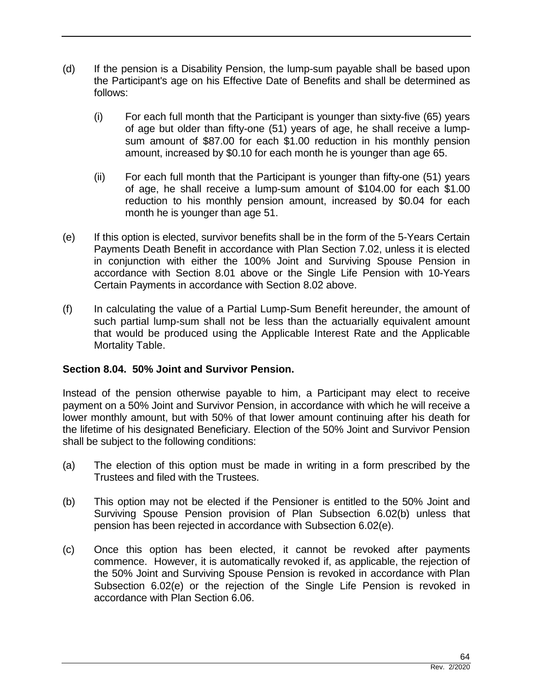- (d) If the pension is a Disability Pension, the lump-sum payable shall be based upon the Participant's age on his Effective Date of Benefits and shall be determined as follows:
	- (i) For each full month that the Participant is younger than sixty-five (65) years of age but older than fifty-one (51) years of age, he shall receive a lumpsum amount of \$87.00 for each \$1.00 reduction in his monthly pension amount, increased by \$0.10 for each month he is younger than age 65.
	- (ii) For each full month that the Participant is younger than fifty-one (51) years of age, he shall receive a lump-sum amount of \$104.00 for each \$1.00 reduction to his monthly pension amount, increased by \$0.04 for each month he is younger than age 51.
- (e) If this option is elected, survivor benefits shall be in the form of the 5-Years Certain Payments Death Benefit in accordance with Plan Section 7.02, unless it is elected in conjunction with either the 100% Joint and Surviving Spouse Pension in accordance with Section 8.01 above or the Single Life Pension with 10-Years Certain Payments in accordance with Section 8.02 above.
- (f) In calculating the value of a Partial Lump-Sum Benefit hereunder, the amount of such partial lump-sum shall not be less than the actuarially equivalent amount that would be produced using the Applicable Interest Rate and the Applicable Mortality Table.

## **Section 8.04. 50% Joint and Survivor Pension.**

Instead of the pension otherwise payable to him, a Participant may elect to receive payment on a 50% Joint and Survivor Pension, in accordance with which he will receive a lower monthly amount, but with 50% of that lower amount continuing after his death for the lifetime of his designated Beneficiary. Election of the 50% Joint and Survivor Pension shall be subject to the following conditions:

- (a) The election of this option must be made in writing in a form prescribed by the Trustees and filed with the Trustees.
- (b) This option may not be elected if the Pensioner is entitled to the 50% Joint and Surviving Spouse Pension provision of Plan Subsection 6.02(b) unless that pension has been rejected in accordance with Subsection 6.02(e).
- (c) Once this option has been elected, it cannot be revoked after payments commence. However, it is automatically revoked if, as applicable, the rejection of the 50% Joint and Surviving Spouse Pension is revoked in accordance with Plan Subsection 6.02(e) or the rejection of the Single Life Pension is revoked in accordance with Plan Section 6.06.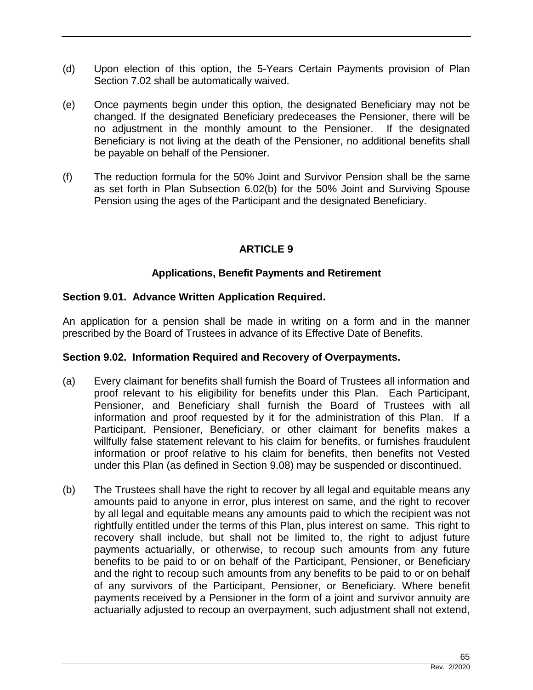- (d) Upon election of this option, the 5-Years Certain Payments provision of Plan Section 7.02 shall be automatically waived.
- (e) Once payments begin under this option, the designated Beneficiary may not be changed. If the designated Beneficiary predeceases the Pensioner, there will be no adjustment in the monthly amount to the Pensioner. If the designated Beneficiary is not living at the death of the Pensioner, no additional benefits shall be payable on behalf of the Pensioner.
- (f) The reduction formula for the 50% Joint and Survivor Pension shall be the same as set forth in Plan Subsection 6.02(b) for the 50% Joint and Surviving Spouse Pension using the ages of the Participant and the designated Beneficiary.

# **ARTICLE 9**

# **Applications, Benefit Payments and Retirement**

## **Section 9.01. Advance Written Application Required.**

An application for a pension shall be made in writing on a form and in the manner prescribed by the Board of Trustees in advance of its Effective Date of Benefits.

## **Section 9.02. Information Required and Recovery of Overpayments.**

- (a) Every claimant for benefits shall furnish the Board of Trustees all information and proof relevant to his eligibility for benefits under this Plan. Each Participant, Pensioner, and Beneficiary shall furnish the Board of Trustees with all information and proof requested by it for the administration of this Plan. If a Participant, Pensioner, Beneficiary, or other claimant for benefits makes a willfully false statement relevant to his claim for benefits, or furnishes fraudulent information or proof relative to his claim for benefits, then benefits not Vested under this Plan (as defined in Section 9.08) may be suspended or discontinued.
- (b) The Trustees shall have the right to recover by all legal and equitable means any amounts paid to anyone in error, plus interest on same, and the right to recover by all legal and equitable means any amounts paid to which the recipient was not rightfully entitled under the terms of this Plan, plus interest on same. This right to recovery shall include, but shall not be limited to, the right to adjust future payments actuarially, or otherwise, to recoup such amounts from any future benefits to be paid to or on behalf of the Participant, Pensioner, or Beneficiary and the right to recoup such amounts from any benefits to be paid to or on behalf of any survivors of the Participant, Pensioner, or Beneficiary. Where benefit payments received by a Pensioner in the form of a joint and survivor annuity are actuarially adjusted to recoup an overpayment, such adjustment shall not extend,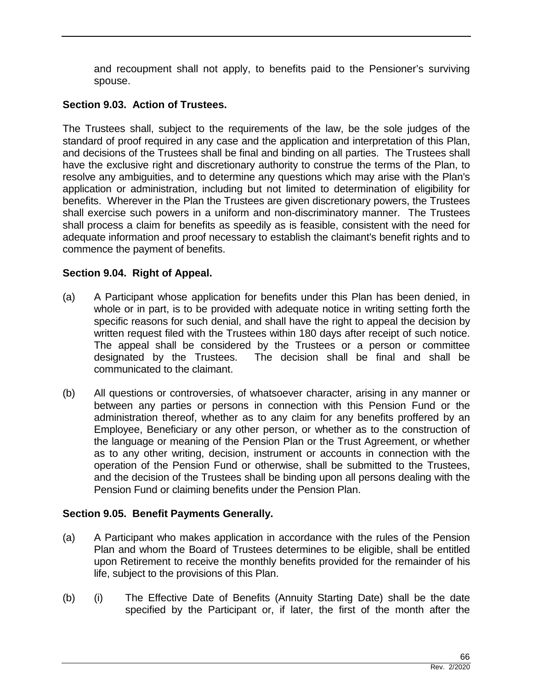and recoupment shall not apply, to benefits paid to the Pensioner's surviving spouse.

#### **Section 9.03. Action of Trustees.**

The Trustees shall, subject to the requirements of the law, be the sole judges of the standard of proof required in any case and the application and interpretation of this Plan, and decisions of the Trustees shall be final and binding on all parties. The Trustees shall have the exclusive right and discretionary authority to construe the terms of the Plan, to resolve any ambiguities, and to determine any questions which may arise with the Plan's application or administration, including but not limited to determination of eligibility for benefits. Wherever in the Plan the Trustees are given discretionary powers, the Trustees shall exercise such powers in a uniform and non-discriminatory manner. The Trustees shall process a claim for benefits as speedily as is feasible, consistent with the need for adequate information and proof necessary to establish the claimant's benefit rights and to commence the payment of benefits.

## **Section 9.04. Right of Appeal.**

- (a) A Participant whose application for benefits under this Plan has been denied, in whole or in part, is to be provided with adequate notice in writing setting forth the specific reasons for such denial, and shall have the right to appeal the decision by written request filed with the Trustees within 180 days after receipt of such notice. The appeal shall be considered by the Trustees or a person or committee designated by the Trustees. The decision shall be final and shall be communicated to the claimant.
- (b) All questions or controversies, of whatsoever character, arising in any manner or between any parties or persons in connection with this Pension Fund or the administration thereof, whether as to any claim for any benefits proffered by an Employee, Beneficiary or any other person, or whether as to the construction of the language or meaning of the Pension Plan or the Trust Agreement, or whether as to any other writing, decision, instrument or accounts in connection with the operation of the Pension Fund or otherwise, shall be submitted to the Trustees, and the decision of the Trustees shall be binding upon all persons dealing with the Pension Fund or claiming benefits under the Pension Plan.

## **Section 9.05. Benefit Payments Generally.**

- (a) A Participant who makes application in accordance with the rules of the Pension Plan and whom the Board of Trustees determines to be eligible, shall be entitled upon Retirement to receive the monthly benefits provided for the remainder of his life, subject to the provisions of this Plan.
- (b) (i) The Effective Date of Benefits (Annuity Starting Date) shall be the date specified by the Participant or, if later, the first of the month after the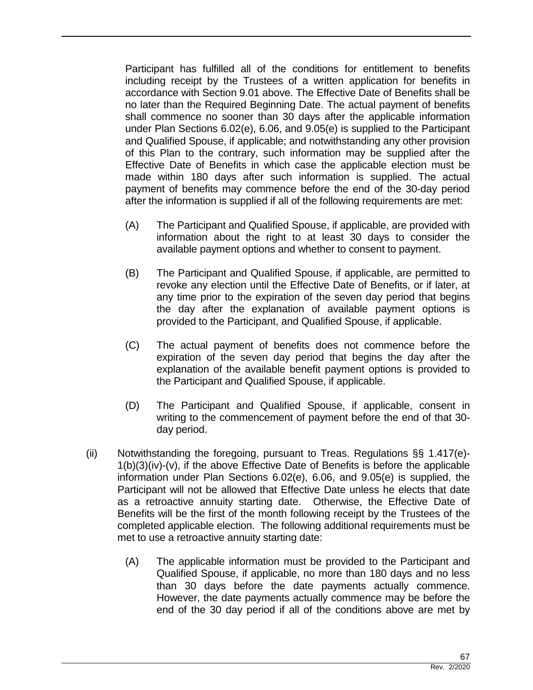Participant has fulfilled all of the conditions for entitlement to benefits including receipt by the Trustees of a written application for benefits in accordance with Section 9.01 above. The Effective Date of Benefits shall be no later than the Required Beginning Date. The actual payment of benefits shall commence no sooner than 30 days after the applicable information under Plan Sections 6.02(e), 6.06, and 9.05(e) is supplied to the Participant and Qualified Spouse, if applicable; and notwithstanding any other provision of this Plan to the contrary, such information may be supplied after the Effective Date of Benefits in which case the applicable election must be made within 180 days after such information is supplied. The actual payment of benefits may commence before the end of the 30-day period after the information is supplied if all of the following requirements are met:

- (A) The Participant and Qualified Spouse, if applicable, are provided with information about the right to at least 30 days to consider the available payment options and whether to consent to payment.
- (B) The Participant and Qualified Spouse, if applicable, are permitted to revoke any election until the Effective Date of Benefits, or if later, at any time prior to the expiration of the seven day period that begins the day after the explanation of available payment options is provided to the Participant, and Qualified Spouse, if applicable.
- (C) The actual payment of benefits does not commence before the expiration of the seven day period that begins the day after the explanation of the available benefit payment options is provided to the Participant and Qualified Spouse, if applicable.
- (D) The Participant and Qualified Spouse, if applicable, consent in writing to the commencement of payment before the end of that 30 day period.
- (ii) Notwithstanding the foregoing, pursuant to Treas. Regulations §§ 1.417(e)- 1(b)(3)(iv)-(v), if the above Effective Date of Benefits is before the applicable information under Plan Sections 6.02(e), 6.06, and 9.05(e) is supplied, the Participant will not be allowed that Effective Date unless he elects that date as a retroactive annuity starting date. Otherwise, the Effective Date of Benefits will be the first of the month following receipt by the Trustees of the completed applicable election. The following additional requirements must be met to use a retroactive annuity starting date:
	- (A) The applicable information must be provided to the Participant and Qualified Spouse, if applicable, no more than 180 days and no less than 30 days before the date payments actually commence. However, the date payments actually commence may be before the end of the 30 day period if all of the conditions above are met by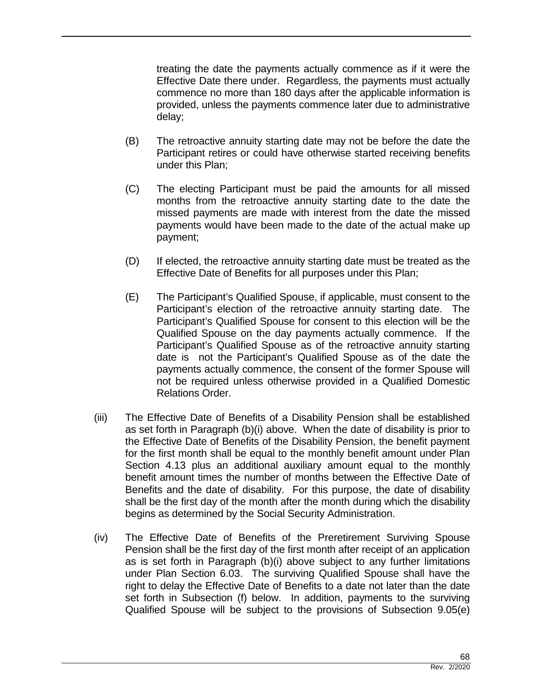treating the date the payments actually commence as if it were the Effective Date there under. Regardless, the payments must actually commence no more than 180 days after the applicable information is provided, unless the payments commence later due to administrative delay;

- (B) The retroactive annuity starting date may not be before the date the Participant retires or could have otherwise started receiving benefits under this Plan;
- (C) The electing Participant must be paid the amounts for all missed months from the retroactive annuity starting date to the date the missed payments are made with interest from the date the missed payments would have been made to the date of the actual make up payment;
- (D) If elected, the retroactive annuity starting date must be treated as the Effective Date of Benefits for all purposes under this Plan;
- (E) The Participant's Qualified Spouse, if applicable, must consent to the Participant's election of the retroactive annuity starting date. The Participant's Qualified Spouse for consent to this election will be the Qualified Spouse on the day payments actually commence. If the Participant's Qualified Spouse as of the retroactive annuity starting date is not the Participant's Qualified Spouse as of the date the payments actually commence, the consent of the former Spouse will not be required unless otherwise provided in a Qualified Domestic Relations Order.
- (iii) The Effective Date of Benefits of a Disability Pension shall be established as set forth in Paragraph (b)(i) above. When the date of disability is prior to the Effective Date of Benefits of the Disability Pension, the benefit payment for the first month shall be equal to the monthly benefit amount under Plan Section 4.13 plus an additional auxiliary amount equal to the monthly benefit amount times the number of months between the Effective Date of Benefits and the date of disability. For this purpose, the date of disability shall be the first day of the month after the month during which the disability begins as determined by the Social Security Administration.
- (iv) The Effective Date of Benefits of the Preretirement Surviving Spouse Pension shall be the first day of the first month after receipt of an application as is set forth in Paragraph (b)(i) above subject to any further limitations under Plan Section 6.03. The surviving Qualified Spouse shall have the right to delay the Effective Date of Benefits to a date not later than the date set forth in Subsection (f) below. In addition, payments to the surviving Qualified Spouse will be subject to the provisions of Subsection 9.05(e)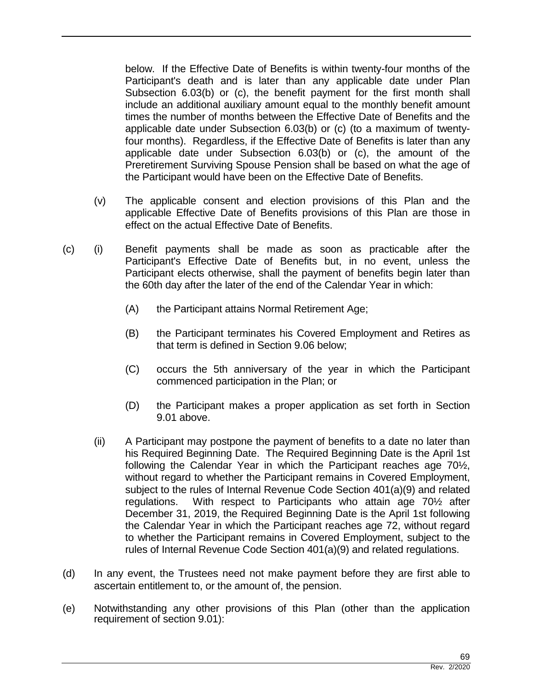below. If the Effective Date of Benefits is within twenty-four months of the Participant's death and is later than any applicable date under Plan Subsection 6.03(b) or (c), the benefit payment for the first month shall include an additional auxiliary amount equal to the monthly benefit amount times the number of months between the Effective Date of Benefits and the applicable date under Subsection 6.03(b) or (c) (to a maximum of twentyfour months). Regardless, if the Effective Date of Benefits is later than any applicable date under Subsection 6.03(b) or (c), the amount of the Preretirement Surviving Spouse Pension shall be based on what the age of the Participant would have been on the Effective Date of Benefits.

- (v) The applicable consent and election provisions of this Plan and the applicable Effective Date of Benefits provisions of this Plan are those in effect on the actual Effective Date of Benefits.
- (c) (i) Benefit payments shall be made as soon as practicable after the Participant's Effective Date of Benefits but, in no event, unless the Participant elects otherwise, shall the payment of benefits begin later than the 60th day after the later of the end of the Calendar Year in which:
	- (A) the Participant attains Normal Retirement Age;
	- (B) the Participant terminates his Covered Employment and Retires as that term is defined in Section 9.06 below;
	- (C) occurs the 5th anniversary of the year in which the Participant commenced participation in the Plan; or
	- (D) the Participant makes a proper application as set forth in Section 9.01 above.
	- (ii) A Participant may postpone the payment of benefits to a date no later than his Required Beginning Date. The Required Beginning Date is the April 1st following the Calendar Year in which the Participant reaches age 70½, without regard to whether the Participant remains in Covered Employment, subject to the rules of Internal Revenue Code Section 401(a)(9) and related regulations. With respect to Participants who attain age 70½ after December 31, 2019, the Required Beginning Date is the April 1st following the Calendar Year in which the Participant reaches age 72, without regard to whether the Participant remains in Covered Employment, subject to the rules of Internal Revenue Code Section 401(a)(9) and related regulations.
- (d) In any event, the Trustees need not make payment before they are first able to ascertain entitlement to, or the amount of, the pension.
- (e) Notwithstanding any other provisions of this Plan (other than the application requirement of section 9.01):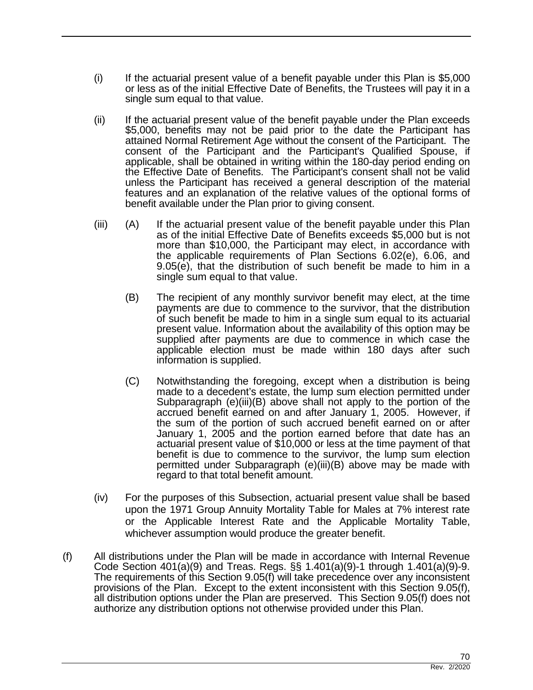- $(i)$  If the actuarial present value of a benefit payable under this Plan is \$5,000 or less as of the initial Effective Date of Benefits, the Trustees will pay it in a single sum equal to that value.
- (ii) If the actuarial present value of the benefit payable under the Plan exceeds \$5,000, benefits may not be paid prior to the date the Participant has attained Normal Retirement Age without the consent of the Participant. The consent of the Participant and the Participant's Qualified Spouse, if applicable, shall be obtained in writing within the 180-day period ending on the Effective Date of Benefits. The Participant's consent shall not be valid unless the Participant has received a general description of the material features and an explanation of the relative values of the optional forms of benefit available under the Plan prior to giving consent.
- (iii) (A) If the actuarial present value of the benefit payable under this Plan as of the initial Effective Date of Benefits exceeds \$5,000 but is not more than \$10,000, the Participant may elect, in accordance with the applicable requirements of Plan Sections 6.02(e), 6.06, and 9.05(e), that the distribution of such benefit be made to him in a single sum equal to that value.
	- (B) The recipient of any monthly survivor benefit may elect, at the time payments are due to commence to the survivor, that the distribution of such benefit be made to him in a single sum equal to its actuarial present value. Information about the availability of this option may be supplied after payments are due to commence in which case the applicable election must be made within 180 days after such information is supplied.
	- (C) Notwithstanding the foregoing, except when a distribution is being made to a decedent's estate, the lump sum election permitted under Subparagraph (e)(iii)(B) above shall not apply to the portion of the accrued benefit earned on and after January 1, 2005. However, if the sum of the portion of such accrued benefit earned on or after January 1, 2005 and the portion earned before that date has an actuarial present value of \$10,000 or less at the time payment of that benefit is due to commence to the survivor, the lump sum election permitted under Subparagraph (e)(iii)(B) above may be made with regard to that total benefit amount.
- (iv) For the purposes of this Subsection, actuarial present value shall be based upon the 1971 Group Annuity Mortality Table for Males at 7% interest rate or the Applicable Interest Rate and the Applicable Mortality Table, whichever assumption would produce the greater benefit.
- (f) All distributions under the Plan will be made in accordance with Internal Revenue Code Section 401(a)(9) and Treas. Regs. §§ 1.401(a)(9)-1 through 1.401(a)(9)-9. The requirements of this Section 9.05(f) will take precedence over any inconsistent provisions of the Plan. Except to the extent inconsistent with this Section 9.05(f), all distribution options under the Plan are preserved. This Section 9.05(f) does not authorize any distribution options not otherwise provided under this Plan.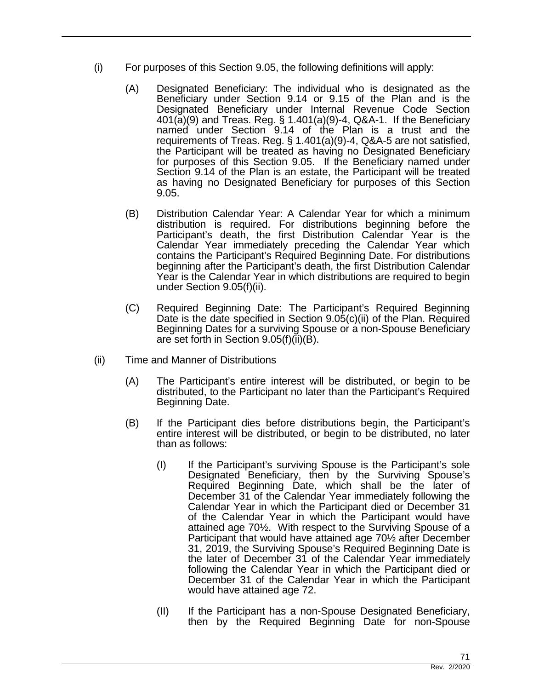- (i) For purposes of this Section 9.05, the following definitions will apply:
	- (A) Designated Beneficiary: The individual who is designated as the Beneficiary under Section 9.14 or 9.15 of the Plan and is the Designated Beneficiary under Internal Revenue Code Section 401(a)(9) and Treas. Reg. § 1.401(a)(9)-4, Q&A-1. If the Beneficiary named under Section 9.14 of the Plan is a trust and the requirements of Treas. Reg. § 1.401(a)(9)-4, Q&A-5 are not satisfied, the Participant will be treated as having no Designated Beneficiary for purposes of this Section 9.05. If the Beneficiary named under Section 9.14 of the Plan is an estate, the Participant will be treated as having no Designated Beneficiary for purposes of this Section 9.05.
	- (B) Distribution Calendar Year: A Calendar Year for which a minimum distribution is required. For distributions beginning before the Participant's death, the first Distribution Calendar Year is the Calendar Year immediately preceding the Calendar Year which contains the Participant's Required Beginning Date. For distributions beginning after the Participant's death, the first Distribution Calendar Year is the Calendar Year in which distributions are required to begin under Section 9.05(f)(ii).
	- (C) Required Beginning Date: The Participant's Required Beginning Date is the date specified in Section 9.05(c)(ii) of the Plan. Required Beginning Dates for a surviving Spouse or a non-Spouse Beneficiary are set forth in Section  $9.05(f)(ii)(B)$ .
- (ii) Time and Manner of Distributions
	- (A) The Participant's entire interest will be distributed, or begin to be distributed, to the Participant no later than the Participant's Required Beginning Date.
	- (B) If the Participant dies before distributions begin, the Participant's entire interest will be distributed, or begin to be distributed, no later than as follows:
		- (I) If the Participant's surviving Spouse is the Participant's sole Designated Beneficiary, then by the Surviving Spouse's Required Beginning Date, which shall be the later of December 31 of the Calendar Year immediately following the Calendar Year in which the Participant died or December 31 of the Calendar Year in which the Participant would have attained age 70½. With respect to the Surviving Spouse of a Participant that would have attained age 70½ after December 31, 2019, the Surviving Spouse's Required Beginning Date is the later of December 31 of the Calendar Year immediately following the Calendar Year in which the Participant died or December 31 of the Calendar Year in which the Participant would have attained age 72.
		- (II) If the Participant has a non-Spouse Designated Beneficiary, then by the Required Beginning Date for non-Spouse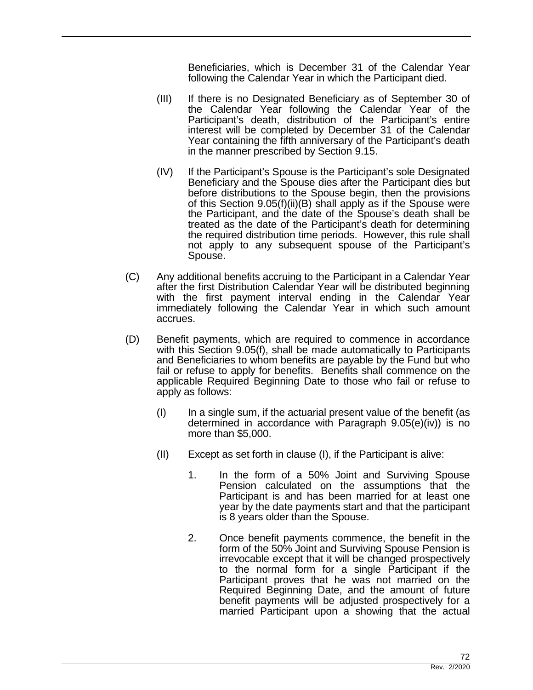Beneficiaries, which is December 31 of the Calendar Year following the Calendar Year in which the Participant died.

- (III) If there is no Designated Beneficiary as of September 30 of the Calendar Year following the Calendar Year of the Participant's death, distribution of the Participant's entire interest will be completed by December 31 of the Calendar Year containing the fifth anniversary of the Participant's death in the manner prescribed by Section 9.15.
- (IV) If the Participant's Spouse is the Participant's sole Designated Beneficiary and the Spouse dies after the Participant dies but before distributions to the Spouse begin, then the provisions of this Section 9.05(f)(ii)(B) shall apply as if the Spouse were the Participant, and the date of the Spouse's death shall be treated as the date of the Participant's death for determining the required distribution time periods. However, this rule shall not apply to any subsequent spouse of the Participant's Spouse.
- (C) Any additional benefits accruing to the Participant in a Calendar Year after the first Distribution Calendar Year will be distributed beginning with the first payment interval ending in the Calendar Year immediately following the Calendar Year in which such amount accrues.
- (D) Benefit payments, which are required to commence in accordance with this Section 9.05(f), shall be made automatically to Participants and Beneficiaries to whom benefits are payable by the Fund but who fail or refuse to apply for benefits. Benefits shall commence on the applicable Required Beginning Date to those who fail or refuse to apply as follows:
	- $\mathbf{I}$ ) In a single sum, if the actuarial present value of the benefit (as determined in accordance with Paragraph 9.05(e)(iv)) is no more than \$5,000.
	- (II) Except as set forth in clause (I), if the Participant is alive:
		- 1. In the form of a 50% Joint and Surviving Spouse Pension calculated on the assumptions that the Participant is and has been married for at least one year by the date payments start and that the participant is 8 years older than the Spouse.
		- 2. Once benefit payments commence, the benefit in the form of the 50% Joint and Surviving Spouse Pension is irrevocable except that it will be changed prospectively to the normal form for a single Participant if the Participant proves that he was not married on the Required Beginning Date, and the amount of future benefit payments will be adjusted prospectively for a married Participant upon a showing that the actual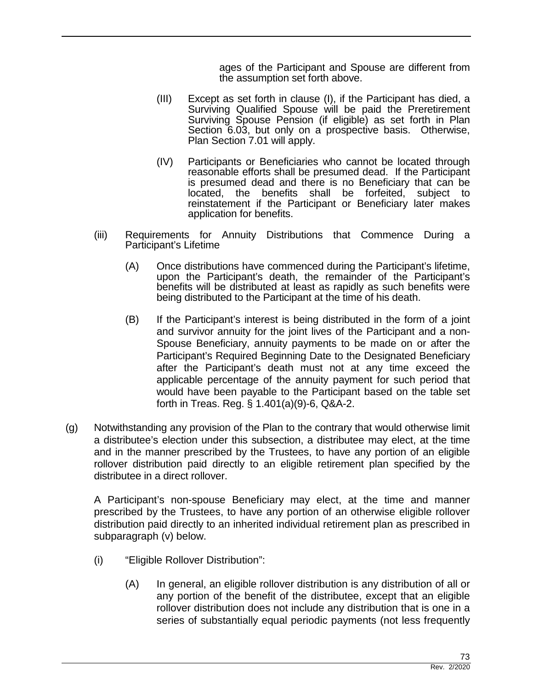ages of the Participant and Spouse are different from the assumption set forth above.

- (III) Except as set forth in clause (I), if the Participant has died, a Surviving Qualified Spouse will be paid the Preretirement Surviving Spouse Pension (if eligible) as set forth in Plan Section 6.03, but only on a prospective basis. Otherwise, Plan Section 7.01 will apply.
- (IV) Participants or Beneficiaries who cannot be located through reasonable efforts shall be presumed dead. If the Participant is presumed dead and there is no Beneficiary that can be located, the benefits shall be forfeited, subject to reinstatement if the Participant or Beneficiary later makes application for benefits.
- (iii) Requirements for Annuity Distributions that Commence During a Participant's Lifetime
	- (A) Once distributions have commenced during the Participant's lifetime, upon the Participant's death, the remainder of the Participant's benefits will be distributed at least as rapidly as such benefits were being distributed to the Participant at the time of his death.
	- (B) If the Participant's interest is being distributed in the form of a joint and survivor annuity for the joint lives of the Participant and a non-Spouse Beneficiary, annuity payments to be made on or after the Participant's Required Beginning Date to the Designated Beneficiary after the Participant's death must not at any time exceed the applicable percentage of the annuity payment for such period that would have been payable to the Participant based on the table set forth in Treas. Reg. § 1.401(a)(9)-6, Q&A-2.
- (g) Notwithstanding any provision of the Plan to the contrary that would otherwise limit a distributee's election under this subsection, a distributee may elect, at the time and in the manner prescribed by the Trustees, to have any portion of an eligible rollover distribution paid directly to an eligible retirement plan specified by the distributee in a direct rollover.

A Participant's non-spouse Beneficiary may elect, at the time and manner prescribed by the Trustees, to have any portion of an otherwise eligible rollover distribution paid directly to an inherited individual retirement plan as prescribed in subparagraph (v) below.

- (i) "Eligible Rollover Distribution":
	- (A) In general, an eligible rollover distribution is any distribution of all or any portion of the benefit of the distributee, except that an eligible rollover distribution does not include any distribution that is one in a series of substantially equal periodic payments (not less frequently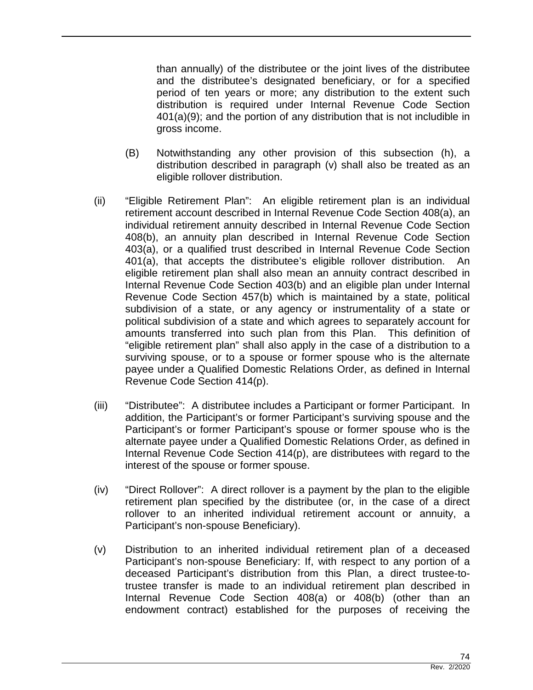than annually) of the distributee or the joint lives of the distributee and the distributee's designated beneficiary, or for a specified period of ten years or more; any distribution to the extent such distribution is required under Internal Revenue Code Section 401(a)(9); and the portion of any distribution that is not includible in gross income.

- (B) Notwithstanding any other provision of this subsection (h), a distribution described in paragraph (v) shall also be treated as an eligible rollover distribution.
- (ii) "Eligible Retirement Plan": An eligible retirement plan is an individual retirement account described in Internal Revenue Code Section 408(a), an individual retirement annuity described in Internal Revenue Code Section 408(b), an annuity plan described in Internal Revenue Code Section 403(a), or a qualified trust described in Internal Revenue Code Section 401(a), that accepts the distributee's eligible rollover distribution. An eligible retirement plan shall also mean an annuity contract described in Internal Revenue Code Section 403(b) and an eligible plan under Internal Revenue Code Section 457(b) which is maintained by a state, political subdivision of a state, or any agency or instrumentality of a state or political subdivision of a state and which agrees to separately account for amounts transferred into such plan from this Plan. This definition of "eligible retirement plan" shall also apply in the case of a distribution to a surviving spouse, or to a spouse or former spouse who is the alternate payee under a Qualified Domestic Relations Order, as defined in Internal Revenue Code Section 414(p).
- (iii) "Distributee": A distributee includes a Participant or former Participant. In addition, the Participant's or former Participant's surviving spouse and the Participant's or former Participant's spouse or former spouse who is the alternate payee under a Qualified Domestic Relations Order, as defined in Internal Revenue Code Section 414(p), are distributees with regard to the interest of the spouse or former spouse.
- (iv) "Direct Rollover": A direct rollover is a payment by the plan to the eligible retirement plan specified by the distributee (or, in the case of a direct rollover to an inherited individual retirement account or annuity, a Participant's non-spouse Beneficiary).
- (v) Distribution to an inherited individual retirement plan of a deceased Participant's non-spouse Beneficiary: If, with respect to any portion of a deceased Participant's distribution from this Plan, a direct trustee-totrustee transfer is made to an individual retirement plan described in Internal Revenue Code Section 408(a) or 408(b) (other than an endowment contract) established for the purposes of receiving the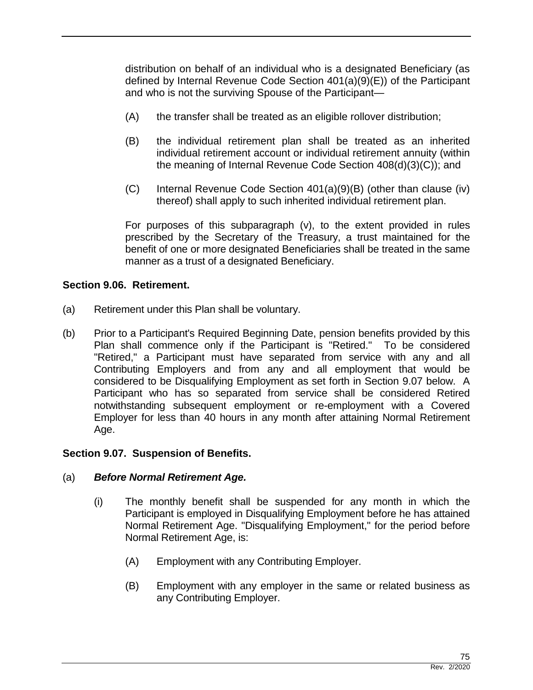distribution on behalf of an individual who is a designated Beneficiary (as defined by Internal Revenue Code Section 401(a)(9)(E)) of the Participant and who is not the surviving Spouse of the Participant—

- (A) the transfer shall be treated as an eligible rollover distribution;
- (B) the individual retirement plan shall be treated as an inherited individual retirement account or individual retirement annuity (within the meaning of Internal Revenue Code Section 408(d)(3)(C)); and
- (C) Internal Revenue Code Section 401(a)(9)(B) (other than clause (iv) thereof) shall apply to such inherited individual retirement plan.

For purposes of this subparagraph (v), to the extent provided in rules prescribed by the Secretary of the Treasury, a trust maintained for the benefit of one or more designated Beneficiaries shall be treated in the same manner as a trust of a designated Beneficiary.

### **Section 9.06. Retirement.**

- (a) Retirement under this Plan shall be voluntary.
- (b) Prior to a Participant's Required Beginning Date, pension benefits provided by this Plan shall commence only if the Participant is "Retired." To be considered "Retired," a Participant must have separated from service with any and all Contributing Employers and from any and all employment that would be considered to be Disqualifying Employment as set forth in Section 9.07 below. A Participant who has so separated from service shall be considered Retired notwithstanding subsequent employment or re-employment with a Covered Employer for less than 40 hours in any month after attaining Normal Retirement Age.

#### **Section 9.07. Suspension of Benefits.**

#### (a) *Before Normal Retirement Age.*

- (i) The monthly benefit shall be suspended for any month in which the Participant is employed in Disqualifying Employment before he has attained Normal Retirement Age. "Disqualifying Employment," for the period before Normal Retirement Age, is:
	- (A) Employment with any Contributing Employer.
	- (B) Employment with any employer in the same or related business as any Contributing Employer.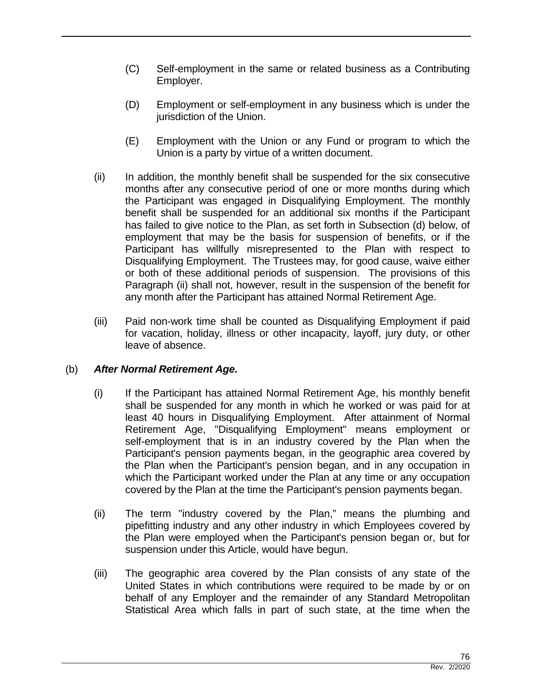- (C) Self-employment in the same or related business as a Contributing Employer.
- (D) Employment or self-employment in any business which is under the jurisdiction of the Union.
- (E) Employment with the Union or any Fund or program to which the Union is a party by virtue of a written document.
- (ii) In addition, the monthly benefit shall be suspended for the six consecutive months after any consecutive period of one or more months during which the Participant was engaged in Disqualifying Employment. The monthly benefit shall be suspended for an additional six months if the Participant has failed to give notice to the Plan, as set forth in Subsection (d) below, of employment that may be the basis for suspension of benefits, or if the Participant has willfully misrepresented to the Plan with respect to Disqualifying Employment. The Trustees may, for good cause, waive either or both of these additional periods of suspension. The provisions of this Paragraph (ii) shall not, however, result in the suspension of the benefit for any month after the Participant has attained Normal Retirement Age.
- (iii) Paid non-work time shall be counted as Disqualifying Employment if paid for vacation, holiday, illness or other incapacity, layoff, jury duty, or other leave of absence.

### (b) *After Normal Retirement Age.*

- (i) If the Participant has attained Normal Retirement Age, his monthly benefit shall be suspended for any month in which he worked or was paid for at least 40 hours in Disqualifying Employment. After attainment of Normal Retirement Age, "Disqualifying Employment" means employment or self-employment that is in an industry covered by the Plan when the Participant's pension payments began, in the geographic area covered by the Plan when the Participant's pension began, and in any occupation in which the Participant worked under the Plan at any time or any occupation covered by the Plan at the time the Participant's pension payments began.
- (ii) The term "industry covered by the Plan," means the plumbing and pipefitting industry and any other industry in which Employees covered by the Plan were employed when the Participant's pension began or, but for suspension under this Article, would have begun.
- (iii) The geographic area covered by the Plan consists of any state of the United States in which contributions were required to be made by or on behalf of any Employer and the remainder of any Standard Metropolitan Statistical Area which falls in part of such state, at the time when the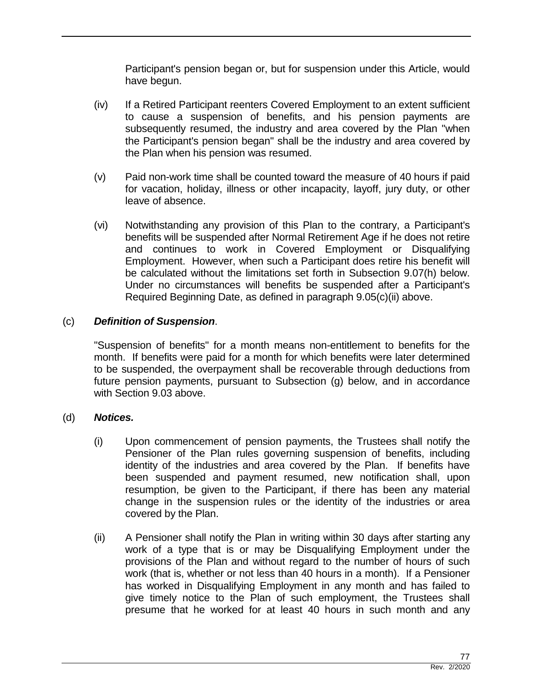Participant's pension began or, but for suspension under this Article, would have begun.

- (iv) If a Retired Participant reenters Covered Employment to an extent sufficient to cause a suspension of benefits, and his pension payments are subsequently resumed, the industry and area covered by the Plan "when the Participant's pension began" shall be the industry and area covered by the Plan when his pension was resumed.
- (v) Paid non-work time shall be counted toward the measure of 40 hours if paid for vacation, holiday, illness or other incapacity, layoff, jury duty, or other leave of absence.
- (vi) Notwithstanding any provision of this Plan to the contrary, a Participant's benefits will be suspended after Normal Retirement Age if he does not retire and continues to work in Covered Employment or Disqualifying Employment. However, when such a Participant does retire his benefit will be calculated without the limitations set forth in Subsection 9.07(h) below. Under no circumstances will benefits be suspended after a Participant's Required Beginning Date, as defined in paragraph 9.05(c)(ii) above.

# (c) *Definition of Suspension*.

"Suspension of benefits" for a month means non-entitlement to benefits for the month. If benefits were paid for a month for which benefits were later determined to be suspended, the overpayment shall be recoverable through deductions from future pension payments, pursuant to Subsection (g) below, and in accordance with Section 9.03 above.

### (d) *Notices.*

- (i) Upon commencement of pension payments, the Trustees shall notify the Pensioner of the Plan rules governing suspension of benefits, including identity of the industries and area covered by the Plan. If benefits have been suspended and payment resumed, new notification shall, upon resumption, be given to the Participant, if there has been any material change in the suspension rules or the identity of the industries or area covered by the Plan.
- (ii) A Pensioner shall notify the Plan in writing within 30 days after starting any work of a type that is or may be Disqualifying Employment under the provisions of the Plan and without regard to the number of hours of such work (that is, whether or not less than 40 hours in a month). If a Pensioner has worked in Disqualifying Employment in any month and has failed to give timely notice to the Plan of such employment, the Trustees shall presume that he worked for at least 40 hours in such month and any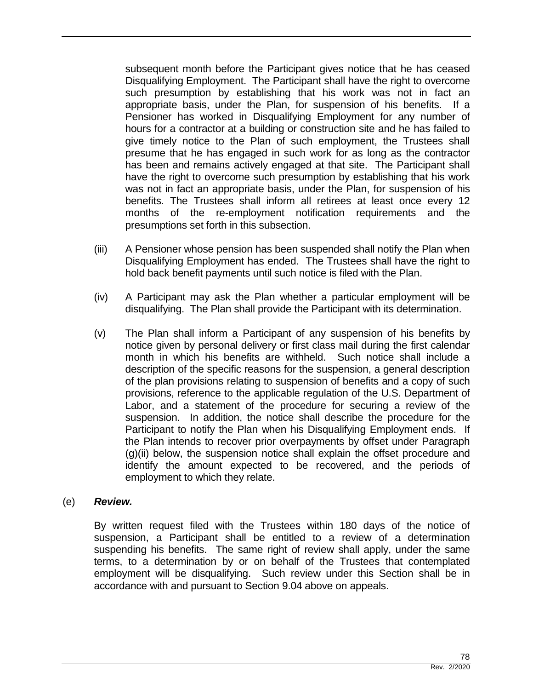subsequent month before the Participant gives notice that he has ceased Disqualifying Employment. The Participant shall have the right to overcome such presumption by establishing that his work was not in fact an appropriate basis, under the Plan, for suspension of his benefits. If a Pensioner has worked in Disqualifying Employment for any number of hours for a contractor at a building or construction site and he has failed to give timely notice to the Plan of such employment, the Trustees shall presume that he has engaged in such work for as long as the contractor has been and remains actively engaged at that site. The Participant shall have the right to overcome such presumption by establishing that his work was not in fact an appropriate basis, under the Plan, for suspension of his benefits. The Trustees shall inform all retirees at least once every 12 months of the re-employment notification requirements and the presumptions set forth in this subsection.

- (iii) A Pensioner whose pension has been suspended shall notify the Plan when Disqualifying Employment has ended. The Trustees shall have the right to hold back benefit payments until such notice is filed with the Plan.
- (iv) A Participant may ask the Plan whether a particular employment will be disqualifying. The Plan shall provide the Participant with its determination.
- (v) The Plan shall inform a Participant of any suspension of his benefits by notice given by personal delivery or first class mail during the first calendar month in which his benefits are withheld. Such notice shall include a description of the specific reasons for the suspension, a general description of the plan provisions relating to suspension of benefits and a copy of such provisions, reference to the applicable regulation of the U.S. Department of Labor, and a statement of the procedure for securing a review of the suspension. In addition, the notice shall describe the procedure for the Participant to notify the Plan when his Disqualifying Employment ends. If the Plan intends to recover prior overpayments by offset under Paragraph (g)(ii) below, the suspension notice shall explain the offset procedure and identify the amount expected to be recovered, and the periods of employment to which they relate.

#### (e) *Review.*

By written request filed with the Trustees within 180 days of the notice of suspension, a Participant shall be entitled to a review of a determination suspending his benefits. The same right of review shall apply, under the same terms, to a determination by or on behalf of the Trustees that contemplated employment will be disqualifying. Such review under this Section shall be in accordance with and pursuant to Section 9.04 above on appeals.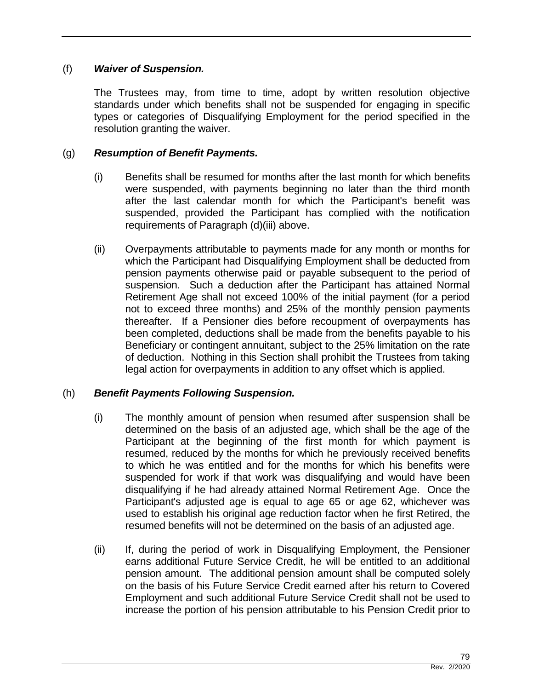### (f) *Waiver of Suspension.*

The Trustees may, from time to time, adopt by written resolution objective standards under which benefits shall not be suspended for engaging in specific types or categories of Disqualifying Employment for the period specified in the resolution granting the waiver.

#### (g) *Resumption of Benefit Payments.*

- (i) Benefits shall be resumed for months after the last month for which benefits were suspended, with payments beginning no later than the third month after the last calendar month for which the Participant's benefit was suspended, provided the Participant has complied with the notification requirements of Paragraph (d)(iii) above.
- (ii) Overpayments attributable to payments made for any month or months for which the Participant had Disqualifying Employment shall be deducted from pension payments otherwise paid or payable subsequent to the period of suspension. Such a deduction after the Participant has attained Normal Retirement Age shall not exceed 100% of the initial payment (for a period not to exceed three months) and 25% of the monthly pension payments thereafter. If a Pensioner dies before recoupment of overpayments has been completed, deductions shall be made from the benefits payable to his Beneficiary or contingent annuitant, subject to the 25% limitation on the rate of deduction. Nothing in this Section shall prohibit the Trustees from taking legal action for overpayments in addition to any offset which is applied.

### (h) *Benefit Payments Following Suspension.*

- (i) The monthly amount of pension when resumed after suspension shall be determined on the basis of an adjusted age, which shall be the age of the Participant at the beginning of the first month for which payment is resumed, reduced by the months for which he previously received benefits to which he was entitled and for the months for which his benefits were suspended for work if that work was disqualifying and would have been disqualifying if he had already attained Normal Retirement Age. Once the Participant's adjusted age is equal to age 65 or age 62, whichever was used to establish his original age reduction factor when he first Retired, the resumed benefits will not be determined on the basis of an adjusted age.
- (ii) If, during the period of work in Disqualifying Employment, the Pensioner earns additional Future Service Credit, he will be entitled to an additional pension amount. The additional pension amount shall be computed solely on the basis of his Future Service Credit earned after his return to Covered Employment and such additional Future Service Credit shall not be used to increase the portion of his pension attributable to his Pension Credit prior to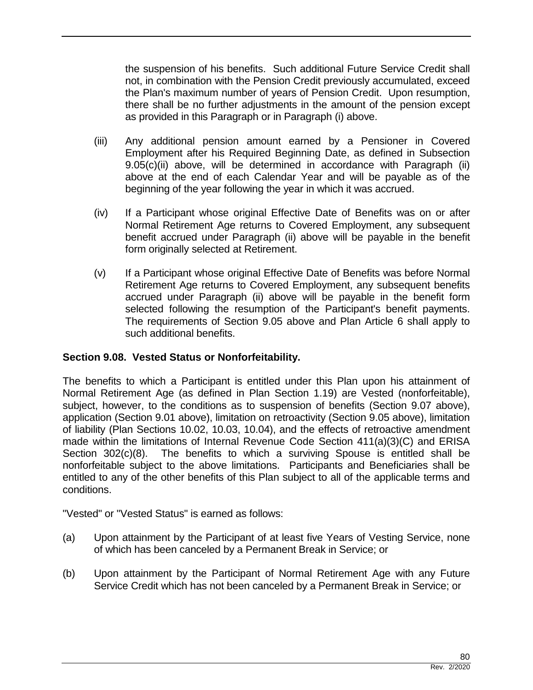the suspension of his benefits. Such additional Future Service Credit shall not, in combination with the Pension Credit previously accumulated, exceed the Plan's maximum number of years of Pension Credit. Upon resumption, there shall be no further adjustments in the amount of the pension except as provided in this Paragraph or in Paragraph (i) above.

- (iii) Any additional pension amount earned by a Pensioner in Covered Employment after his Required Beginning Date, as defined in Subsection 9.05(c)(ii) above, will be determined in accordance with Paragraph (ii) above at the end of each Calendar Year and will be payable as of the beginning of the year following the year in which it was accrued.
- (iv) If a Participant whose original Effective Date of Benefits was on or after Normal Retirement Age returns to Covered Employment, any subsequent benefit accrued under Paragraph (ii) above will be payable in the benefit form originally selected at Retirement.
- (v) If a Participant whose original Effective Date of Benefits was before Normal Retirement Age returns to Covered Employment, any subsequent benefits accrued under Paragraph (ii) above will be payable in the benefit form selected following the resumption of the Participant's benefit payments. The requirements of Section 9.05 above and Plan Article 6 shall apply to such additional benefits.

# **Section 9.08. Vested Status or Nonforfeitability.**

The benefits to which a Participant is entitled under this Plan upon his attainment of Normal Retirement Age (as defined in Plan Section 1.19) are Vested (nonforfeitable), subject, however, to the conditions as to suspension of benefits (Section 9.07 above), application (Section 9.01 above), limitation on retroactivity (Section 9.05 above), limitation of liability (Plan Sections 10.02, 10.03, 10.04), and the effects of retroactive amendment made within the limitations of Internal Revenue Code Section 411(a)(3)(C) and ERISA Section 302(c)(8). The benefits to which a surviving Spouse is entitled shall be nonforfeitable subject to the above limitations. Participants and Beneficiaries shall be entitled to any of the other benefits of this Plan subject to all of the applicable terms and conditions.

"Vested" or "Vested Status" is earned as follows:

- (a) Upon attainment by the Participant of at least five Years of Vesting Service, none of which has been canceled by a Permanent Break in Service; or
- (b) Upon attainment by the Participant of Normal Retirement Age with any Future Service Credit which has not been canceled by a Permanent Break in Service; or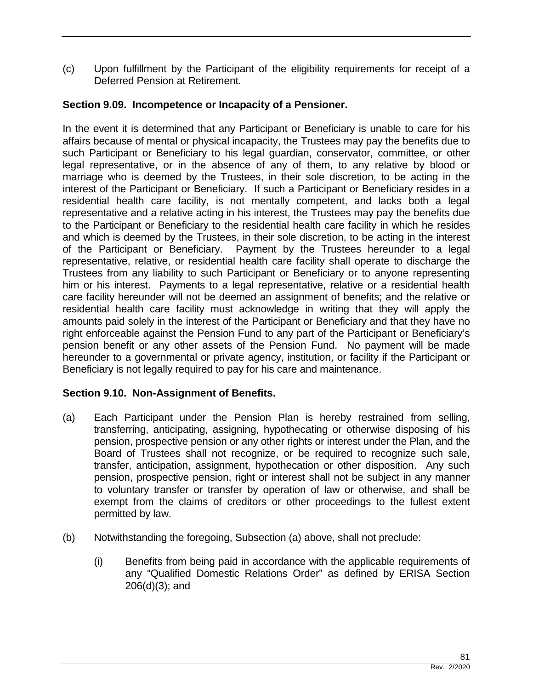(c) Upon fulfillment by the Participant of the eligibility requirements for receipt of a Deferred Pension at Retirement.

## **Section 9.09. Incompetence or Incapacity of a Pensioner.**

In the event it is determined that any Participant or Beneficiary is unable to care for his affairs because of mental or physical incapacity, the Trustees may pay the benefits due to such Participant or Beneficiary to his legal guardian, conservator, committee, or other legal representative, or in the absence of any of them, to any relative by blood or marriage who is deemed by the Trustees, in their sole discretion, to be acting in the interest of the Participant or Beneficiary. If such a Participant or Beneficiary resides in a residential health care facility, is not mentally competent, and lacks both a legal representative and a relative acting in his interest, the Trustees may pay the benefits due to the Participant or Beneficiary to the residential health care facility in which he resides and which is deemed by the Trustees, in their sole discretion, to be acting in the interest of the Participant or Beneficiary. Payment by the Trustees hereunder to a legal representative, relative, or residential health care facility shall operate to discharge the Trustees from any liability to such Participant or Beneficiary or to anyone representing him or his interest. Payments to a legal representative, relative or a residential health care facility hereunder will not be deemed an assignment of benefits; and the relative or residential health care facility must acknowledge in writing that they will apply the amounts paid solely in the interest of the Participant or Beneficiary and that they have no right enforceable against the Pension Fund to any part of the Participant or Beneficiary's pension benefit or any other assets of the Pension Fund. No payment will be made hereunder to a governmental or private agency, institution, or facility if the Participant or Beneficiary is not legally required to pay for his care and maintenance.

### **Section 9.10. Non-Assignment of Benefits.**

- (a) Each Participant under the Pension Plan is hereby restrained from selling, transferring, anticipating, assigning, hypothecating or otherwise disposing of his pension, prospective pension or any other rights or interest under the Plan, and the Board of Trustees shall not recognize, or be required to recognize such sale, transfer, anticipation, assignment, hypothecation or other disposition. Any such pension, prospective pension, right or interest shall not be subject in any manner to voluntary transfer or transfer by operation of law or otherwise, and shall be exempt from the claims of creditors or other proceedings to the fullest extent permitted by law.
- (b) Notwithstanding the foregoing, Subsection (a) above, shall not preclude:
	- (i) Benefits from being paid in accordance with the applicable requirements of any "Qualified Domestic Relations Order" as defined by ERISA Section 206(d)(3); and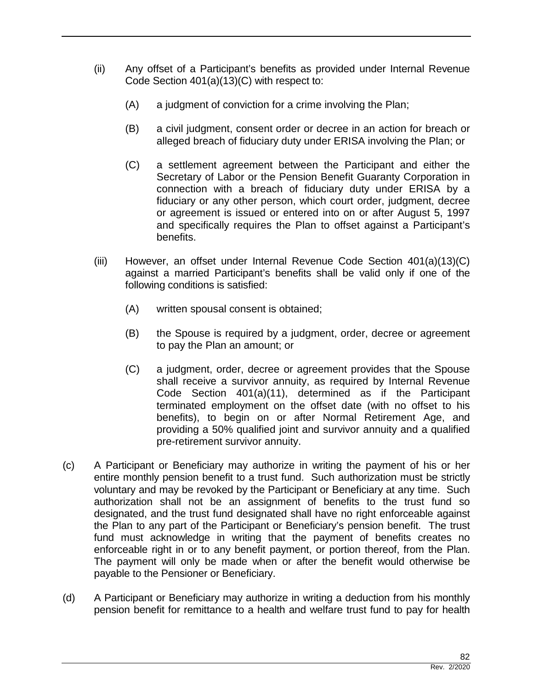- (ii) Any offset of a Participant's benefits as provided under Internal Revenue Code Section 401(a)(13)(C) with respect to:
	- (A) a judgment of conviction for a crime involving the Plan;
	- (B) a civil judgment, consent order or decree in an action for breach or alleged breach of fiduciary duty under ERISA involving the Plan; or
	- (C) a settlement agreement between the Participant and either the Secretary of Labor or the Pension Benefit Guaranty Corporation in connection with a breach of fiduciary duty under ERISA by a fiduciary or any other person, which court order, judgment, decree or agreement is issued or entered into on or after August 5, 1997 and specifically requires the Plan to offset against a Participant's benefits.
- (iii) However, an offset under Internal Revenue Code Section 401(a)(13)(C) against a married Participant's benefits shall be valid only if one of the following conditions is satisfied:
	- (A) written spousal consent is obtained;
	- (B) the Spouse is required by a judgment, order, decree or agreement to pay the Plan an amount; or
	- (C) a judgment, order, decree or agreement provides that the Spouse shall receive a survivor annuity, as required by Internal Revenue Code Section 401(a)(11), determined as if the Participant terminated employment on the offset date (with no offset to his benefits), to begin on or after Normal Retirement Age, and providing a 50% qualified joint and survivor annuity and a qualified pre-retirement survivor annuity.
- (c) A Participant or Beneficiary may authorize in writing the payment of his or her entire monthly pension benefit to a trust fund. Such authorization must be strictly voluntary and may be revoked by the Participant or Beneficiary at any time. Such authorization shall not be an assignment of benefits to the trust fund so designated, and the trust fund designated shall have no right enforceable against the Plan to any part of the Participant or Beneficiary's pension benefit. The trust fund must acknowledge in writing that the payment of benefits creates no enforceable right in or to any benefit payment, or portion thereof, from the Plan. The payment will only be made when or after the benefit would otherwise be payable to the Pensioner or Beneficiary.
- (d) A Participant or Beneficiary may authorize in writing a deduction from his monthly pension benefit for remittance to a health and welfare trust fund to pay for health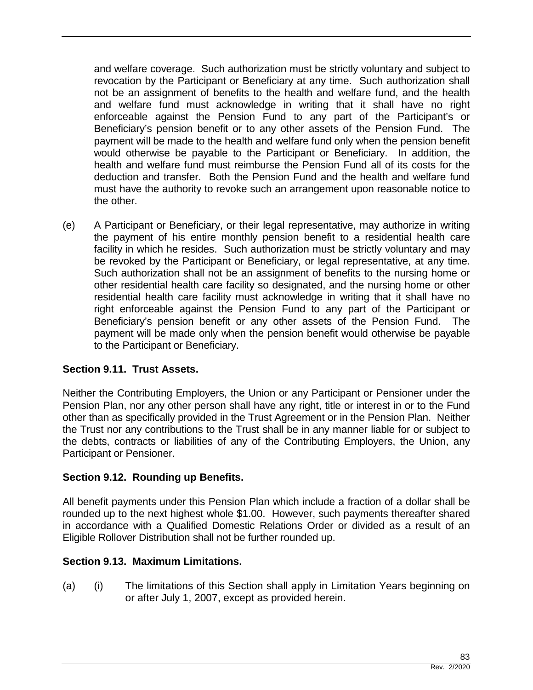and welfare coverage. Such authorization must be strictly voluntary and subject to revocation by the Participant or Beneficiary at any time. Such authorization shall not be an assignment of benefits to the health and welfare fund, and the health and welfare fund must acknowledge in writing that it shall have no right enforceable against the Pension Fund to any part of the Participant's or Beneficiary's pension benefit or to any other assets of the Pension Fund. The payment will be made to the health and welfare fund only when the pension benefit would otherwise be payable to the Participant or Beneficiary. In addition, the health and welfare fund must reimburse the Pension Fund all of its costs for the deduction and transfer. Both the Pension Fund and the health and welfare fund must have the authority to revoke such an arrangement upon reasonable notice to the other.

(e) A Participant or Beneficiary, or their legal representative, may authorize in writing the payment of his entire monthly pension benefit to a residential health care facility in which he resides. Such authorization must be strictly voluntary and may be revoked by the Participant or Beneficiary, or legal representative, at any time. Such authorization shall not be an assignment of benefits to the nursing home or other residential health care facility so designated, and the nursing home or other residential health care facility must acknowledge in writing that it shall have no right enforceable against the Pension Fund to any part of the Participant or Beneficiary's pension benefit or any other assets of the Pension Fund. The payment will be made only when the pension benefit would otherwise be payable to the Participant or Beneficiary.

### **Section 9.11. Trust Assets.**

Neither the Contributing Employers, the Union or any Participant or Pensioner under the Pension Plan, nor any other person shall have any right, title or interest in or to the Fund other than as specifically provided in the Trust Agreement or in the Pension Plan. Neither the Trust nor any contributions to the Trust shall be in any manner liable for or subject to the debts, contracts or liabilities of any of the Contributing Employers, the Union, any Participant or Pensioner.

### **Section 9.12. Rounding up Benefits.**

All benefit payments under this Pension Plan which include a fraction of a dollar shall be rounded up to the next highest whole \$1.00. However, such payments thereafter shared in accordance with a Qualified Domestic Relations Order or divided as a result of an Eligible Rollover Distribution shall not be further rounded up.

### **Section 9.13. Maximum Limitations.**

(a) (i) The limitations of this Section shall apply in Limitation Years beginning on or after July 1, 2007, except as provided herein.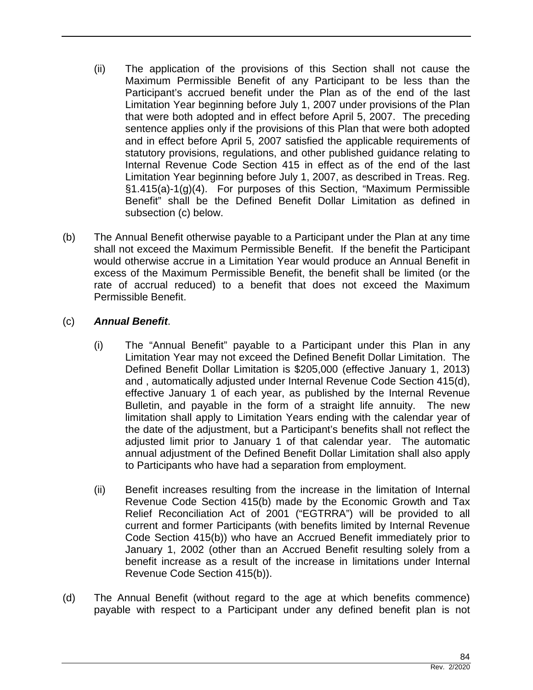- (ii) The application of the provisions of this Section shall not cause the Maximum Permissible Benefit of any Participant to be less than the Participant's accrued benefit under the Plan as of the end of the last Limitation Year beginning before July 1, 2007 under provisions of the Plan that were both adopted and in effect before April 5, 2007. The preceding sentence applies only if the provisions of this Plan that were both adopted and in effect before April 5, 2007 satisfied the applicable requirements of statutory provisions, regulations, and other published guidance relating to Internal Revenue Code Section 415 in effect as of the end of the last Limitation Year beginning before July 1, 2007, as described in Treas. Reg. §1.415(a)-1(g)(4). For purposes of this Section, "Maximum Permissible Benefit" shall be the Defined Benefit Dollar Limitation as defined in subsection (c) below.
- (b) The Annual Benefit otherwise payable to a Participant under the Plan at any time shall not exceed the Maximum Permissible Benefit. If the benefit the Participant would otherwise accrue in a Limitation Year would produce an Annual Benefit in excess of the Maximum Permissible Benefit, the benefit shall be limited (or the rate of accrual reduced) to a benefit that does not exceed the Maximum Permissible Benefit.

# (c) *Annual Benefit*.

- (i) The "Annual Benefit" payable to a Participant under this Plan in any Limitation Year may not exceed the Defined Benefit Dollar Limitation. The Defined Benefit Dollar Limitation is \$205,000 (effective January 1, 2013) and , automatically adjusted under Internal Revenue Code Section 415(d), effective January 1 of each year, as published by the Internal Revenue Bulletin, and payable in the form of a straight life annuity. The new limitation shall apply to Limitation Years ending with the calendar year of the date of the adjustment, but a Participant's benefits shall not reflect the adjusted limit prior to January 1 of that calendar year. The automatic annual adjustment of the Defined Benefit Dollar Limitation shall also apply to Participants who have had a separation from employment.
- (ii) Benefit increases resulting from the increase in the limitation of Internal Revenue Code Section 415(b) made by the Economic Growth and Tax Relief Reconciliation Act of 2001 ("EGTRRA") will be provided to all current and former Participants (with benefits limited by Internal Revenue Code Section 415(b)) who have an Accrued Benefit immediately prior to January 1, 2002 (other than an Accrued Benefit resulting solely from a benefit increase as a result of the increase in limitations under Internal Revenue Code Section 415(b)).
- (d) The Annual Benefit (without regard to the age at which benefits commence) payable with respect to a Participant under any defined benefit plan is not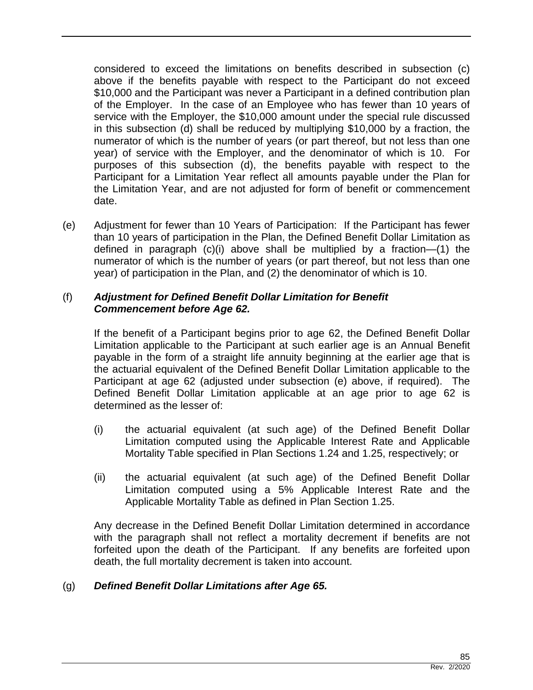considered to exceed the limitations on benefits described in subsection (c) above if the benefits payable with respect to the Participant do not exceed \$10,000 and the Participant was never a Participant in a defined contribution plan of the Employer. In the case of an Employee who has fewer than 10 years of service with the Employer, the \$10,000 amount under the special rule discussed in this subsection (d) shall be reduced by multiplying \$10,000 by a fraction, the numerator of which is the number of years (or part thereof, but not less than one year) of service with the Employer, and the denominator of which is 10. For purposes of this subsection (d), the benefits payable with respect to the Participant for a Limitation Year reflect all amounts payable under the Plan for the Limitation Year, and are not adjusted for form of benefit or commencement date.

(e) Adjustment for fewer than 10 Years of Participation: If the Participant has fewer than 10 years of participation in the Plan, the Defined Benefit Dollar Limitation as defined in paragraph (c)(i) above shall be multiplied by a fraction—(1) the numerator of which is the number of years (or part thereof, but not less than one year) of participation in the Plan, and (2) the denominator of which is 10.

### (f) *Adjustment for Defined Benefit Dollar Limitation for Benefit Commencement before Age 62.*

If the benefit of a Participant begins prior to age 62, the Defined Benefit Dollar Limitation applicable to the Participant at such earlier age is an Annual Benefit payable in the form of a straight life annuity beginning at the earlier age that is the actuarial equivalent of the Defined Benefit Dollar Limitation applicable to the Participant at age 62 (adjusted under subsection (e) above, if required). The Defined Benefit Dollar Limitation applicable at an age prior to age 62 is determined as the lesser of:

- (i) the actuarial equivalent (at such age) of the Defined Benefit Dollar Limitation computed using the Applicable Interest Rate and Applicable Mortality Table specified in Plan Sections 1.24 and 1.25, respectively; or
- (ii) the actuarial equivalent (at such age) of the Defined Benefit Dollar Limitation computed using a 5% Applicable Interest Rate and the Applicable Mortality Table as defined in Plan Section 1.25.

Any decrease in the Defined Benefit Dollar Limitation determined in accordance with the paragraph shall not reflect a mortality decrement if benefits are not forfeited upon the death of the Participant. If any benefits are forfeited upon death, the full mortality decrement is taken into account.

# (g) *Defined Benefit Dollar Limitations after Age 65.*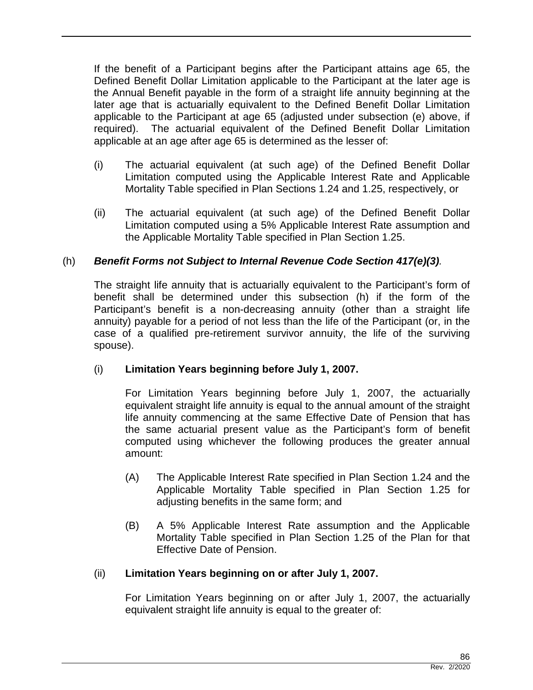If the benefit of a Participant begins after the Participant attains age 65, the Defined Benefit Dollar Limitation applicable to the Participant at the later age is the Annual Benefit payable in the form of a straight life annuity beginning at the later age that is actuarially equivalent to the Defined Benefit Dollar Limitation applicable to the Participant at age 65 (adjusted under subsection (e) above, if required). The actuarial equivalent of the Defined Benefit Dollar Limitation applicable at an age after age 65 is determined as the lesser of:

- (i) The actuarial equivalent (at such age) of the Defined Benefit Dollar Limitation computed using the Applicable Interest Rate and Applicable Mortality Table specified in Plan Sections 1.24 and 1.25, respectively, or
- (ii) The actuarial equivalent (at such age) of the Defined Benefit Dollar Limitation computed using a 5% Applicable Interest Rate assumption and the Applicable Mortality Table specified in Plan Section 1.25.

# (h) *Benefit Forms not Subject to Internal Revenue Code Section 417(e)(3).*

The straight life annuity that is actuarially equivalent to the Participant's form of benefit shall be determined under this subsection (h) if the form of the Participant's benefit is a non-decreasing annuity (other than a straight life annuity) payable for a period of not less than the life of the Participant (or, in the case of a qualified pre-retirement survivor annuity, the life of the surviving spouse).

### (i) **Limitation Years beginning before July 1, 2007.**

For Limitation Years beginning before July 1, 2007, the actuarially equivalent straight life annuity is equal to the annual amount of the straight life annuity commencing at the same Effective Date of Pension that has the same actuarial present value as the Participant's form of benefit computed using whichever the following produces the greater annual amount:

- (A) The Applicable Interest Rate specified in Plan Section 1.24 and the Applicable Mortality Table specified in Plan Section 1.25 for adjusting benefits in the same form; and
- (B) A 5% Applicable Interest Rate assumption and the Applicable Mortality Table specified in Plan Section 1.25 of the Plan for that Effective Date of Pension.

### (ii) **Limitation Years beginning on or after July 1, 2007.**

For Limitation Years beginning on or after July 1, 2007, the actuarially equivalent straight life annuity is equal to the greater of: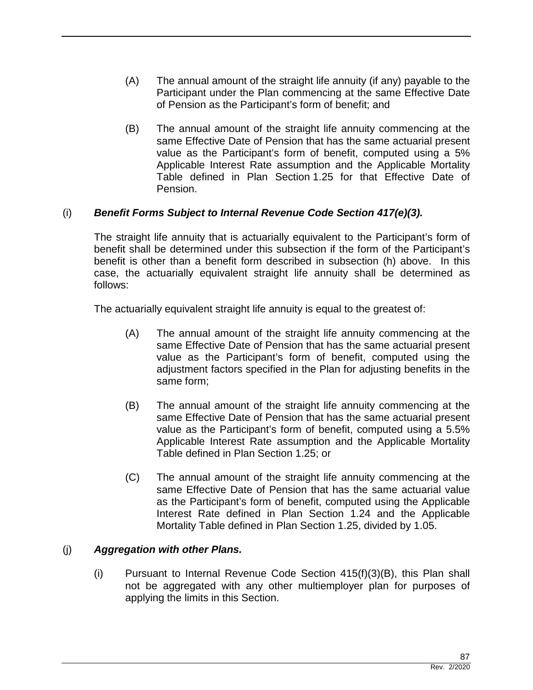- (A) The annual amount of the straight life annuity (if any) payable to the Participant under the Plan commencing at the same Effective Date of Pension as the Participant's form of benefit; and
- (B) The annual amount of the straight life annuity commencing at the same Effective Date of Pension that has the same actuarial present value as the Participant's form of benefit, computed using a 5% Applicable Interest Rate assumption and the Applicable Mortality Table defined in Plan Section 1.25 for that Effective Date of Pension.

# (i) *Benefit Forms Subject to Internal Revenue Code Section 417(e)(3).*

The straight life annuity that is actuarially equivalent to the Participant's form of benefit shall be determined under this subsection if the form of the Participant's benefit is other than a benefit form described in subsection (h) above. In this case, the actuarially equivalent straight life annuity shall be determined as follows:

The actuarially equivalent straight life annuity is equal to the greatest of:

- (A) The annual amount of the straight life annuity commencing at the same Effective Date of Pension that has the same actuarial present value as the Participant's form of benefit, computed using the adjustment factors specified in the Plan for adjusting benefits in the same form;
- (B) The annual amount of the straight life annuity commencing at the same Effective Date of Pension that has the same actuarial present value as the Participant's form of benefit, computed using a 5.5% Applicable Interest Rate assumption and the Applicable Mortality Table defined in Plan Section 1.25; or
- (C) The annual amount of the straight life annuity commencing at the same Effective Date of Pension that has the same actuarial value as the Participant's form of benefit, computed using the Applicable Interest Rate defined in Plan Section 1.24 and the Applicable Mortality Table defined in Plan Section 1.25, divided by 1.05.

### (j) *Aggregation with other Plans.*

(i) Pursuant to Internal Revenue Code Section  $415(f)(3)(B)$ , this Plan shall not be aggregated with any other multiemployer plan for purposes of applying the limits in this Section.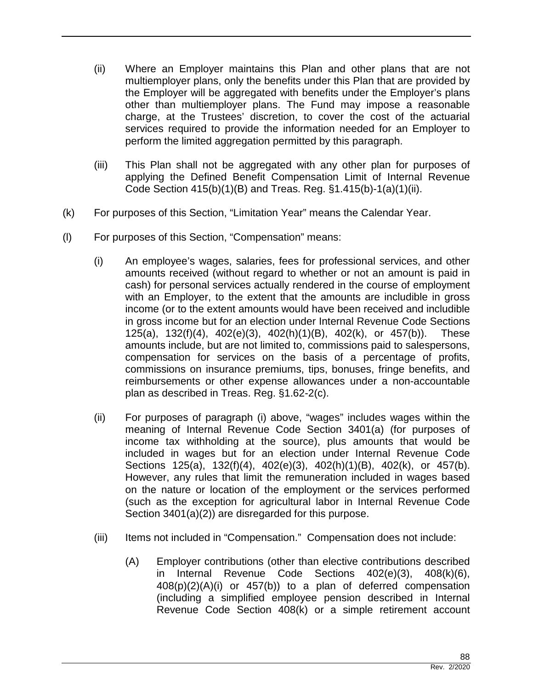- (ii) Where an Employer maintains this Plan and other plans that are not multiemployer plans, only the benefits under this Plan that are provided by the Employer will be aggregated with benefits under the Employer's plans other than multiemployer plans. The Fund may impose a reasonable charge, at the Trustees' discretion, to cover the cost of the actuarial services required to provide the information needed for an Employer to perform the limited aggregation permitted by this paragraph.
- (iii) This Plan shall not be aggregated with any other plan for purposes of applying the Defined Benefit Compensation Limit of Internal Revenue Code Section 415(b)(1)(B) and Treas. Reg. §1.415(b)-1(a)(1)(ii).
- (k) For purposes of this Section, "Limitation Year" means the Calendar Year.
- (l) For purposes of this Section, "Compensation" means:
	- (i) An employee's wages, salaries, fees for professional services, and other amounts received (without regard to whether or not an amount is paid in cash) for personal services actually rendered in the course of employment with an Employer, to the extent that the amounts are includible in gross income (or to the extent amounts would have been received and includible in gross income but for an election under Internal Revenue Code Sections 125(a), 132(f)(4), 402(e)(3), 402(h)(1)(B), 402(k), or 457(b)). These amounts include, but are not limited to, commissions paid to salespersons, compensation for services on the basis of a percentage of profits, commissions on insurance premiums, tips, bonuses, fringe benefits, and reimbursements or other expense allowances under a non-accountable plan as described in Treas. Reg. §1.62-2(c).
	- (ii) For purposes of paragraph (i) above, "wages" includes wages within the meaning of Internal Revenue Code Section 3401(a) (for purposes of income tax withholding at the source), plus amounts that would be included in wages but for an election under Internal Revenue Code Sections 125(a), 132(f)(4), 402(e)(3), 402(h)(1)(B), 402(k), or 457(b). However, any rules that limit the remuneration included in wages based on the nature or location of the employment or the services performed (such as the exception for agricultural labor in Internal Revenue Code Section 3401(a)(2)) are disregarded for this purpose.
	- (iii) Items not included in "Compensation." Compensation does not include:
		- (A) Employer contributions (other than elective contributions described in Internal Revenue Code Sections 402(e)(3), 408(k)(6), 408(p)(2)(A)(i) or 457(b)) to a plan of deferred compensation (including a simplified employee pension described in Internal Revenue Code Section 408(k) or a simple retirement account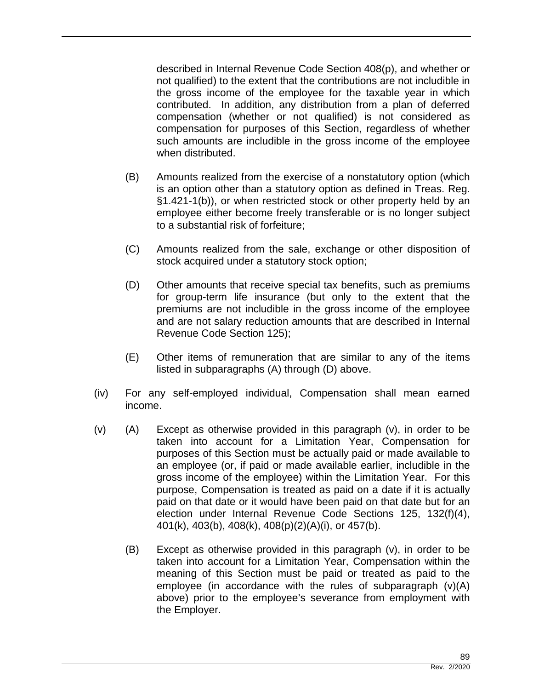described in Internal Revenue Code Section 408(p), and whether or not qualified) to the extent that the contributions are not includible in the gross income of the employee for the taxable year in which contributed. In addition, any distribution from a plan of deferred compensation (whether or not qualified) is not considered as compensation for purposes of this Section, regardless of whether such amounts are includible in the gross income of the employee when distributed.

- (B) Amounts realized from the exercise of a nonstatutory option (which is an option other than a statutory option as defined in Treas. Reg. §1.421-1(b)), or when restricted stock or other property held by an employee either become freely transferable or is no longer subject to a substantial risk of forfeiture;
- (C) Amounts realized from the sale, exchange or other disposition of stock acquired under a statutory stock option;
- (D) Other amounts that receive special tax benefits, such as premiums for group-term life insurance (but only to the extent that the premiums are not includible in the gross income of the employee and are not salary reduction amounts that are described in Internal Revenue Code Section 125);
- (E) Other items of remuneration that are similar to any of the items listed in subparagraphs (A) through (D) above.
- (iv) For any self-employed individual, Compensation shall mean earned income.
- (v) (A) Except as otherwise provided in this paragraph (v), in order to be taken into account for a Limitation Year, Compensation for purposes of this Section must be actually paid or made available to an employee (or, if paid or made available earlier, includible in the gross income of the employee) within the Limitation Year. For this purpose, Compensation is treated as paid on a date if it is actually paid on that date or it would have been paid on that date but for an election under Internal Revenue Code Sections 125, 132(f)(4), 401(k), 403(b), 408(k), 408(p)(2)(A)(i), or 457(b).
	- (B) Except as otherwise provided in this paragraph (v), in order to be taken into account for a Limitation Year, Compensation within the meaning of this Section must be paid or treated as paid to the employee (in accordance with the rules of subparagraph (v)(A) above) prior to the employee's severance from employment with the Employer.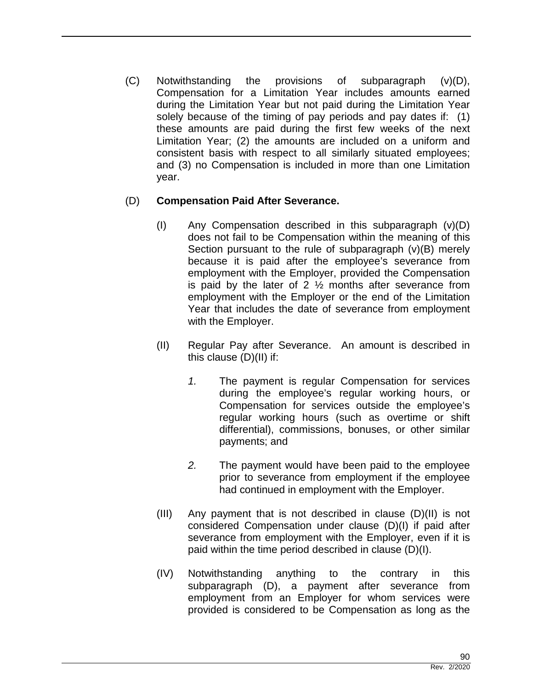(C) Notwithstanding the provisions of subparagraph (v)(D), Compensation for a Limitation Year includes amounts earned during the Limitation Year but not paid during the Limitation Year solely because of the timing of pay periods and pay dates if: (1) these amounts are paid during the first few weeks of the next Limitation Year; (2) the amounts are included on a uniform and consistent basis with respect to all similarly situated employees; and (3) no Compensation is included in more than one Limitation year.

### (D) **Compensation Paid After Severance.**

- (I) Any Compensation described in this subparagraph (v)(D) does not fail to be Compensation within the meaning of this Section pursuant to the rule of subparagraph (v)(B) merely because it is paid after the employee's severance from employment with the Employer, provided the Compensation is paid by the later of 2  $\frac{1}{2}$  months after severance from employment with the Employer or the end of the Limitation Year that includes the date of severance from employment with the Employer.
- (II) Regular Pay after Severance. An amount is described in this clause (D)(II) if:
	- *1.* The payment is regular Compensation for services during the employee's regular working hours, or Compensation for services outside the employee's regular working hours (such as overtime or shift differential), commissions, bonuses, or other similar payments; and
	- *2.* The payment would have been paid to the employee prior to severance from employment if the employee had continued in employment with the Employer.
- (III) Any payment that is not described in clause (D)(II) is not considered Compensation under clause (D)(I) if paid after severance from employment with the Employer, even if it is paid within the time period described in clause (D)(I).
- (IV) Notwithstanding anything to the contrary in this subparagraph (D), a payment after severance from employment from an Employer for whom services were provided is considered to be Compensation as long as the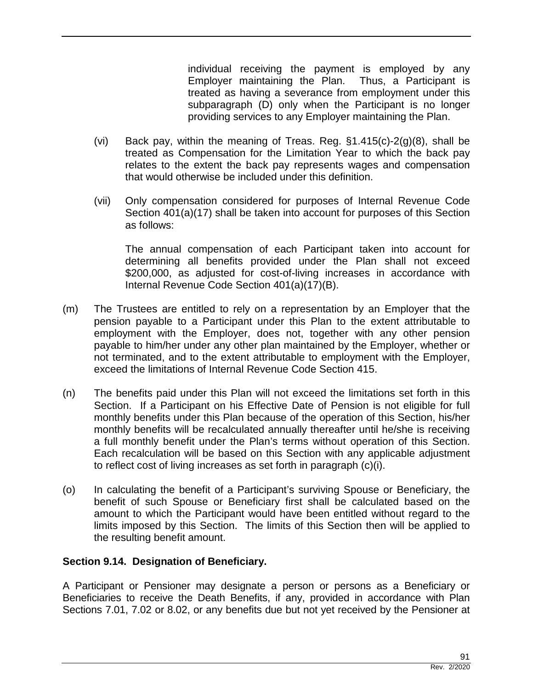individual receiving the payment is employed by any Employer maintaining the Plan. Thus, a Participant is treated as having a severance from employment under this subparagraph (D) only when the Participant is no longer providing services to any Employer maintaining the Plan.

- (vi) Back pay, within the meaning of Treas. Reg.  $§1.415(c)-2(g)(8)$ , shall be treated as Compensation for the Limitation Year to which the back pay relates to the extent the back pay represents wages and compensation that would otherwise be included under this definition.
- (vii) Only compensation considered for purposes of Internal Revenue Code Section 401(a)(17) shall be taken into account for purposes of this Section as follows:

The annual compensation of each Participant taken into account for determining all benefits provided under the Plan shall not exceed \$200,000, as adjusted for cost-of-living increases in accordance with Internal Revenue Code Section 401(a)(17)(B).

- (m) The Trustees are entitled to rely on a representation by an Employer that the pension payable to a Participant under this Plan to the extent attributable to employment with the Employer, does not, together with any other pension payable to him/her under any other plan maintained by the Employer, whether or not terminated, and to the extent attributable to employment with the Employer, exceed the limitations of Internal Revenue Code Section 415.
- (n) The benefits paid under this Plan will not exceed the limitations set forth in this Section. If a Participant on his Effective Date of Pension is not eligible for full monthly benefits under this Plan because of the operation of this Section, his/her monthly benefits will be recalculated annually thereafter until he/she is receiving a full monthly benefit under the Plan's terms without operation of this Section. Each recalculation will be based on this Section with any applicable adjustment to reflect cost of living increases as set forth in paragraph (c)(i).
- (o) In calculating the benefit of a Participant's surviving Spouse or Beneficiary, the benefit of such Spouse or Beneficiary first shall be calculated based on the amount to which the Participant would have been entitled without regard to the limits imposed by this Section. The limits of this Section then will be applied to the resulting benefit amount.

### **Section 9.14. Designation of Beneficiary.**

A Participant or Pensioner may designate a person or persons as a Beneficiary or Beneficiaries to receive the Death Benefits, if any, provided in accordance with Plan Sections 7.01, 7.02 or 8.02, or any benefits due but not yet received by the Pensioner at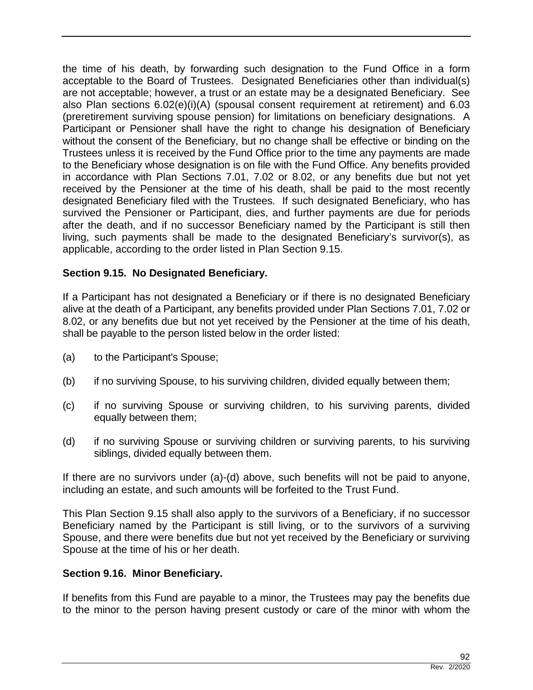the time of his death, by forwarding such designation to the Fund Office in a form acceptable to the Board of Trustees. Designated Beneficiaries other than individual(s) are not acceptable; however, a trust or an estate may be a designated Beneficiary. See also Plan sections 6.02(e)(i)(A) (spousal consent requirement at retirement) and 6.03 (preretirement surviving spouse pension) for limitations on beneficiary designations. A Participant or Pensioner shall have the right to change his designation of Beneficiary without the consent of the Beneficiary, but no change shall be effective or binding on the Trustees unless it is received by the Fund Office prior to the time any payments are made to the Beneficiary whose designation is on file with the Fund Office. Any benefits provided in accordance with Plan Sections 7.01, 7.02 or 8.02, or any benefits due but not yet received by the Pensioner at the time of his death, shall be paid to the most recently designated Beneficiary filed with the Trustees. If such designated Beneficiary, who has survived the Pensioner or Participant, dies, and further payments are due for periods after the death, and if no successor Beneficiary named by the Participant is still then living, such payments shall be made to the designated Beneficiary's survivor(s), as applicable, according to the order listed in Plan Section 9.15.

# **Section 9.15. No Designated Beneficiary.**

If a Participant has not designated a Beneficiary or if there is no designated Beneficiary alive at the death of a Participant, any benefits provided under Plan Sections 7.01, 7.02 or 8.02, or any benefits due but not yet received by the Pensioner at the time of his death, shall be payable to the person listed below in the order listed:

- (a) to the Participant's Spouse;
- (b) if no surviving Spouse, to his surviving children, divided equally between them;
- (c) if no surviving Spouse or surviving children, to his surviving parents, divided equally between them;
- (d) if no surviving Spouse or surviving children or surviving parents, to his surviving siblings, divided equally between them.

If there are no survivors under (a)-(d) above, such benefits will not be paid to anyone, including an estate, and such amounts will be forfeited to the Trust Fund.

This Plan Section 9.15 shall also apply to the survivors of a Beneficiary, if no successor Beneficiary named by the Participant is still living, or to the survivors of a surviving Spouse, and there were benefits due but not yet received by the Beneficiary or surviving Spouse at the time of his or her death.

### **Section 9.16. Minor Beneficiary.**

If benefits from this Fund are payable to a minor, the Trustees may pay the benefits due to the minor to the person having present custody or care of the minor with whom the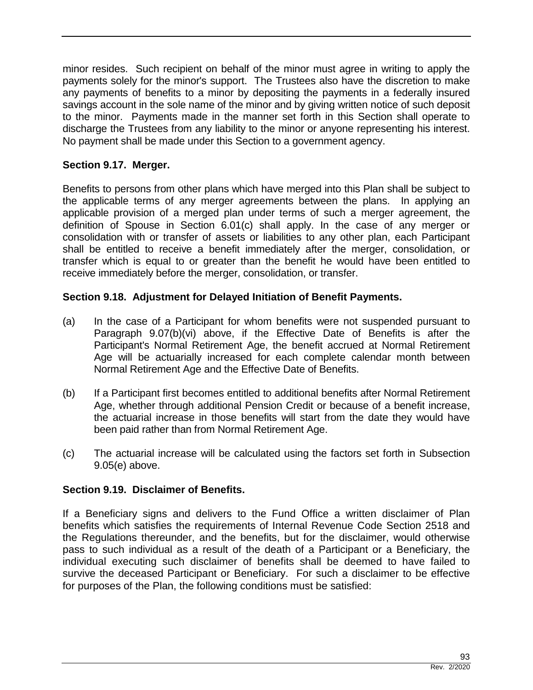minor resides. Such recipient on behalf of the minor must agree in writing to apply the payments solely for the minor's support. The Trustees also have the discretion to make any payments of benefits to a minor by depositing the payments in a federally insured savings account in the sole name of the minor and by giving written notice of such deposit to the minor. Payments made in the manner set forth in this Section shall operate to discharge the Trustees from any liability to the minor or anyone representing his interest. No payment shall be made under this Section to a government agency.

# **Section 9.17. Merger.**

Benefits to persons from other plans which have merged into this Plan shall be subject to the applicable terms of any merger agreements between the plans. In applying an applicable provision of a merged plan under terms of such a merger agreement, the definition of Spouse in Section 6.01(c) shall apply. In the case of any merger or consolidation with or transfer of assets or liabilities to any other plan, each Participant shall be entitled to receive a benefit immediately after the merger, consolidation, or transfer which is equal to or greater than the benefit he would have been entitled to receive immediately before the merger, consolidation, or transfer.

# **Section 9.18. Adjustment for Delayed Initiation of Benefit Payments.**

- (a) In the case of a Participant for whom benefits were not suspended pursuant to Paragraph 9.07(b)(vi) above, if the Effective Date of Benefits is after the Participant's Normal Retirement Age, the benefit accrued at Normal Retirement Age will be actuarially increased for each complete calendar month between Normal Retirement Age and the Effective Date of Benefits.
- (b) If a Participant first becomes entitled to additional benefits after Normal Retirement Age, whether through additional Pension Credit or because of a benefit increase, the actuarial increase in those benefits will start from the date they would have been paid rather than from Normal Retirement Age.
- (c) The actuarial increase will be calculated using the factors set forth in Subsection 9.05(e) above.

#### **Section 9.19. Disclaimer of Benefits.**

If a Beneficiary signs and delivers to the Fund Office a written disclaimer of Plan benefits which satisfies the requirements of Internal Revenue Code Section 2518 and the Regulations thereunder, and the benefits, but for the disclaimer, would otherwise pass to such individual as a result of the death of a Participant or a Beneficiary, the individual executing such disclaimer of benefits shall be deemed to have failed to survive the deceased Participant or Beneficiary. For such a disclaimer to be effective for purposes of the Plan, the following conditions must be satisfied: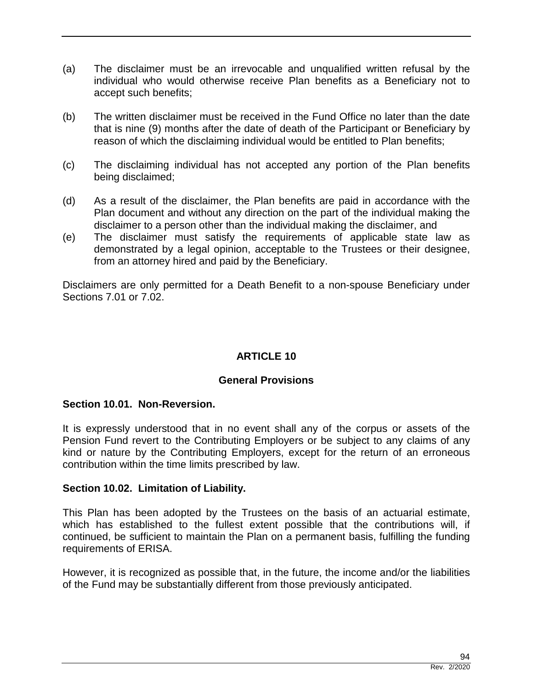- (a) The disclaimer must be an irrevocable and unqualified written refusal by the individual who would otherwise receive Plan benefits as a Beneficiary not to accept such benefits;
- (b) The written disclaimer must be received in the Fund Office no later than the date that is nine (9) months after the date of death of the Participant or Beneficiary by reason of which the disclaiming individual would be entitled to Plan benefits;
- (c) The disclaiming individual has not accepted any portion of the Plan benefits being disclaimed;
- (d) As a result of the disclaimer, the Plan benefits are paid in accordance with the Plan document and without any direction on the part of the individual making the disclaimer to a person other than the individual making the disclaimer, and
- (e) The disclaimer must satisfy the requirements of applicable state law as demonstrated by a legal opinion, acceptable to the Trustees or their designee, from an attorney hired and paid by the Beneficiary.

Disclaimers are only permitted for a Death Benefit to a non-spouse Beneficiary under Sections 7.01 or 7.02.

# **ARTICLE 10**

### **General Provisions**

#### **Section 10.01. Non-Reversion.**

It is expressly understood that in no event shall any of the corpus or assets of the Pension Fund revert to the Contributing Employers or be subject to any claims of any kind or nature by the Contributing Employers, except for the return of an erroneous contribution within the time limits prescribed by law.

#### **Section 10.02. Limitation of Liability.**

This Plan has been adopted by the Trustees on the basis of an actuarial estimate, which has established to the fullest extent possible that the contributions will, if continued, be sufficient to maintain the Plan on a permanent basis, fulfilling the funding requirements of ERISA.

However, it is recognized as possible that, in the future, the income and/or the liabilities of the Fund may be substantially different from those previously anticipated.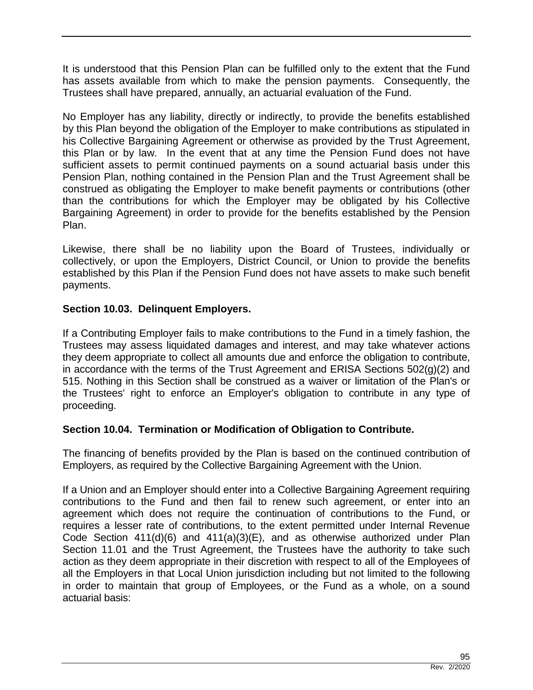It is understood that this Pension Plan can be fulfilled only to the extent that the Fund has assets available from which to make the pension payments. Consequently, the Trustees shall have prepared, annually, an actuarial evaluation of the Fund.

No Employer has any liability, directly or indirectly, to provide the benefits established by this Plan beyond the obligation of the Employer to make contributions as stipulated in his Collective Bargaining Agreement or otherwise as provided by the Trust Agreement, this Plan or by law. In the event that at any time the Pension Fund does not have sufficient assets to permit continued payments on a sound actuarial basis under this Pension Plan, nothing contained in the Pension Plan and the Trust Agreement shall be construed as obligating the Employer to make benefit payments or contributions (other than the contributions for which the Employer may be obligated by his Collective Bargaining Agreement) in order to provide for the benefits established by the Pension Plan.

Likewise, there shall be no liability upon the Board of Trustees, individually or collectively, or upon the Employers, District Council, or Union to provide the benefits established by this Plan if the Pension Fund does not have assets to make such benefit payments.

# **Section 10.03. Delinquent Employers.**

If a Contributing Employer fails to make contributions to the Fund in a timely fashion, the Trustees may assess liquidated damages and interest, and may take whatever actions they deem appropriate to collect all amounts due and enforce the obligation to contribute, in accordance with the terms of the Trust Agreement and ERISA Sections 502(g)(2) and 515. Nothing in this Section shall be construed as a waiver or limitation of the Plan's or the Trustees' right to enforce an Employer's obligation to contribute in any type of proceeding.

# **Section 10.04. Termination or Modification of Obligation to Contribute.**

The financing of benefits provided by the Plan is based on the continued contribution of Employers, as required by the Collective Bargaining Agreement with the Union.

If a Union and an Employer should enter into a Collective Bargaining Agreement requiring contributions to the Fund and then fail to renew such agreement, or enter into an agreement which does not require the continuation of contributions to the Fund, or requires a lesser rate of contributions, to the extent permitted under Internal Revenue Code Section 411(d)(6) and 411(a)(3)(E), and as otherwise authorized under Plan Section 11.01 and the Trust Agreement, the Trustees have the authority to take such action as they deem appropriate in their discretion with respect to all of the Employees of all the Employers in that Local Union jurisdiction including but not limited to the following in order to maintain that group of Employees, or the Fund as a whole, on a sound actuarial basis: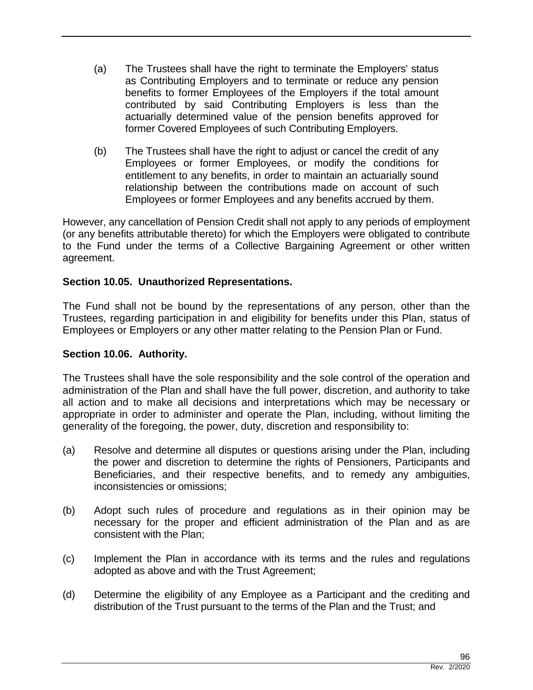- (a) The Trustees shall have the right to terminate the Employers' status as Contributing Employers and to terminate or reduce any pension benefits to former Employees of the Employers if the total amount contributed by said Contributing Employers is less than the actuarially determined value of the pension benefits approved for former Covered Employees of such Contributing Employers.
- (b) The Trustees shall have the right to adjust or cancel the credit of any Employees or former Employees, or modify the conditions for entitlement to any benefits, in order to maintain an actuarially sound relationship between the contributions made on account of such Employees or former Employees and any benefits accrued by them.

However, any cancellation of Pension Credit shall not apply to any periods of employment (or any benefits attributable thereto) for which the Employers were obligated to contribute to the Fund under the terms of a Collective Bargaining Agreement or other written agreement.

# **Section 10.05. Unauthorized Representations.**

The Fund shall not be bound by the representations of any person, other than the Trustees, regarding participation in and eligibility for benefits under this Plan, status of Employees or Employers or any other matter relating to the Pension Plan or Fund.

### **Section 10.06. Authority.**

The Trustees shall have the sole responsibility and the sole control of the operation and administration of the Plan and shall have the full power, discretion, and authority to take all action and to make all decisions and interpretations which may be necessary or appropriate in order to administer and operate the Plan, including, without limiting the generality of the foregoing, the power, duty, discretion and responsibility to:

- (a) Resolve and determine all disputes or questions arising under the Plan, including the power and discretion to determine the rights of Pensioners, Participants and Beneficiaries, and their respective benefits, and to remedy any ambiguities, inconsistencies or omissions;
- (b) Adopt such rules of procedure and regulations as in their opinion may be necessary for the proper and efficient administration of the Plan and as are consistent with the Plan;
- (c) Implement the Plan in accordance with its terms and the rules and regulations adopted as above and with the Trust Agreement;
- (d) Determine the eligibility of any Employee as a Participant and the crediting and distribution of the Trust pursuant to the terms of the Plan and the Trust; and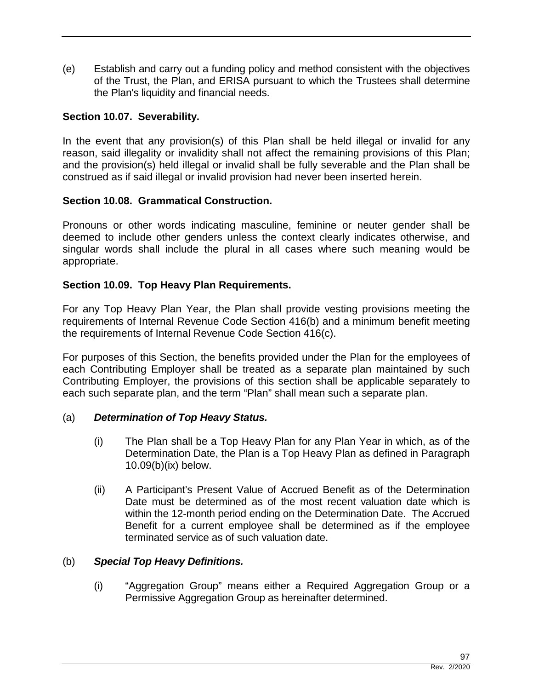(e) Establish and carry out a funding policy and method consistent with the objectives of the Trust, the Plan, and ERISA pursuant to which the Trustees shall determine the Plan's liquidity and financial needs.

#### **Section 10.07. Severability.**

In the event that any provision(s) of this Plan shall be held illegal or invalid for any reason, said illegality or invalidity shall not affect the remaining provisions of this Plan; and the provision(s) held illegal or invalid shall be fully severable and the Plan shall be construed as if said illegal or invalid provision had never been inserted herein.

#### **Section 10.08. Grammatical Construction.**

Pronouns or other words indicating masculine, feminine or neuter gender shall be deemed to include other genders unless the context clearly indicates otherwise, and singular words shall include the plural in all cases where such meaning would be appropriate.

#### **Section 10.09. Top Heavy Plan Requirements.**

For any Top Heavy Plan Year, the Plan shall provide vesting provisions meeting the requirements of Internal Revenue Code Section 416(b) and a minimum benefit meeting the requirements of Internal Revenue Code Section 416(c).

For purposes of this Section, the benefits provided under the Plan for the employees of each Contributing Employer shall be treated as a separate plan maintained by such Contributing Employer, the provisions of this section shall be applicable separately to each such separate plan, and the term "Plan" shall mean such a separate plan.

#### (a) *Determination of Top Heavy Status.*

- (i) The Plan shall be a Top Heavy Plan for any Plan Year in which, as of the Determination Date, the Plan is a Top Heavy Plan as defined in Paragraph 10.09(b)(ix) below.
- (ii) A Participant's Present Value of Accrued Benefit as of the Determination Date must be determined as of the most recent valuation date which is within the 12-month period ending on the Determination Date. The Accrued Benefit for a current employee shall be determined as if the employee terminated service as of such valuation date.

#### (b) *Special Top Heavy Definitions.*

(i) "Aggregation Group" means either a Required Aggregation Group or a Permissive Aggregation Group as hereinafter determined.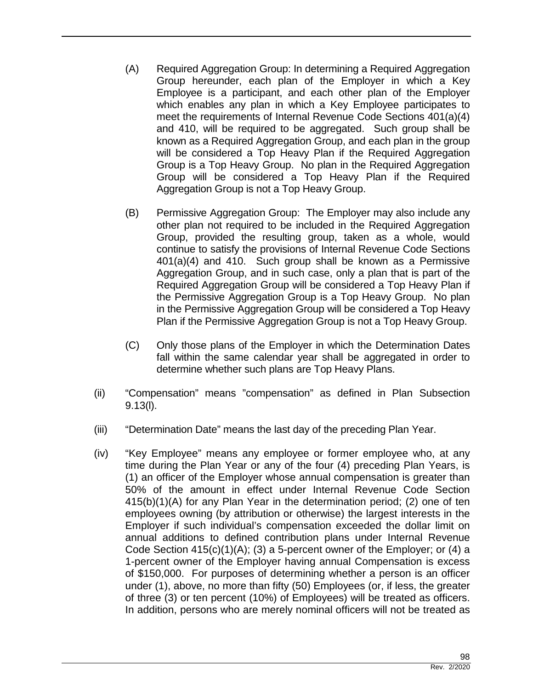- (A) Required Aggregation Group: In determining a Required Aggregation Group hereunder, each plan of the Employer in which a Key Employee is a participant, and each other plan of the Employer which enables any plan in which a Key Employee participates to meet the requirements of Internal Revenue Code Sections 401(a)(4) and 410, will be required to be aggregated. Such group shall be known as a Required Aggregation Group, and each plan in the group will be considered a Top Heavy Plan if the Required Aggregation Group is a Top Heavy Group. No plan in the Required Aggregation Group will be considered a Top Heavy Plan if the Required Aggregation Group is not a Top Heavy Group.
- (B) Permissive Aggregation Group: The Employer may also include any other plan not required to be included in the Required Aggregation Group, provided the resulting group, taken as a whole, would continue to satisfy the provisions of Internal Revenue Code Sections 401(a)(4) and 410. Such group shall be known as a Permissive Aggregation Group, and in such case, only a plan that is part of the Required Aggregation Group will be considered a Top Heavy Plan if the Permissive Aggregation Group is a Top Heavy Group. No plan in the Permissive Aggregation Group will be considered a Top Heavy Plan if the Permissive Aggregation Group is not a Top Heavy Group.
- (C) Only those plans of the Employer in which the Determination Dates fall within the same calendar year shall be aggregated in order to determine whether such plans are Top Heavy Plans.
- (ii) "Compensation" means "compensation" as defined in Plan Subsection 9.13(l).
- (iii) "Determination Date" means the last day of the preceding Plan Year.
- (iv) "Key Employee" means any employee or former employee who, at any time during the Plan Year or any of the four (4) preceding Plan Years, is (1) an officer of the Employer whose annual compensation is greater than 50% of the amount in effect under Internal Revenue Code Section 415(b)(1)(A) for any Plan Year in the determination period; (2) one of ten employees owning (by attribution or otherwise) the largest interests in the Employer if such individual's compensation exceeded the dollar limit on annual additions to defined contribution plans under Internal Revenue Code Section 415(c)(1)(A); (3) a 5-percent owner of the Employer; or (4) a 1-percent owner of the Employer having annual Compensation is excess of \$150,000. For purposes of determining whether a person is an officer under (1), above, no more than fifty (50) Employees (or, if less, the greater of three (3) or ten percent (10%) of Employees) will be treated as officers. In addition, persons who are merely nominal officers will not be treated as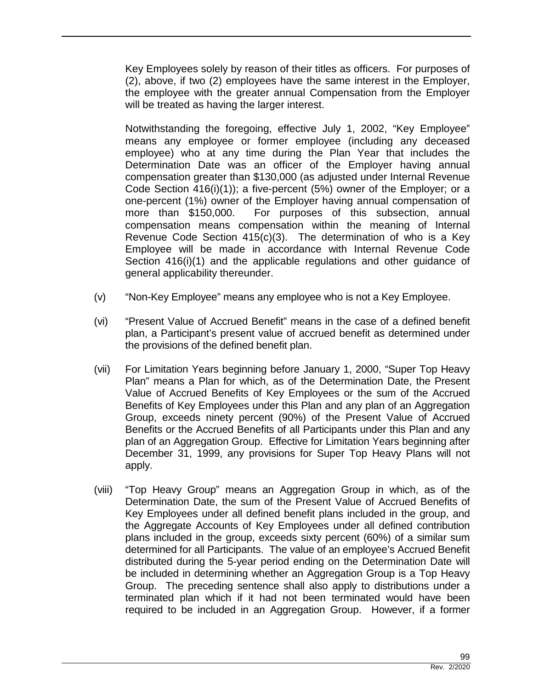Key Employees solely by reason of their titles as officers. For purposes of (2), above, if two (2) employees have the same interest in the Employer, the employee with the greater annual Compensation from the Employer will be treated as having the larger interest.

Notwithstanding the foregoing, effective July 1, 2002, "Key Employee" means any employee or former employee (including any deceased employee) who at any time during the Plan Year that includes the Determination Date was an officer of the Employer having annual compensation greater than \$130,000 (as adjusted under Internal Revenue Code Section 416(i)(1)); a five-percent (5%) owner of the Employer; or a one-percent (1%) owner of the Employer having annual compensation of more than \$150,000. For purposes of this subsection, annual compensation means compensation within the meaning of Internal Revenue Code Section 415(c)(3). The determination of who is a Key Employee will be made in accordance with Internal Revenue Code Section 416(i)(1) and the applicable regulations and other guidance of general applicability thereunder.

- (v) "Non-Key Employee" means any employee who is not a Key Employee.
- (vi) "Present Value of Accrued Benefit" means in the case of a defined benefit plan, a Participant's present value of accrued benefit as determined under the provisions of the defined benefit plan.
- (vii) For Limitation Years beginning before January 1, 2000, "Super Top Heavy Plan" means a Plan for which, as of the Determination Date, the Present Value of Accrued Benefits of Key Employees or the sum of the Accrued Benefits of Key Employees under this Plan and any plan of an Aggregation Group, exceeds ninety percent (90%) of the Present Value of Accrued Benefits or the Accrued Benefits of all Participants under this Plan and any plan of an Aggregation Group. Effective for Limitation Years beginning after December 31, 1999, any provisions for Super Top Heavy Plans will not apply.
- (viii) "Top Heavy Group" means an Aggregation Group in which, as of the Determination Date, the sum of the Present Value of Accrued Benefits of Key Employees under all defined benefit plans included in the group, and the Aggregate Accounts of Key Employees under all defined contribution plans included in the group, exceeds sixty percent (60%) of a similar sum determined for all Participants. The value of an employee's Accrued Benefit distributed during the 5-year period ending on the Determination Date will be included in determining whether an Aggregation Group is a Top Heavy Group. The preceding sentence shall also apply to distributions under a terminated plan which if it had not been terminated would have been required to be included in an Aggregation Group. However, if a former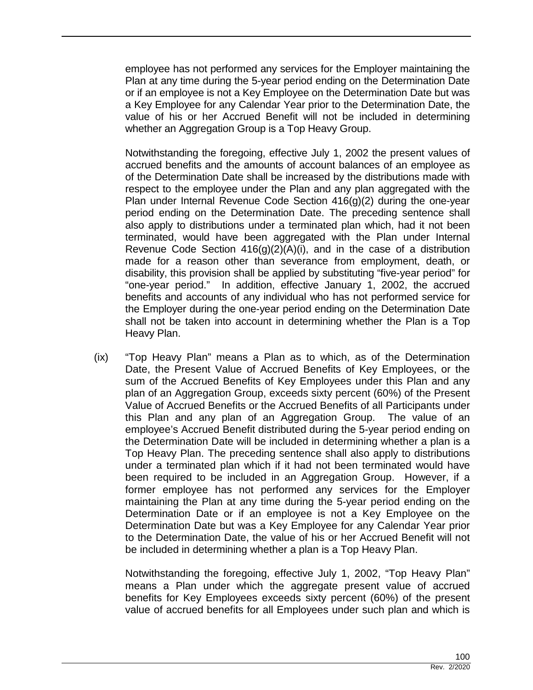employee has not performed any services for the Employer maintaining the Plan at any time during the 5-year period ending on the Determination Date or if an employee is not a Key Employee on the Determination Date but was a Key Employee for any Calendar Year prior to the Determination Date, the value of his or her Accrued Benefit will not be included in determining whether an Aggregation Group is a Top Heavy Group.

Notwithstanding the foregoing, effective July 1, 2002 the present values of accrued benefits and the amounts of account balances of an employee as of the Determination Date shall be increased by the distributions made with respect to the employee under the Plan and any plan aggregated with the Plan under Internal Revenue Code Section 416(g)(2) during the one-year period ending on the Determination Date. The preceding sentence shall also apply to distributions under a terminated plan which, had it not been terminated, would have been aggregated with the Plan under Internal Revenue Code Section  $416(g)(2)(A)(i)$ , and in the case of a distribution made for a reason other than severance from employment, death, or disability, this provision shall be applied by substituting "five-year period" for "one-year period." In addition, effective January 1, 2002, the accrued benefits and accounts of any individual who has not performed service for the Employer during the one-year period ending on the Determination Date shall not be taken into account in determining whether the Plan is a Top Heavy Plan.

(ix) "Top Heavy Plan" means a Plan as to which, as of the Determination Date, the Present Value of Accrued Benefits of Key Employees, or the sum of the Accrued Benefits of Key Employees under this Plan and any plan of an Aggregation Group, exceeds sixty percent (60%) of the Present Value of Accrued Benefits or the Accrued Benefits of all Participants under this Plan and any plan of an Aggregation Group. The value of an employee's Accrued Benefit distributed during the 5-year period ending on the Determination Date will be included in determining whether a plan is a Top Heavy Plan. The preceding sentence shall also apply to distributions under a terminated plan which if it had not been terminated would have been required to be included in an Aggregation Group. However, if a former employee has not performed any services for the Employer maintaining the Plan at any time during the 5-year period ending on the Determination Date or if an employee is not a Key Employee on the Determination Date but was a Key Employee for any Calendar Year prior to the Determination Date, the value of his or her Accrued Benefit will not be included in determining whether a plan is a Top Heavy Plan.

Notwithstanding the foregoing, effective July 1, 2002, "Top Heavy Plan" means a Plan under which the aggregate present value of accrued benefits for Key Employees exceeds sixty percent (60%) of the present value of accrued benefits for all Employees under such plan and which is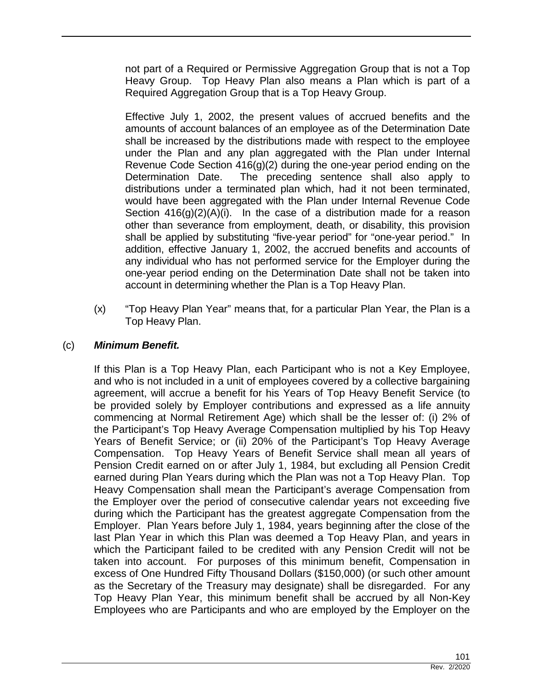not part of a Required or Permissive Aggregation Group that is not a Top Heavy Group. Top Heavy Plan also means a Plan which is part of a Required Aggregation Group that is a Top Heavy Group.

Effective July 1, 2002, the present values of accrued benefits and the amounts of account balances of an employee as of the Determination Date shall be increased by the distributions made with respect to the employee under the Plan and any plan aggregated with the Plan under Internal Revenue Code Section 416(g)(2) during the one-year period ending on the Determination Date. The preceding sentence shall also apply to distributions under a terminated plan which, had it not been terminated, would have been aggregated with the Plan under Internal Revenue Code Section  $416(g)(2)(A)(i)$ . In the case of a distribution made for a reason other than severance from employment, death, or disability, this provision shall be applied by substituting "five-year period" for "one-year period." In addition, effective January 1, 2002, the accrued benefits and accounts of any individual who has not performed service for the Employer during the one-year period ending on the Determination Date shall not be taken into account in determining whether the Plan is a Top Heavy Plan.

(x) "Top Heavy Plan Year" means that, for a particular Plan Year, the Plan is a Top Heavy Plan.

# (c) *Minimum Benefit.*

If this Plan is a Top Heavy Plan, each Participant who is not a Key Employee, and who is not included in a unit of employees covered by a collective bargaining agreement, will accrue a benefit for his Years of Top Heavy Benefit Service (to be provided solely by Employer contributions and expressed as a life annuity commencing at Normal Retirement Age) which shall be the lesser of: (i) 2% of the Participant's Top Heavy Average Compensation multiplied by his Top Heavy Years of Benefit Service; or (ii) 20% of the Participant's Top Heavy Average Compensation. Top Heavy Years of Benefit Service shall mean all years of Pension Credit earned on or after July 1, 1984, but excluding all Pension Credit earned during Plan Years during which the Plan was not a Top Heavy Plan. Top Heavy Compensation shall mean the Participant's average Compensation from the Employer over the period of consecutive calendar years not exceeding five during which the Participant has the greatest aggregate Compensation from the Employer. Plan Years before July 1, 1984, years beginning after the close of the last Plan Year in which this Plan was deemed a Top Heavy Plan, and years in which the Participant failed to be credited with any Pension Credit will not be taken into account. For purposes of this minimum benefit, Compensation in excess of One Hundred Fifty Thousand Dollars (\$150,000) (or such other amount as the Secretary of the Treasury may designate) shall be disregarded. For any Top Heavy Plan Year, this minimum benefit shall be accrued by all Non-Key Employees who are Participants and who are employed by the Employer on the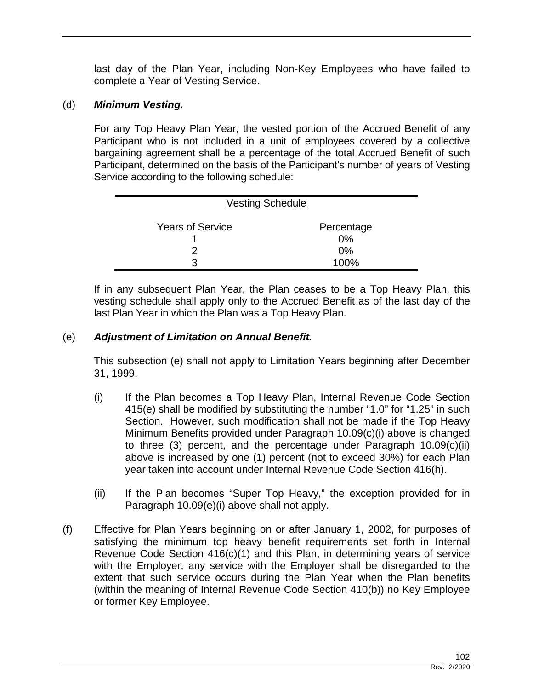last day of the Plan Year, including Non-Key Employees who have failed to complete a Year of Vesting Service.

## (d) *Minimum Vesting.*

For any Top Heavy Plan Year, the vested portion of the Accrued Benefit of any Participant who is not included in a unit of employees covered by a collective bargaining agreement shall be a percentage of the total Accrued Benefit of such Participant, determined on the basis of the Participant's number of years of Vesting Service according to the following schedule:

| <b>Vesting Schedule</b> |                  |
|-------------------------|------------------|
| <b>Years of Service</b> | Percentage<br>0% |
|                         | 0%               |
| 3                       | 100%             |

If in any subsequent Plan Year, the Plan ceases to be a Top Heavy Plan, this vesting schedule shall apply only to the Accrued Benefit as of the last day of the last Plan Year in which the Plan was a Top Heavy Plan.

### (e) *Adjustment of Limitation on Annual Benefit.*

This subsection (e) shall not apply to Limitation Years beginning after December 31, 1999.

- (i) If the Plan becomes a Top Heavy Plan, Internal Revenue Code Section 415(e) shall be modified by substituting the number "1.0" for "1.25" in such Section. However, such modification shall not be made if the Top Heavy Minimum Benefits provided under Paragraph 10.09(c)(i) above is changed to three (3) percent, and the percentage under Paragraph 10.09(c)(ii) above is increased by one (1) percent (not to exceed 30%) for each Plan year taken into account under Internal Revenue Code Section 416(h).
- (ii) If the Plan becomes "Super Top Heavy," the exception provided for in Paragraph 10.09(e)(i) above shall not apply.
- (f) Effective for Plan Years beginning on or after January 1, 2002, for purposes of satisfying the minimum top heavy benefit requirements set forth in Internal Revenue Code Section 416(c)(1) and this Plan, in determining years of service with the Employer, any service with the Employer shall be disregarded to the extent that such service occurs during the Plan Year when the Plan benefits (within the meaning of Internal Revenue Code Section 410(b)) no Key Employee or former Key Employee.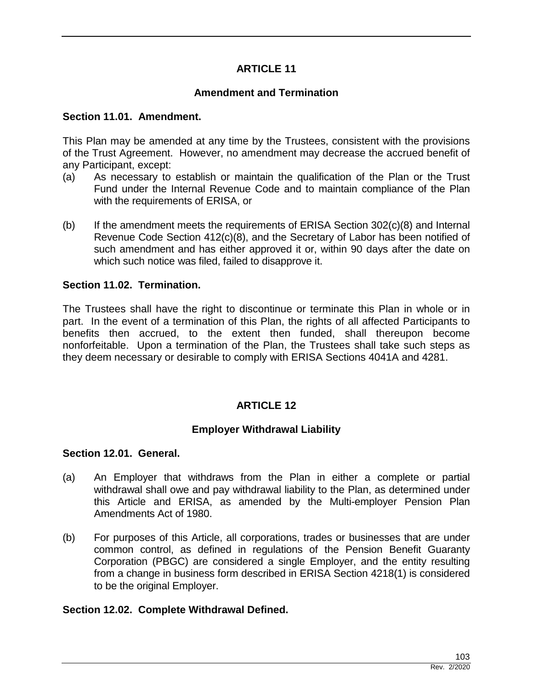## **ARTICLE 11**

## **Amendment and Termination**

#### **Section 11.01. Amendment.**

This Plan may be amended at any time by the Trustees, consistent with the provisions of the Trust Agreement. However, no amendment may decrease the accrued benefit of any Participant, except:

- (a) As necessary to establish or maintain the qualification of the Plan or the Trust Fund under the Internal Revenue Code and to maintain compliance of the Plan with the requirements of ERISA, or
- (b) If the amendment meets the requirements of ERISA Section 302(c)(8) and Internal Revenue Code Section 412(c)(8), and the Secretary of Labor has been notified of such amendment and has either approved it or, within 90 days after the date on which such notice was filed, failed to disapprove it.

## **Section 11.02. Termination.**

The Trustees shall have the right to discontinue or terminate this Plan in whole or in part. In the event of a termination of this Plan, the rights of all affected Participants to benefits then accrued, to the extent then funded, shall thereupon become nonforfeitable. Upon a termination of the Plan, the Trustees shall take such steps as they deem necessary or desirable to comply with ERISA Sections 4041A and 4281.

## **ARTICLE 12**

## **Employer Withdrawal Liability**

#### **Section 12.01. General.**

- (a) An Employer that withdraws from the Plan in either a complete or partial withdrawal shall owe and pay withdrawal liability to the Plan, as determined under this Article and ERISA, as amended by the Multi-employer Pension Plan Amendments Act of 1980.
- (b) For purposes of this Article, all corporations, trades or businesses that are under common control, as defined in regulations of the Pension Benefit Guaranty Corporation (PBGC) are considered a single Employer, and the entity resulting from a change in business form described in ERISA Section 4218(1) is considered to be the original Employer.

## **Section 12.02. Complete Withdrawal Defined.**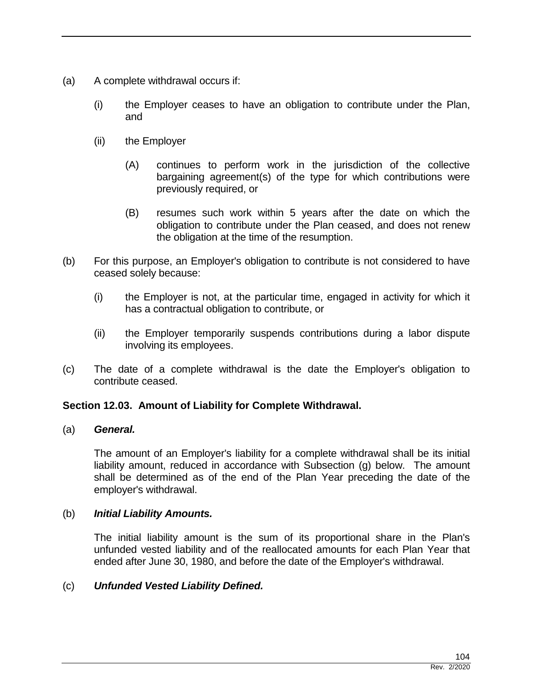- (a) A complete withdrawal occurs if:
	- (i) the Employer ceases to have an obligation to contribute under the Plan, and
	- (ii) the Employer
		- (A) continues to perform work in the jurisdiction of the collective bargaining agreement(s) of the type for which contributions were previously required, or
		- (B) resumes such work within 5 years after the date on which the obligation to contribute under the Plan ceased, and does not renew the obligation at the time of the resumption.
- (b) For this purpose, an Employer's obligation to contribute is not considered to have ceased solely because:
	- (i) the Employer is not, at the particular time, engaged in activity for which it has a contractual obligation to contribute, or
	- (ii) the Employer temporarily suspends contributions during a labor dispute involving its employees.
- (c) The date of a complete withdrawal is the date the Employer's obligation to contribute ceased.

## **Section 12.03. Amount of Liability for Complete Withdrawal.**

## (a) *General.*

The amount of an Employer's liability for a complete withdrawal shall be its initial liability amount, reduced in accordance with Subsection (g) below. The amount shall be determined as of the end of the Plan Year preceding the date of the employer's withdrawal.

## (b) *Initial Liability Amounts.*

The initial liability amount is the sum of its proportional share in the Plan's unfunded vested liability and of the reallocated amounts for each Plan Year that ended after June 30, 1980, and before the date of the Employer's withdrawal.

## (c) *Unfunded Vested Liability Defined.*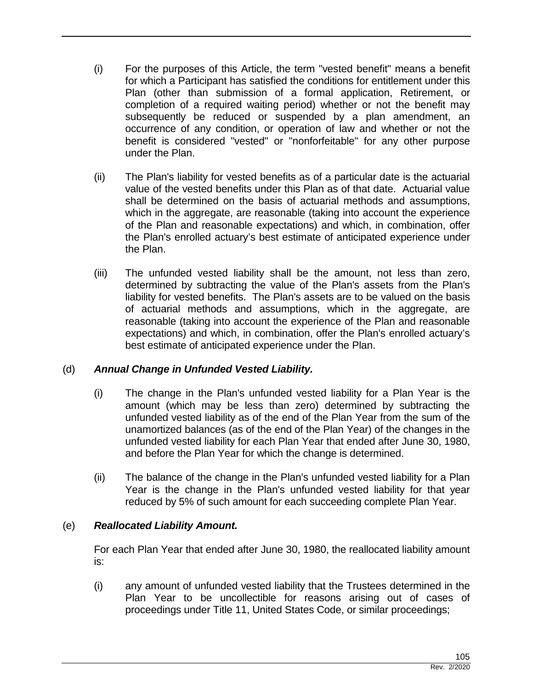- (i) For the purposes of this Article, the term "vested benefit" means a benefit for which a Participant has satisfied the conditions for entitlement under this Plan (other than submission of a formal application, Retirement, or completion of a required waiting period) whether or not the benefit may subsequently be reduced or suspended by a plan amendment, an occurrence of any condition, or operation of law and whether or not the benefit is considered "vested" or "nonforfeitable" for any other purpose under the Plan.
- (ii) The Plan's liability for vested benefits as of a particular date is the actuarial value of the vested benefits under this Plan as of that date. Actuarial value shall be determined on the basis of actuarial methods and assumptions, which in the aggregate, are reasonable (taking into account the experience of the Plan and reasonable expectations) and which, in combination, offer the Plan's enrolled actuary's best estimate of anticipated experience under the Plan.
- (iii) The unfunded vested liability shall be the amount, not less than zero, determined by subtracting the value of the Plan's assets from the Plan's liability for vested benefits. The Plan's assets are to be valued on the basis of actuarial methods and assumptions, which in the aggregate, are reasonable (taking into account the experience of the Plan and reasonable expectations) and which, in combination, offer the Plan's enrolled actuary's best estimate of anticipated experience under the Plan.

# (d) *Annual Change in Unfunded Vested Liability.*

- (i) The change in the Plan's unfunded vested liability for a Plan Year is the amount (which may be less than zero) determined by subtracting the unfunded vested liability as of the end of the Plan Year from the sum of the unamortized balances (as of the end of the Plan Year) of the changes in the unfunded vested liability for each Plan Year that ended after June 30, 1980, and before the Plan Year for which the change is determined.
- (ii) The balance of the change in the Plan's unfunded vested liability for a Plan Year is the change in the Plan's unfunded vested liability for that year reduced by 5% of such amount for each succeeding complete Plan Year.

# (e) *Reallocated Liability Amount.*

For each Plan Year that ended after June 30, 1980, the reallocated liability amount is:

(i) any amount of unfunded vested liability that the Trustees determined in the Plan Year to be uncollectible for reasons arising out of cases of proceedings under Title 11, United States Code, or similar proceedings;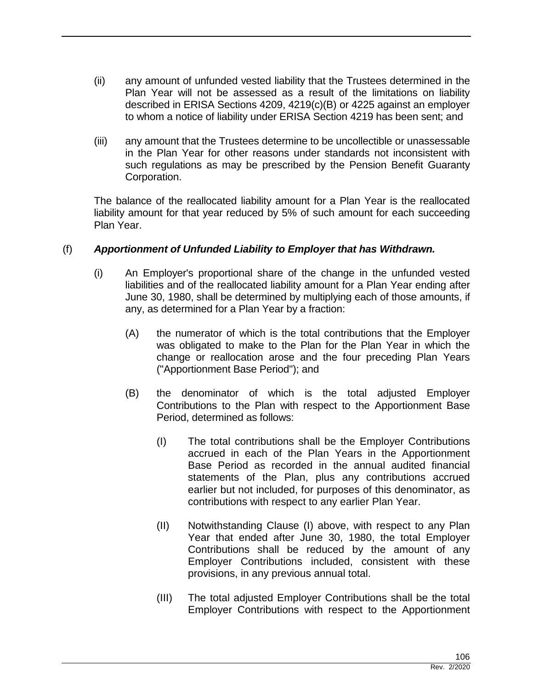- (ii) any amount of unfunded vested liability that the Trustees determined in the Plan Year will not be assessed as a result of the limitations on liability described in ERISA Sections 4209, 4219(c)(B) or 4225 against an employer to whom a notice of liability under ERISA Section 4219 has been sent; and
- (iii) any amount that the Trustees determine to be uncollectible or unassessable in the Plan Year for other reasons under standards not inconsistent with such regulations as may be prescribed by the Pension Benefit Guaranty Corporation.

The balance of the reallocated liability amount for a Plan Year is the reallocated liability amount for that year reduced by 5% of such amount for each succeeding Plan Year.

## (f) *Apportionment of Unfunded Liability to Employer that has Withdrawn.*

- (i) An Employer's proportional share of the change in the unfunded vested liabilities and of the reallocated liability amount for a Plan Year ending after June 30, 1980, shall be determined by multiplying each of those amounts, if any, as determined for a Plan Year by a fraction:
	- (A) the numerator of which is the total contributions that the Employer was obligated to make to the Plan for the Plan Year in which the change or reallocation arose and the four preceding Plan Years ("Apportionment Base Period"); and
	- (B) the denominator of which is the total adjusted Employer Contributions to the Plan with respect to the Apportionment Base Period, determined as follows:
		- (I) The total contributions shall be the Employer Contributions accrued in each of the Plan Years in the Apportionment Base Period as recorded in the annual audited financial statements of the Plan, plus any contributions accrued earlier but not included, for purposes of this denominator, as contributions with respect to any earlier Plan Year.
		- (II) Notwithstanding Clause (I) above, with respect to any Plan Year that ended after June 30, 1980, the total Employer Contributions shall be reduced by the amount of any Employer Contributions included, consistent with these provisions, in any previous annual total.
		- (III) The total adjusted Employer Contributions shall be the total Employer Contributions with respect to the Apportionment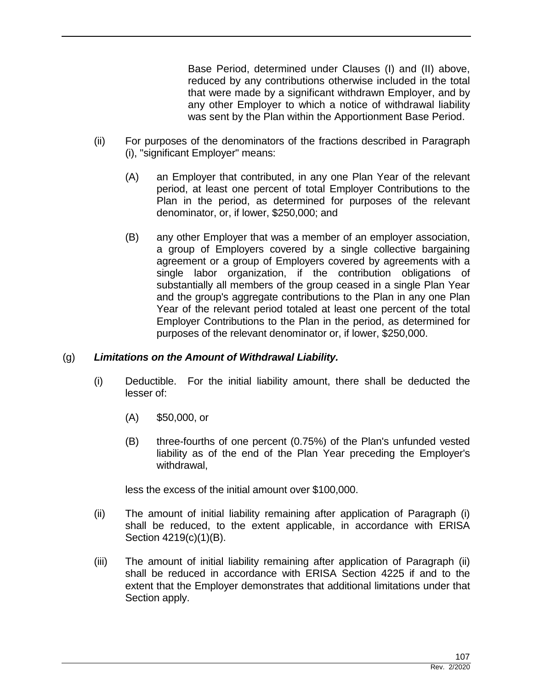Base Period, determined under Clauses (I) and (II) above, reduced by any contributions otherwise included in the total that were made by a significant withdrawn Employer, and by any other Employer to which a notice of withdrawal liability was sent by the Plan within the Apportionment Base Period.

- (ii) For purposes of the denominators of the fractions described in Paragraph (i), "significant Employer" means:
	- (A) an Employer that contributed, in any one Plan Year of the relevant period, at least one percent of total Employer Contributions to the Plan in the period, as determined for purposes of the relevant denominator, or, if lower, \$250,000; and
	- (B) any other Employer that was a member of an employer association, a group of Employers covered by a single collective bargaining agreement or a group of Employers covered by agreements with a single labor organization, if the contribution obligations of substantially all members of the group ceased in a single Plan Year and the group's aggregate contributions to the Plan in any one Plan Year of the relevant period totaled at least one percent of the total Employer Contributions to the Plan in the period, as determined for purposes of the relevant denominator or, if lower, \$250,000.

## (g) *Limitations on the Amount of Withdrawal Liability.*

- (i) Deductible. For the initial liability amount, there shall be deducted the lesser of:
	- (A) \$50,000, or
	- (B) three-fourths of one percent (0.75%) of the Plan's unfunded vested liability as of the end of the Plan Year preceding the Employer's withdrawal,

less the excess of the initial amount over \$100,000.

- (ii) The amount of initial liability remaining after application of Paragraph (i) shall be reduced, to the extent applicable, in accordance with ERISA Section 4219(c)(1)(B).
- (iii) The amount of initial liability remaining after application of Paragraph (ii) shall be reduced in accordance with ERISA Section 4225 if and to the extent that the Employer demonstrates that additional limitations under that Section apply.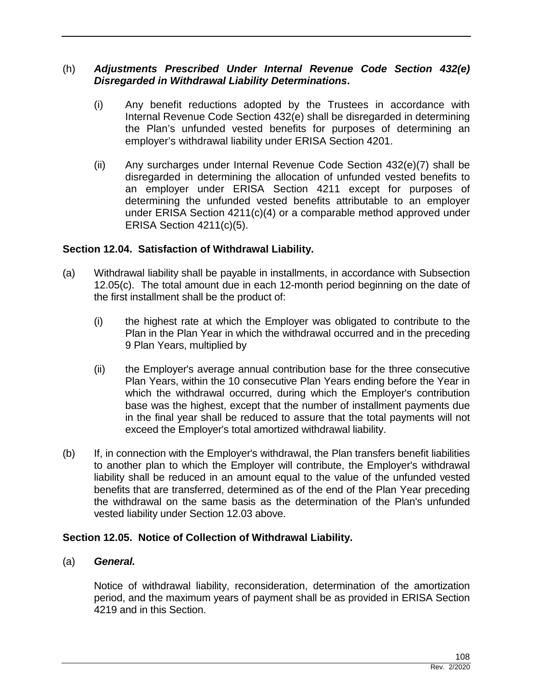## (h) *Adjustments Prescribed Under Internal Revenue Code Section 432(e) Disregarded in Withdrawal Liability Determinations***.**

- (i) Any benefit reductions adopted by the Trustees in accordance with Internal Revenue Code Section 432(e) shall be disregarded in determining the Plan's unfunded vested benefits for purposes of determining an employer's withdrawal liability under ERISA Section 4201.
- (ii) Any surcharges under Internal Revenue Code Section 432(e)(7) shall be disregarded in determining the allocation of unfunded vested benefits to an employer under ERISA Section 4211 except for purposes of determining the unfunded vested benefits attributable to an employer under ERISA Section 4211(c)(4) or a comparable method approved under ERISA Section 4211(c)(5).

## **Section 12.04. Satisfaction of Withdrawal Liability.**

- (a) Withdrawal liability shall be payable in installments, in accordance with Subsection 12.05(c). The total amount due in each 12-month period beginning on the date of the first installment shall be the product of:
	- (i) the highest rate at which the Employer was obligated to contribute to the Plan in the Plan Year in which the withdrawal occurred and in the preceding 9 Plan Years, multiplied by
	- (ii) the Employer's average annual contribution base for the three consecutive Plan Years, within the 10 consecutive Plan Years ending before the Year in which the withdrawal occurred, during which the Employer's contribution base was the highest, except that the number of installment payments due in the final year shall be reduced to assure that the total payments will not exceed the Employer's total amortized withdrawal liability.
- (b) If, in connection with the Employer's withdrawal, the Plan transfers benefit liabilities to another plan to which the Employer will contribute, the Employer's withdrawal liability shall be reduced in an amount equal to the value of the unfunded vested benefits that are transferred, determined as of the end of the Plan Year preceding the withdrawal on the same basis as the determination of the Plan's unfunded vested liability under Section 12.03 above.

## **Section 12.05. Notice of Collection of Withdrawal Liability.**

## (a) *General.*

Notice of withdrawal liability, reconsideration, determination of the amortization period, and the maximum years of payment shall be as provided in ERISA Section 4219 and in this Section.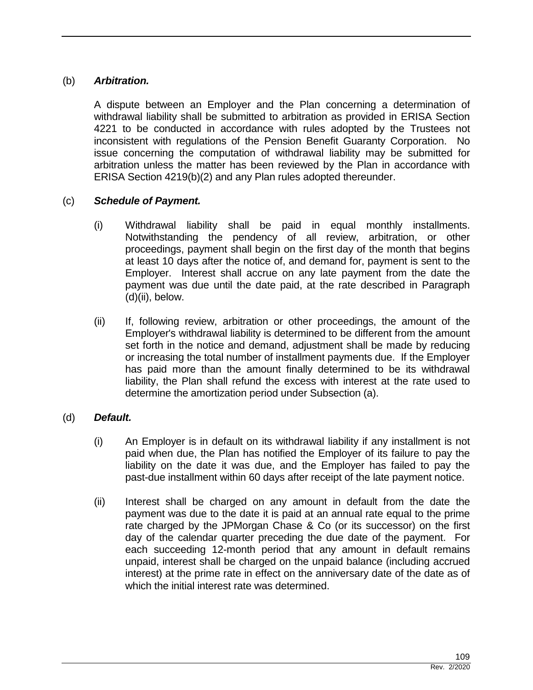## (b) *Arbitration.*

A dispute between an Employer and the Plan concerning a determination of withdrawal liability shall be submitted to arbitration as provided in ERISA Section 4221 to be conducted in accordance with rules adopted by the Trustees not inconsistent with regulations of the Pension Benefit Guaranty Corporation. No issue concerning the computation of withdrawal liability may be submitted for arbitration unless the matter has been reviewed by the Plan in accordance with ERISA Section 4219(b)(2) and any Plan rules adopted thereunder.

## (c) *Schedule of Payment.*

- (i) Withdrawal liability shall be paid in equal monthly installments. Notwithstanding the pendency of all review, arbitration, or other proceedings, payment shall begin on the first day of the month that begins at least 10 days after the notice of, and demand for, payment is sent to the Employer. Interest shall accrue on any late payment from the date the payment was due until the date paid, at the rate described in Paragraph (d)(ii), below.
- (ii) If, following review, arbitration or other proceedings, the amount of the Employer's withdrawal liability is determined to be different from the amount set forth in the notice and demand, adjustment shall be made by reducing or increasing the total number of installment payments due. If the Employer has paid more than the amount finally determined to be its withdrawal liability, the Plan shall refund the excess with interest at the rate used to determine the amortization period under Subsection (a).

## (d) *Default.*

- (i) An Employer is in default on its withdrawal liability if any installment is not paid when due, the Plan has notified the Employer of its failure to pay the liability on the date it was due, and the Employer has failed to pay the past-due installment within 60 days after receipt of the late payment notice.
- (ii) Interest shall be charged on any amount in default from the date the payment was due to the date it is paid at an annual rate equal to the prime rate charged by the JPMorgan Chase & Co (or its successor) on the first day of the calendar quarter preceding the due date of the payment. For each succeeding 12-month period that any amount in default remains unpaid, interest shall be charged on the unpaid balance (including accrued interest) at the prime rate in effect on the anniversary date of the date as of which the initial interest rate was determined.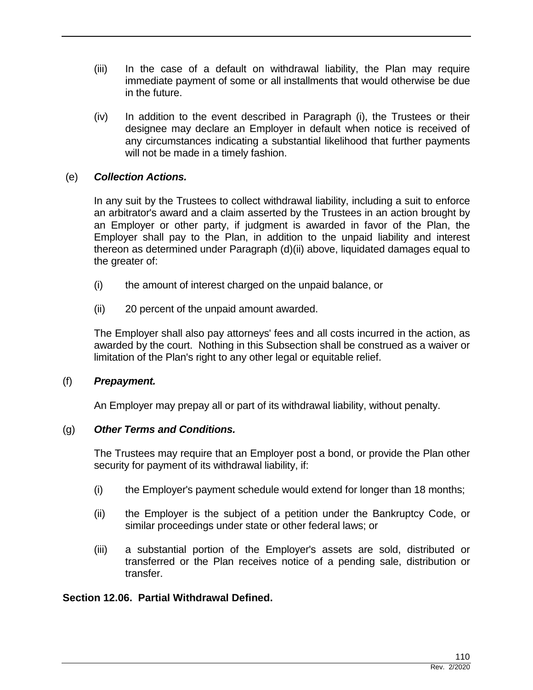- (iii) In the case of a default on withdrawal liability, the Plan may require immediate payment of some or all installments that would otherwise be due in the future.
- (iv) In addition to the event described in Paragraph (i), the Trustees or their designee may declare an Employer in default when notice is received of any circumstances indicating a substantial likelihood that further payments will not be made in a timely fashion.

## (e) *Collection Actions.*

In any suit by the Trustees to collect withdrawal liability, including a suit to enforce an arbitrator's award and a claim asserted by the Trustees in an action brought by an Employer or other party, if judgment is awarded in favor of the Plan, the Employer shall pay to the Plan, in addition to the unpaid liability and interest thereon as determined under Paragraph (d)(ii) above, liquidated damages equal to the greater of:

- (i) the amount of interest charged on the unpaid balance, or
- (ii) 20 percent of the unpaid amount awarded.

The Employer shall also pay attorneys' fees and all costs incurred in the action, as awarded by the court. Nothing in this Subsection shall be construed as a waiver or limitation of the Plan's right to any other legal or equitable relief.

## (f) *Prepayment.*

An Employer may prepay all or part of its withdrawal liability, without penalty.

## (g) *Other Terms and Conditions.*

The Trustees may require that an Employer post a bond, or provide the Plan other security for payment of its withdrawal liability, if:

- (i) the Employer's payment schedule would extend for longer than 18 months;
- (ii) the Employer is the subject of a petition under the Bankruptcy Code, or similar proceedings under state or other federal laws; or
- (iii) a substantial portion of the Employer's assets are sold, distributed or transferred or the Plan receives notice of a pending sale, distribution or transfer.

## **Section 12.06. Partial Withdrawal Defined.**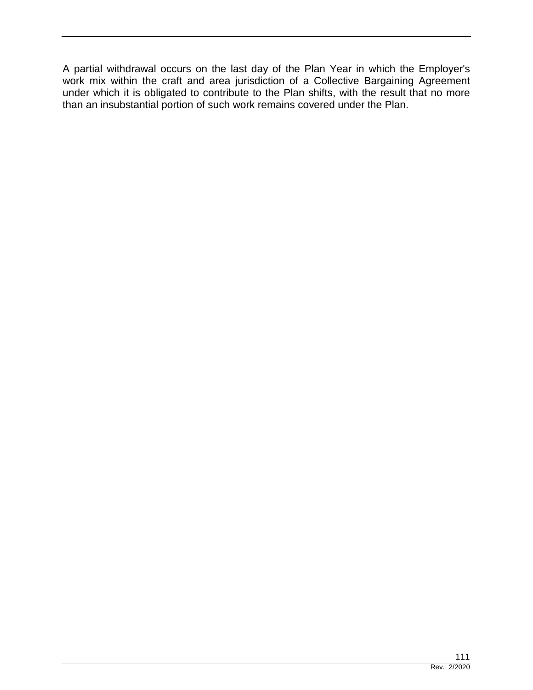A partial withdrawal occurs on the last day of the Plan Year in which the Employer's work mix within the craft and area jurisdiction of a Collective Bargaining Agreement under which it is obligated to contribute to the Plan shifts, with the result that no more than an insubstantial portion of such work remains covered under the Plan.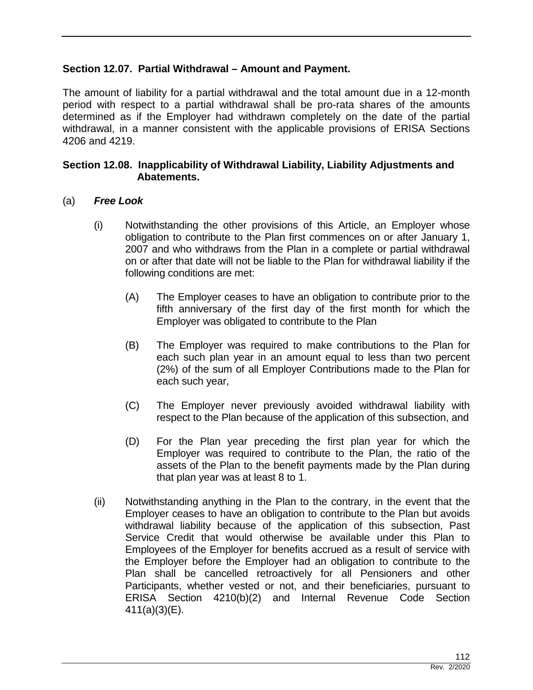## **Section 12.07. Partial Withdrawal – Amount and Payment.**

The amount of liability for a partial withdrawal and the total amount due in a 12-month period with respect to a partial withdrawal shall be pro-rata shares of the amounts determined as if the Employer had withdrawn completely on the date of the partial withdrawal, in a manner consistent with the applicable provisions of ERISA Sections 4206 and 4219.

## **Section 12.08. Inapplicability of Withdrawal Liability, Liability Adjustments and Abatements.**

## (a) *Free Look*

- (i) Notwithstanding the other provisions of this Article, an Employer whose obligation to contribute to the Plan first commences on or after January 1, 2007 and who withdraws from the Plan in a complete or partial withdrawal on or after that date will not be liable to the Plan for withdrawal liability if the following conditions are met:
	- (A) The Employer ceases to have an obligation to contribute prior to the fifth anniversary of the first day of the first month for which the Employer was obligated to contribute to the Plan
	- (B) The Employer was required to make contributions to the Plan for each such plan year in an amount equal to less than two percent (2%) of the sum of all Employer Contributions made to the Plan for each such year,
	- (C) The Employer never previously avoided withdrawal liability with respect to the Plan because of the application of this subsection, and
	- (D) For the Plan year preceding the first plan year for which the Employer was required to contribute to the Plan, the ratio of the assets of the Plan to the benefit payments made by the Plan during that plan year was at least 8 to 1.
- (ii) Notwithstanding anything in the Plan to the contrary, in the event that the Employer ceases to have an obligation to contribute to the Plan but avoids withdrawal liability because of the application of this subsection, Past Service Credit that would otherwise be available under this Plan to Employees of the Employer for benefits accrued as a result of service with the Employer before the Employer had an obligation to contribute to the Plan shall be cancelled retroactively for all Pensioners and other Participants, whether vested or not, and their beneficiaries, pursuant to ERISA Section 4210(b)(2) and Internal Revenue Code Section 411(a)(3)(E).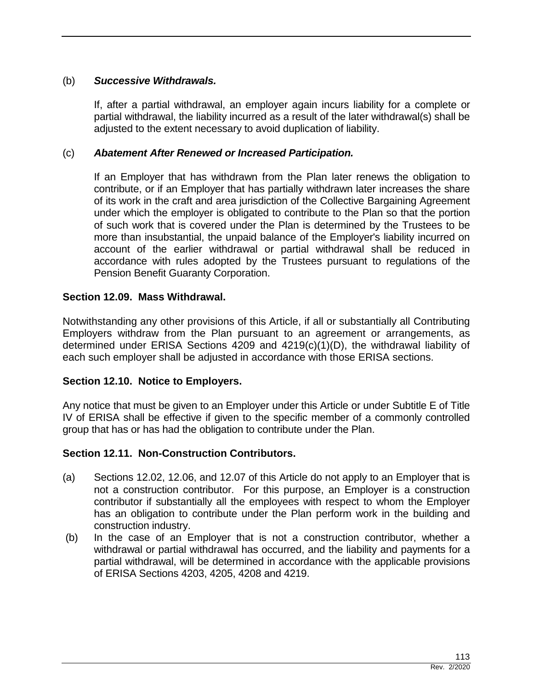## (b) *Successive Withdrawals.*

If, after a partial withdrawal, an employer again incurs liability for a complete or partial withdrawal, the liability incurred as a result of the later withdrawal(s) shall be adjusted to the extent necessary to avoid duplication of liability.

## (c) *Abatement After Renewed or Increased Participation.*

If an Employer that has withdrawn from the Plan later renews the obligation to contribute, or if an Employer that has partially withdrawn later increases the share of its work in the craft and area jurisdiction of the Collective Bargaining Agreement under which the employer is obligated to contribute to the Plan so that the portion of such work that is covered under the Plan is determined by the Trustees to be more than insubstantial, the unpaid balance of the Employer's liability incurred on account of the earlier withdrawal or partial withdrawal shall be reduced in accordance with rules adopted by the Trustees pursuant to regulations of the Pension Benefit Guaranty Corporation.

## **Section 12.09. Mass Withdrawal.**

Notwithstanding any other provisions of this Article, if all or substantially all Contributing Employers withdraw from the Plan pursuant to an agreement or arrangements, as determined under ERISA Sections 4209 and 4219(c)(1)(D), the withdrawal liability of each such employer shall be adjusted in accordance with those ERISA sections.

## **Section 12.10. Notice to Employers.**

Any notice that must be given to an Employer under this Article or under Subtitle E of Title IV of ERISA shall be effective if given to the specific member of a commonly controlled group that has or has had the obligation to contribute under the Plan.

## **Section 12.11. Non-Construction Contributors.**

- (a) Sections 12.02, 12.06, and 12.07 of this Article do not apply to an Employer that is not a construction contributor. For this purpose, an Employer is a construction contributor if substantially all the employees with respect to whom the Employer has an obligation to contribute under the Plan perform work in the building and construction industry.
- (b) In the case of an Employer that is not a construction contributor, whether a withdrawal or partial withdrawal has occurred, and the liability and payments for a partial withdrawal, will be determined in accordance with the applicable provisions of ERISA Sections 4203, 4205, 4208 and 4219.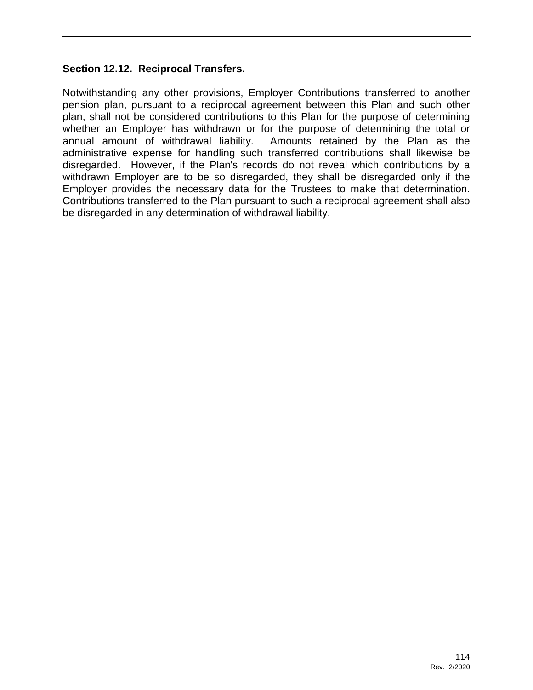## **Section 12.12. Reciprocal Transfers.**

Notwithstanding any other provisions, Employer Contributions transferred to another pension plan, pursuant to a reciprocal agreement between this Plan and such other plan, shall not be considered contributions to this Plan for the purpose of determining whether an Employer has withdrawn or for the purpose of determining the total or annual amount of withdrawal liability. Amounts retained by the Plan as the administrative expense for handling such transferred contributions shall likewise be disregarded. However, if the Plan's records do not reveal which contributions by a withdrawn Employer are to be so disregarded, they shall be disregarded only if the Employer provides the necessary data for the Trustees to make that determination. Contributions transferred to the Plan pursuant to such a reciprocal agreement shall also be disregarded in any determination of withdrawal liability.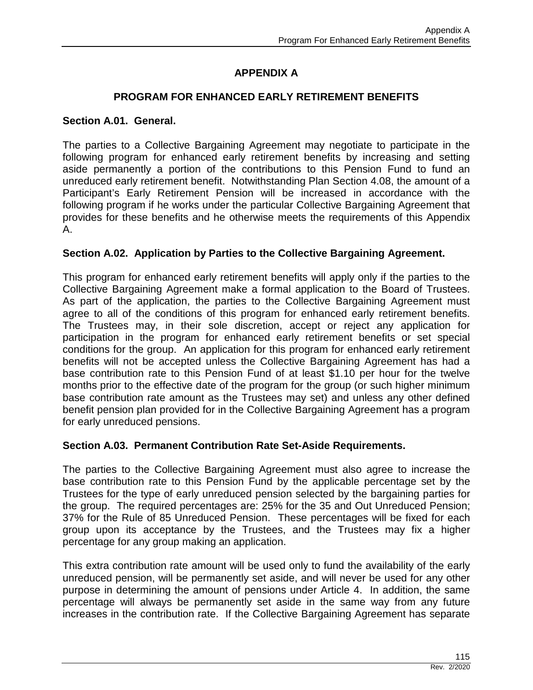# **APPENDIX A**

## **PROGRAM FOR ENHANCED EARLY RETIREMENT BENEFITS**

#### **Section A.01. General.**

The parties to a Collective Bargaining Agreement may negotiate to participate in the following program for enhanced early retirement benefits by increasing and setting aside permanently a portion of the contributions to this Pension Fund to fund an unreduced early retirement benefit. Notwithstanding Plan Section 4.08, the amount of a Participant's Early Retirement Pension will be increased in accordance with the following program if he works under the particular Collective Bargaining Agreement that provides for these benefits and he otherwise meets the requirements of this Appendix A.

## **Section A.02. Application by Parties to the Collective Bargaining Agreement.**

This program for enhanced early retirement benefits will apply only if the parties to the Collective Bargaining Agreement make a formal application to the Board of Trustees. As part of the application, the parties to the Collective Bargaining Agreement must agree to all of the conditions of this program for enhanced early retirement benefits. The Trustees may, in their sole discretion, accept or reject any application for participation in the program for enhanced early retirement benefits or set special conditions for the group. An application for this program for enhanced early retirement benefits will not be accepted unless the Collective Bargaining Agreement has had a base contribution rate to this Pension Fund of at least \$1.10 per hour for the twelve months prior to the effective date of the program for the group (or such higher minimum base contribution rate amount as the Trustees may set) and unless any other defined benefit pension plan provided for in the Collective Bargaining Agreement has a program for early unreduced pensions.

## **Section A.03. Permanent Contribution Rate Set-Aside Requirements.**

The parties to the Collective Bargaining Agreement must also agree to increase the base contribution rate to this Pension Fund by the applicable percentage set by the Trustees for the type of early unreduced pension selected by the bargaining parties for the group. The required percentages are: 25% for the 35 and Out Unreduced Pension; 37% for the Rule of 85 Unreduced Pension. These percentages will be fixed for each group upon its acceptance by the Trustees, and the Trustees may fix a higher percentage for any group making an application.

This extra contribution rate amount will be used only to fund the availability of the early unreduced pension, will be permanently set aside, and will never be used for any other purpose in determining the amount of pensions under Article 4. In addition, the same percentage will always be permanently set aside in the same way from any future increases in the contribution rate. If the Collective Bargaining Agreement has separate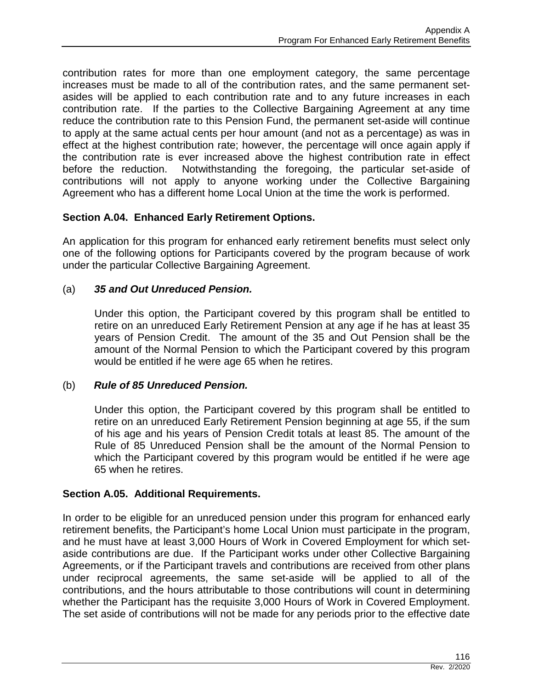contribution rates for more than one employment category, the same percentage increases must be made to all of the contribution rates, and the same permanent setasides will be applied to each contribution rate and to any future increases in each contribution rate. If the parties to the Collective Bargaining Agreement at any time reduce the contribution rate to this Pension Fund, the permanent set-aside will continue to apply at the same actual cents per hour amount (and not as a percentage) as was in effect at the highest contribution rate; however, the percentage will once again apply if the contribution rate is ever increased above the highest contribution rate in effect before the reduction. Notwithstanding the foregoing, the particular set-aside of contributions will not apply to anyone working under the Collective Bargaining Agreement who has a different home Local Union at the time the work is performed.

## **Section A.04. Enhanced Early Retirement Options.**

An application for this program for enhanced early retirement benefits must select only one of the following options for Participants covered by the program because of work under the particular Collective Bargaining Agreement.

## (a) *35 and Out Unreduced Pension.*

Under this option, the Participant covered by this program shall be entitled to retire on an unreduced Early Retirement Pension at any age if he has at least 35 years of Pension Credit. The amount of the 35 and Out Pension shall be the amount of the Normal Pension to which the Participant covered by this program would be entitled if he were age 65 when he retires.

## (b) *Rule of 85 Unreduced Pension.*

Under this option, the Participant covered by this program shall be entitled to retire on an unreduced Early Retirement Pension beginning at age 55, if the sum of his age and his years of Pension Credit totals at least 85. The amount of the Rule of 85 Unreduced Pension shall be the amount of the Normal Pension to which the Participant covered by this program would be entitled if he were age 65 when he retires.

## **Section A.05. Additional Requirements.**

In order to be eligible for an unreduced pension under this program for enhanced early retirement benefits, the Participant's home Local Union must participate in the program, and he must have at least 3,000 Hours of Work in Covered Employment for which setaside contributions are due. If the Participant works under other Collective Bargaining Agreements, or if the Participant travels and contributions are received from other plans under reciprocal agreements, the same set-aside will be applied to all of the contributions, and the hours attributable to those contributions will count in determining whether the Participant has the requisite 3,000 Hours of Work in Covered Employment. The set aside of contributions will not be made for any periods prior to the effective date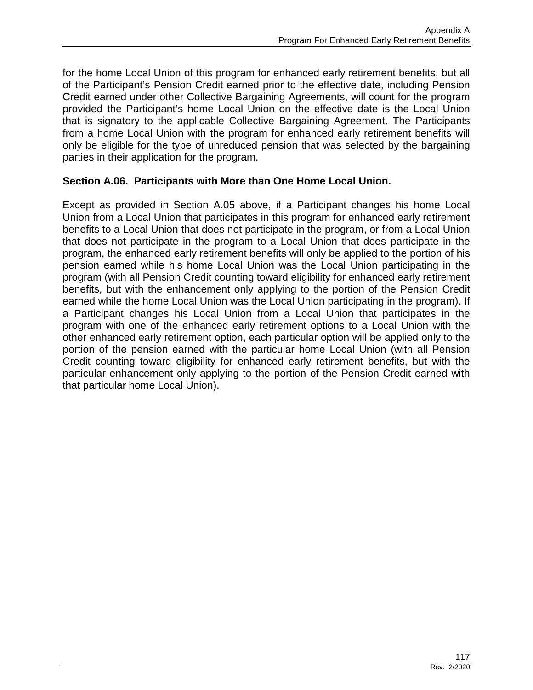for the home Local Union of this program for enhanced early retirement benefits, but all of the Participant's Pension Credit earned prior to the effective date, including Pension Credit earned under other Collective Bargaining Agreements, will count for the program provided the Participant's home Local Union on the effective date is the Local Union that is signatory to the applicable Collective Bargaining Agreement. The Participants from a home Local Union with the program for enhanced early retirement benefits will only be eligible for the type of unreduced pension that was selected by the bargaining parties in their application for the program.

## **Section A.06. Participants with More than One Home Local Union.**

Except as provided in Section A.05 above, if a Participant changes his home Local Union from a Local Union that participates in this program for enhanced early retirement benefits to a Local Union that does not participate in the program, or from a Local Union that does not participate in the program to a Local Union that does participate in the program, the enhanced early retirement benefits will only be applied to the portion of his pension earned while his home Local Union was the Local Union participating in the program (with all Pension Credit counting toward eligibility for enhanced early retirement benefits, but with the enhancement only applying to the portion of the Pension Credit earned while the home Local Union was the Local Union participating in the program). If a Participant changes his Local Union from a Local Union that participates in the program with one of the enhanced early retirement options to a Local Union with the other enhanced early retirement option, each particular option will be applied only to the portion of the pension earned with the particular home Local Union (with all Pension Credit counting toward eligibility for enhanced early retirement benefits, but with the particular enhancement only applying to the portion of the Pension Credit earned with that particular home Local Union).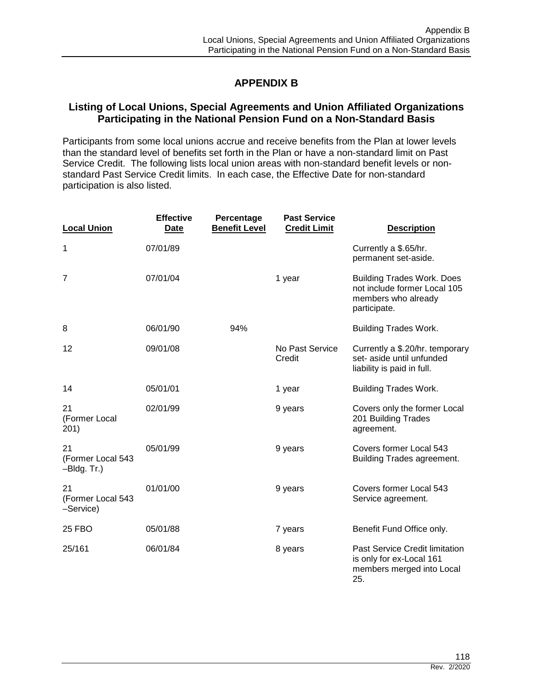# **APPENDIX B**

## **Listing of Local Unions, Special Agreements and Union Affiliated Organizations Participating in the National Pension Fund on a Non-Standard Basis**

Participants from some local unions accrue and receive benefits from the Plan at lower levels than the standard level of benefits set forth in the Plan or have a non-standard limit on Past Service Credit. The following lists local union areas with non-standard benefit levels or nonstandard Past Service Credit limits. In each case, the Effective Date for non-standard participation is also listed.

| <b>Local Union</b>                     | <b>Effective</b><br><b>Date</b> | Percentage<br><b>Benefit Level</b> | <b>Past Service</b><br><b>Credit Limit</b> | <b>Description</b>                                                                                       |
|----------------------------------------|---------------------------------|------------------------------------|--------------------------------------------|----------------------------------------------------------------------------------------------------------|
| 1                                      | 07/01/89                        |                                    |                                            | Currently a \$.65/hr.<br>permanent set-aside.                                                            |
| $\overline{7}$                         | 07/01/04                        |                                    | 1 year                                     | <b>Building Trades Work. Does</b><br>not include former Local 105<br>members who already<br>participate. |
| 8                                      | 06/01/90                        | 94%                                |                                            | <b>Building Trades Work.</b>                                                                             |
| 12                                     | 09/01/08                        |                                    | No Past Service<br>Credit                  | Currently a \$.20/hr. temporary<br>set- aside until unfunded<br>liability is paid in full.               |
| 14                                     | 05/01/01                        |                                    | 1 year                                     | <b>Building Trades Work.</b>                                                                             |
| 21<br>(Former Local<br>201)            | 02/01/99                        |                                    | 9 years                                    | Covers only the former Local<br>201 Building Trades<br>agreement.                                        |
| 21<br>(Former Local 543<br>-Bldg. Tr.) | 05/01/99                        |                                    | 9 years                                    | Covers former Local 543<br><b>Building Trades agreement.</b>                                             |
| 21<br>(Former Local 543<br>-Service)   | 01/01/00                        |                                    | 9 years                                    | Covers former Local 543<br>Service agreement.                                                            |
| <b>25 FBO</b>                          | 05/01/88                        |                                    | 7 years                                    | Benefit Fund Office only.                                                                                |
| 25/161                                 | 06/01/84                        |                                    | 8 years                                    | Past Service Credit limitation<br>is only for ex-Local 161<br>members merged into Local<br>25.           |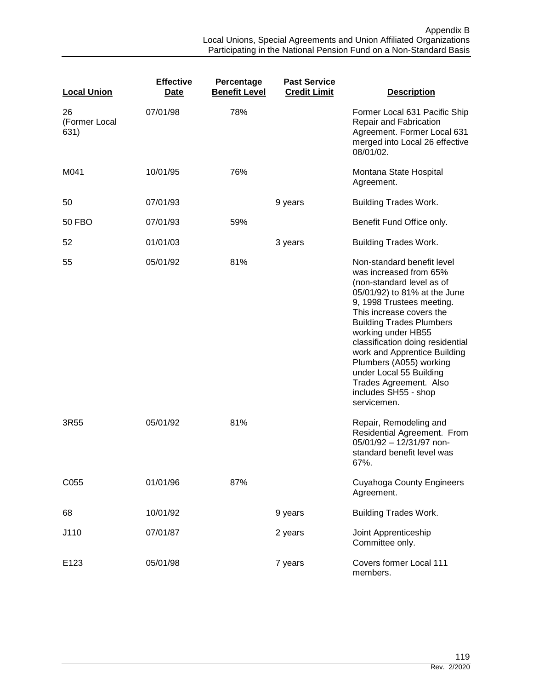| <b>Local Union</b>          | <b>Effective</b><br>Date | Percentage<br><b>Benefit Level</b> | <b>Past Service</b><br><b>Credit Limit</b> | <b>Description</b>                                                                                                                                                                                                                                                                                                                                                                                                             |
|-----------------------------|--------------------------|------------------------------------|--------------------------------------------|--------------------------------------------------------------------------------------------------------------------------------------------------------------------------------------------------------------------------------------------------------------------------------------------------------------------------------------------------------------------------------------------------------------------------------|
| 26<br>(Former Local<br>631) | 07/01/98                 | 78%                                |                                            | Former Local 631 Pacific Ship<br>Repair and Fabrication<br>Agreement. Former Local 631<br>merged into Local 26 effective<br>08/01/02.                                                                                                                                                                                                                                                                                          |
| M041                        | 10/01/95                 | 76%                                |                                            | Montana State Hospital<br>Agreement.                                                                                                                                                                                                                                                                                                                                                                                           |
| 50                          | 07/01/93                 |                                    | 9 years                                    | <b>Building Trades Work.</b>                                                                                                                                                                                                                                                                                                                                                                                                   |
| <b>50 FBO</b>               | 07/01/93                 | 59%                                |                                            | Benefit Fund Office only.                                                                                                                                                                                                                                                                                                                                                                                                      |
| 52                          | 01/01/03                 |                                    | 3 years                                    | <b>Building Trades Work.</b>                                                                                                                                                                                                                                                                                                                                                                                                   |
| 55                          | 05/01/92                 | 81%                                |                                            | Non-standard benefit level<br>was increased from 65%<br>(non-standard level as of<br>05/01/92) to 81% at the June<br>9, 1998 Trustees meeting.<br>This increase covers the<br><b>Building Trades Plumbers</b><br>working under HB55<br>classification doing residential<br>work and Apprentice Building<br>Plumbers (A055) working<br>under Local 55 Building<br>Trades Agreement. Also<br>includes SH55 - shop<br>servicemen. |
| 3R55                        | 05/01/92                 | 81%                                |                                            | Repair, Remodeling and<br>Residential Agreement. From<br>05/01/92 - 12/31/97 non-<br>standard benefit level was<br>67%.                                                                                                                                                                                                                                                                                                        |
| C055                        | 01/01/96                 | 87%                                |                                            | <b>Cuyahoga County Engineers</b><br>Agreement.                                                                                                                                                                                                                                                                                                                                                                                 |
| 68                          | 10/01/92                 |                                    | 9 years                                    | <b>Building Trades Work.</b>                                                                                                                                                                                                                                                                                                                                                                                                   |
| J110                        | 07/01/87                 |                                    | 2 years                                    | Joint Apprenticeship<br>Committee only.                                                                                                                                                                                                                                                                                                                                                                                        |
| E123                        | 05/01/98                 |                                    | 7 years                                    | Covers former Local 111<br>members.                                                                                                                                                                                                                                                                                                                                                                                            |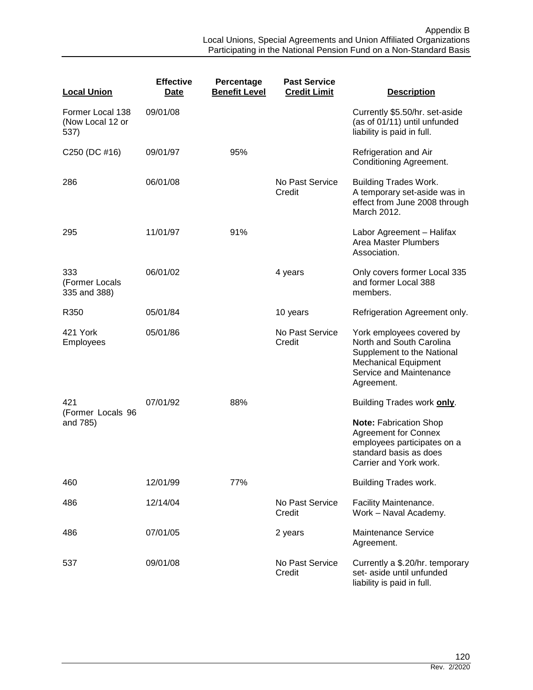| <b>Local Union</b>                           | <b>Effective</b><br>Date | Percentage<br><b>Benefit Level</b> | <b>Past Service</b><br><b>Credit Limit</b> | <b>Description</b>                                                                                                                                          |
|----------------------------------------------|--------------------------|------------------------------------|--------------------------------------------|-------------------------------------------------------------------------------------------------------------------------------------------------------------|
| Former Local 138<br>(Now Local 12 or<br>537) | 09/01/08                 |                                    |                                            | Currently \$5.50/hr. set-aside<br>(as of 01/11) until unfunded<br>liability is paid in full.                                                                |
| C250 (DC #16)                                | 09/01/97                 | 95%                                |                                            | Refrigeration and Air<br><b>Conditioning Agreement.</b>                                                                                                     |
| 286                                          | 06/01/08                 |                                    | No Past Service<br>Credit                  | <b>Building Trades Work.</b><br>A temporary set-aside was in<br>effect from June 2008 through<br>March 2012.                                                |
| 295                                          | 11/01/97                 | 91%                                |                                            | Labor Agreement - Halifax<br><b>Area Master Plumbers</b><br>Association.                                                                                    |
| 333<br>(Former Locals<br>335 and 388)        | 06/01/02                 |                                    | 4 years                                    | Only covers former Local 335<br>and former Local 388<br>members.                                                                                            |
| R350                                         | 05/01/84                 |                                    | 10 years                                   | Refrigeration Agreement only.                                                                                                                               |
| 421 York<br>Employees                        | 05/01/86                 |                                    | No Past Service<br>Credit                  | York employees covered by<br>North and South Carolina<br>Supplement to the National<br><b>Mechanical Equipment</b><br>Service and Maintenance<br>Agreement. |
| 421                                          | 07/01/92                 | 88%                                |                                            | Building Trades work only.                                                                                                                                  |
| (Former Locals 96<br>and 785)                |                          |                                    |                                            | <b>Note: Fabrication Shop</b><br><b>Agreement for Connex</b><br>employees participates on a<br>standard basis as does<br>Carrier and York work.             |
| 460                                          | 12/01/99                 | 77%                                |                                            | Building Trades work.                                                                                                                                       |
| 486                                          | 12/14/04                 |                                    | No Past Service<br>Credit                  | Facility Maintenance.<br>Work - Naval Academy.                                                                                                              |
| 486                                          | 07/01/05                 |                                    | 2 years                                    | <b>Maintenance Service</b><br>Agreement.                                                                                                                    |
| 537                                          | 09/01/08                 |                                    | No Past Service<br>Credit                  | Currently a \$.20/hr. temporary<br>set- aside until unfunded<br>liability is paid in full.                                                                  |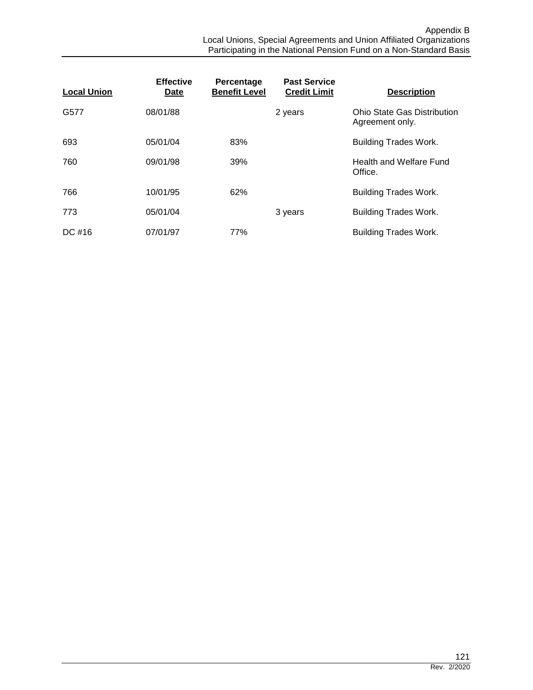| <b>Local Union</b> | <b>Effective</b><br>Date | Percentage<br><b>Benefit Level</b> | <b>Past Service</b><br><b>Credit Limit</b> | <b>Description</b>                             |
|--------------------|--------------------------|------------------------------------|--------------------------------------------|------------------------------------------------|
| G577               | 08/01/88                 |                                    | 2 years                                    | Ohio State Gas Distribution<br>Agreement only. |
| 693                | 05/01/04                 | 83%                                |                                            | <b>Building Trades Work.</b>                   |
| 760                | 09/01/98                 | 39%                                |                                            | Health and Welfare Fund<br>Office.             |
| 766                | 10/01/95                 | 62%                                |                                            | <b>Building Trades Work.</b>                   |
| 773                | 05/01/04                 |                                    | 3 years                                    | <b>Building Trades Work.</b>                   |
| DC #16             | 07/01/97                 | 77%                                |                                            | <b>Building Trades Work.</b>                   |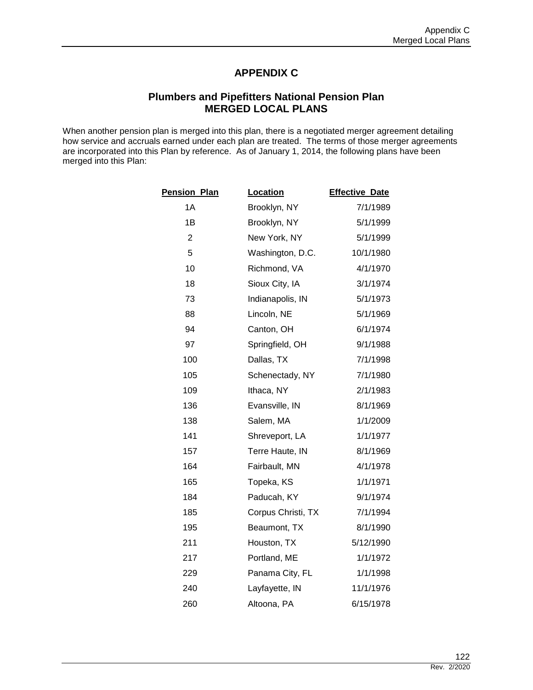## **APPENDIX C**

## **Plumbers and Pipefitters National Pension Plan MERGED LOCAL PLANS**

When another pension plan is merged into this plan, there is a negotiated merger agreement detailing how service and accruals earned under each plan are treated. The terms of those merger agreements are incorporated into this Plan by reference. As of January 1, 2014, the following plans have been merged into this Plan:

| <b>Pension Plan</b> | Location           | <b>Effective Date</b> |
|---------------------|--------------------|-----------------------|
| 1A                  | Brooklyn, NY       | 7/1/1989              |
| 1B                  | Brooklyn, NY       | 5/1/1999              |
| $\overline{2}$      | New York, NY       | 5/1/1999              |
| 5                   | Washington, D.C.   | 10/1/1980             |
| 10                  | Richmond, VA       | 4/1/1970              |
| 18                  | Sioux City, IA     | 3/1/1974              |
| 73                  | Indianapolis, IN   | 5/1/1973              |
| 88                  | Lincoln, NE        | 5/1/1969              |
| 94                  | Canton, OH         | 6/1/1974              |
| 97                  | Springfield, OH    | 9/1/1988              |
| 100                 | Dallas, TX         | 7/1/1998              |
| 105                 | Schenectady, NY    | 7/1/1980              |
| 109                 | Ithaca, NY         | 2/1/1983              |
| 136                 | Evansville, IN     | 8/1/1969              |
| 138                 | Salem, MA          | 1/1/2009              |
| 141                 | Shreveport, LA     | 1/1/1977              |
| 157                 | Terre Haute, IN    | 8/1/1969              |
| 164                 | Fairbault, MN      | 4/1/1978              |
| 165                 | Topeka, KS         | 1/1/1971              |
| 184                 | Paducah, KY        | 9/1/1974              |
| 185                 | Corpus Christi, TX | 7/1/1994              |
| 195                 | Beaumont, TX       | 8/1/1990              |
| 211                 | Houston, TX        | 5/12/1990             |
| 217                 | Portland, ME       | 1/1/1972              |
| 229                 | Panama City, FL    | 1/1/1998              |
| 240                 | Layfayette, IN     | 11/1/1976             |
| 260                 | Altoona, PA        | 6/15/1978             |